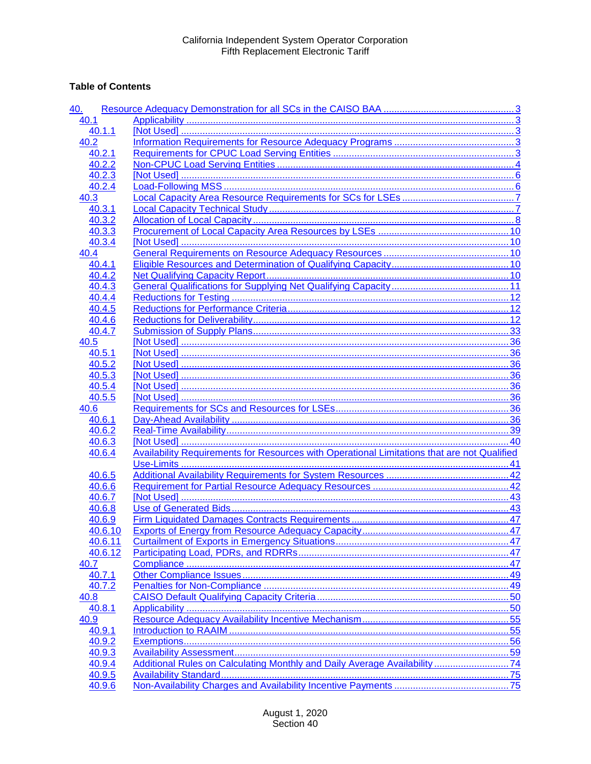# **Table of Contents**

| <u>40.</u> |                                                                                                    |    |
|------------|----------------------------------------------------------------------------------------------------|----|
| 40.1       |                                                                                                    |    |
| 40.1.1     |                                                                                                    |    |
| 40.2       |                                                                                                    |    |
| 40.2.1     |                                                                                                    |    |
| 40.2.2     |                                                                                                    |    |
| 40.2.3     |                                                                                                    |    |
| 40.2.4     |                                                                                                    |    |
| 40.3       |                                                                                                    |    |
| 40.3.1     |                                                                                                    |    |
| 40.3.2     |                                                                                                    |    |
| 40.3.3     |                                                                                                    |    |
| 40.3.4     |                                                                                                    |    |
| 40.4       |                                                                                                    |    |
| 40.4.1     |                                                                                                    |    |
| 40.4.2     |                                                                                                    |    |
| 40.4.3     |                                                                                                    |    |
| 40.4.4     |                                                                                                    |    |
| 40.4.5     |                                                                                                    |    |
| 40.4.6     |                                                                                                    |    |
| 40.4.7     |                                                                                                    |    |
| 40.5       |                                                                                                    |    |
| 40.5.1     |                                                                                                    |    |
| 40.5.2     |                                                                                                    |    |
| 40.5.3     |                                                                                                    |    |
| 40.5.4     |                                                                                                    |    |
| 40.5.5     |                                                                                                    |    |
| 40.6       |                                                                                                    |    |
| 40.6.1     |                                                                                                    |    |
| 40.6.2     |                                                                                                    |    |
| 40.6.3     |                                                                                                    |    |
| 40.6.4     | <b>Availability Requirements for Resources with Operational Limitations that are not Qualified</b> |    |
|            |                                                                                                    |    |
| 40.6.5     |                                                                                                    |    |
| 40.6.6     |                                                                                                    |    |
| 40.6.7     |                                                                                                    |    |
| 40.6.8     |                                                                                                    |    |
| 40.6.9     |                                                                                                    |    |
| 40.6.10    |                                                                                                    |    |
| 40.6.11    |                                                                                                    | 47 |
| 40.6.12    |                                                                                                    |    |
| 40.7       |                                                                                                    |    |
| 40.7.1     |                                                                                                    |    |
| 40.7.2     |                                                                                                    |    |
| 40.8       |                                                                                                    |    |
| 40.8.1     |                                                                                                    |    |
| 40.9       |                                                                                                    |    |
| 40.9.1     |                                                                                                    |    |
| 40.9.2     |                                                                                                    |    |
| 40.9.3     |                                                                                                    |    |
| 40.9.4     | Additional Rules on Calculating Monthly and Daily Average Availability 74                          |    |
| 40.9.5     |                                                                                                    |    |
| 40.9.6     |                                                                                                    |    |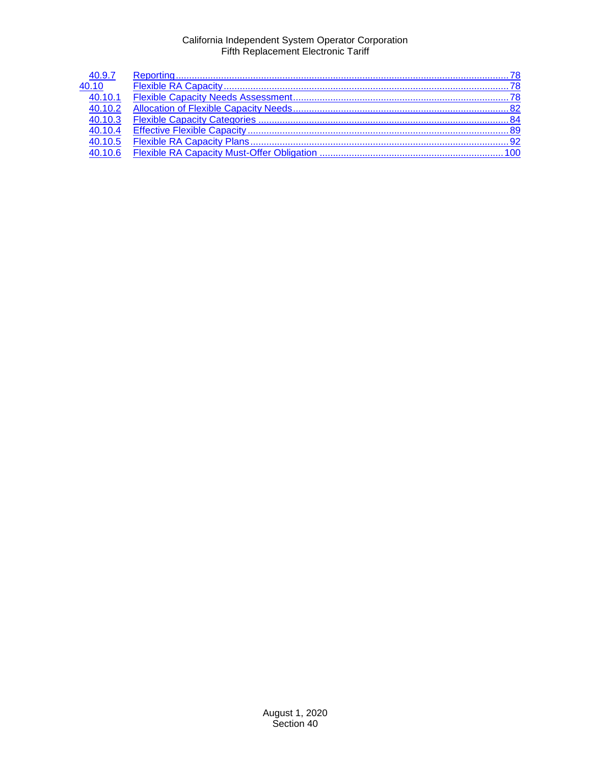| 40.9.7              |  |
|---------------------|--|
| 40.10               |  |
| $\frac{1}{40.10.1}$ |  |
| 40.10.2             |  |
| 40.10.3             |  |
| 40.10.4             |  |
| 40.10.5             |  |
| 40106               |  |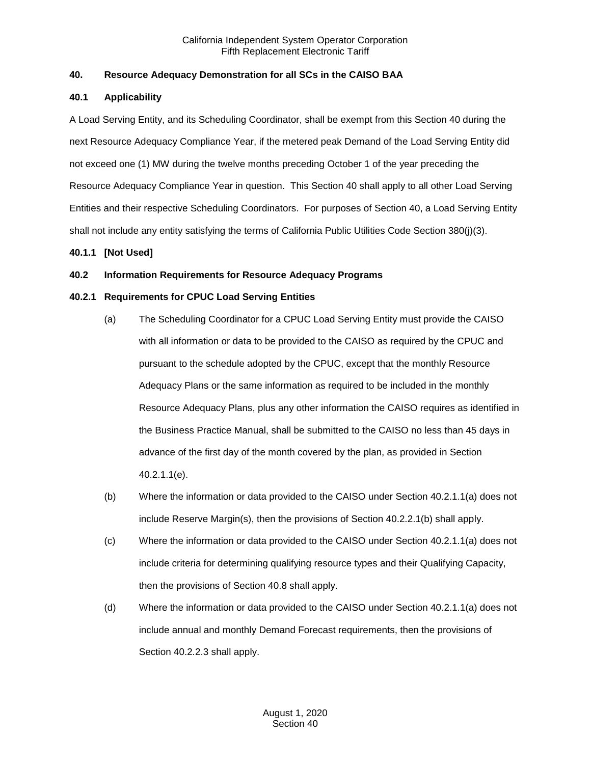# <span id="page-2-0"></span>**40. Resource Adequacy Demonstration for all SCs in the CAISO BAA**

# <span id="page-2-1"></span>**40.1 Applicability**

A Load Serving Entity, and its Scheduling Coordinator, shall be exempt from this Section 40 during the next Resource Adequacy Compliance Year, if the metered peak Demand of the Load Serving Entity did not exceed one (1) MW during the twelve months preceding October 1 of the year preceding the Resource Adequacy Compliance Year in question. This Section 40 shall apply to all other Load Serving Entities and their respective Scheduling Coordinators. For purposes of Section 40, a Load Serving Entity shall not include any entity satisfying the terms of California Public Utilities Code Section 380(j)(3).

# <span id="page-2-2"></span>**40.1.1 [Not Used]**

# <span id="page-2-3"></span>**40.2 Information Requirements for Resource Adequacy Programs**

# <span id="page-2-4"></span>**40.2.1 Requirements for CPUC Load Serving Entities**

- (a) The Scheduling Coordinator for a CPUC Load Serving Entity must provide the CAISO with all information or data to be provided to the CAISO as required by the CPUC and pursuant to the schedule adopted by the CPUC, except that the monthly Resource Adequacy Plans or the same information as required to be included in the monthly Resource Adequacy Plans, plus any other information the CAISO requires as identified in the Business Practice Manual, shall be submitted to the CAISO no less than 45 days in advance of the first day of the month covered by the plan, as provided in Section 40.2.1.1(e).
- (b) Where the information or data provided to the CAISO under Section 40.2.1.1(a) does not include Reserve Margin(s), then the provisions of Section 40.2.2.1(b) shall apply.
- (c) Where the information or data provided to the CAISO under Section 40.2.1.1(a) does not include criteria for determining qualifying resource types and their Qualifying Capacity, then the provisions of Section 40.8 shall apply.
- (d) Where the information or data provided to the CAISO under Section 40.2.1.1(a) does not include annual and monthly Demand Forecast requirements, then the provisions of Section 40.2.2.3 shall apply.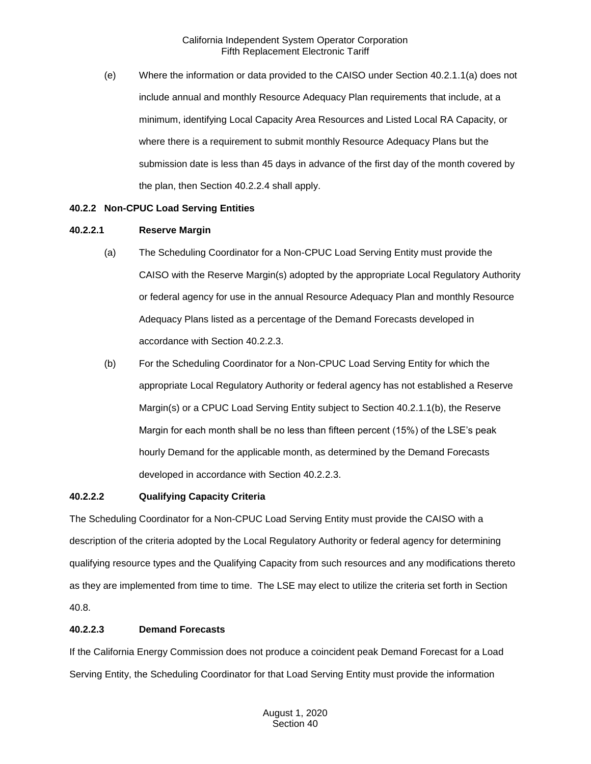(e) Where the information or data provided to the CAISO under Section 40.2.1.1(a) does not include annual and monthly Resource Adequacy Plan requirements that include, at a minimum, identifying Local Capacity Area Resources and Listed Local RA Capacity, or where there is a requirement to submit monthly Resource Adequacy Plans but the submission date is less than 45 days in advance of the first day of the month covered by the plan, then Section 40.2.2.4 shall apply.

#### <span id="page-3-0"></span>**40.2.2 Non-CPUC Load Serving Entities**

#### **40.2.2.1 Reserve Margin**

- (a) The Scheduling Coordinator for a Non-CPUC Load Serving Entity must provide the CAISO with the Reserve Margin(s) adopted by the appropriate Local Regulatory Authority or federal agency for use in the annual Resource Adequacy Plan and monthly Resource Adequacy Plans listed as a percentage of the Demand Forecasts developed in accordance with Section 40.2.2.3.
- (b) For the Scheduling Coordinator for a Non-CPUC Load Serving Entity for which the appropriate Local Regulatory Authority or federal agency has not established a Reserve Margin(s) or a CPUC Load Serving Entity subject to Section 40.2.1.1(b), the Reserve Margin for each month shall be no less than fifteen percent (15%) of the LSE's peak hourly Demand for the applicable month, as determined by the Demand Forecasts developed in accordance with Section 40.2.2.3.

#### **40.2.2.2 Qualifying Capacity Criteria**

The Scheduling Coordinator for a Non-CPUC Load Serving Entity must provide the CAISO with a description of the criteria adopted by the Local Regulatory Authority or federal agency for determining qualifying resource types and the Qualifying Capacity from such resources and any modifications thereto as they are implemented from time to time. The LSE may elect to utilize the criteria set forth in Section 40.8.

# **40.2.2.3 Demand Forecasts**

If the California Energy Commission does not produce a coincident peak Demand Forecast for a Load Serving Entity, the Scheduling Coordinator for that Load Serving Entity must provide the information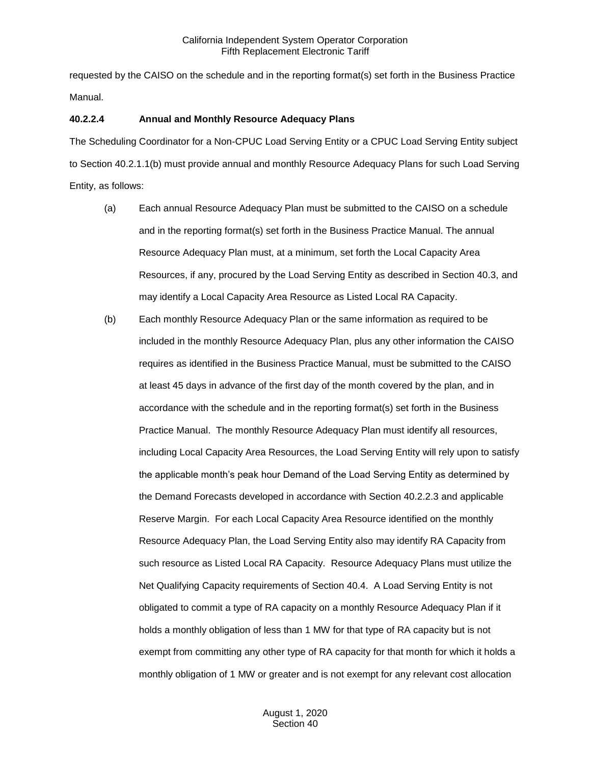requested by the CAISO on the schedule and in the reporting format(s) set forth in the Business Practice Manual.

#### **40.2.2.4 Annual and Monthly Resource Adequacy Plans**

The Scheduling Coordinator for a Non-CPUC Load Serving Entity or a CPUC Load Serving Entity subject to Section 40.2.1.1(b) must provide annual and monthly Resource Adequacy Plans for such Load Serving Entity, as follows:

- (a) Each annual Resource Adequacy Plan must be submitted to the CAISO on a schedule and in the reporting format(s) set forth in the Business Practice Manual. The annual Resource Adequacy Plan must, at a minimum, set forth the Local Capacity Area Resources, if any, procured by the Load Serving Entity as described in Section 40.3, and may identify a Local Capacity Area Resource as Listed Local RA Capacity.
- (b) Each monthly Resource Adequacy Plan or the same information as required to be included in the monthly Resource Adequacy Plan, plus any other information the CAISO requires as identified in the Business Practice Manual, must be submitted to the CAISO at least 45 days in advance of the first day of the month covered by the plan, and in accordance with the schedule and in the reporting format(s) set forth in the Business Practice Manual. The monthly Resource Adequacy Plan must identify all resources, including Local Capacity Area Resources, the Load Serving Entity will rely upon to satisfy the applicable month's peak hour Demand of the Load Serving Entity as determined by the Demand Forecasts developed in accordance with Section 40.2.2.3 and applicable Reserve Margin. For each Local Capacity Area Resource identified on the monthly Resource Adequacy Plan, the Load Serving Entity also may identify RA Capacity from such resource as Listed Local RA Capacity. Resource Adequacy Plans must utilize the Net Qualifying Capacity requirements of Section 40.4. A Load Serving Entity is not obligated to commit a type of RA capacity on a monthly Resource Adequacy Plan if it holds a monthly obligation of less than 1 MW for that type of RA capacity but is not exempt from committing any other type of RA capacity for that month for which it holds a monthly obligation of 1 MW or greater and is not exempt for any relevant cost allocation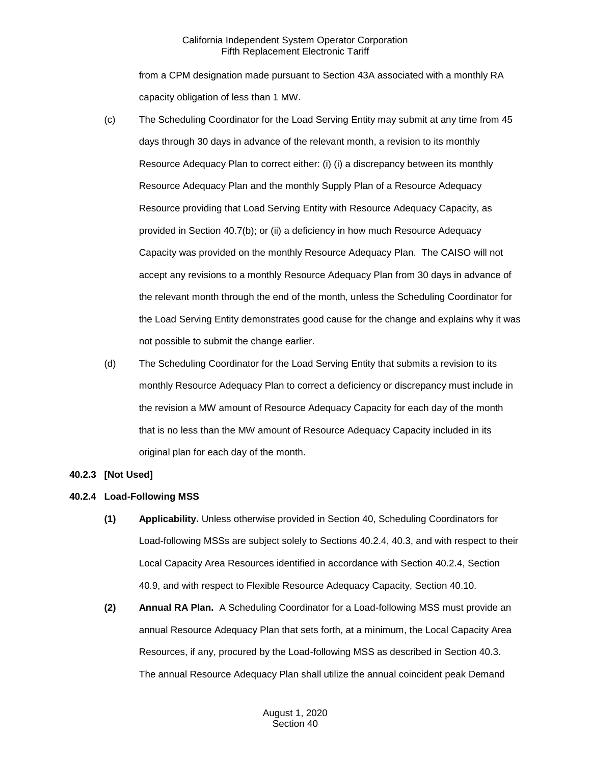from a CPM designation made pursuant to Section 43A associated with a monthly RA capacity obligation of less than 1 MW.

- (c) The Scheduling Coordinator for the Load Serving Entity may submit at any time from 45 days through 30 days in advance of the relevant month, a revision to its monthly Resource Adequacy Plan to correct either: (i) (i) a discrepancy between its monthly Resource Adequacy Plan and the monthly Supply Plan of a Resource Adequacy Resource providing that Load Serving Entity with Resource Adequacy Capacity, as provided in Section 40.7(b); or (ii) a deficiency in how much Resource Adequacy Capacity was provided on the monthly Resource Adequacy Plan. The CAISO will not accept any revisions to a monthly Resource Adequacy Plan from 30 days in advance of the relevant month through the end of the month, unless the Scheduling Coordinator for the Load Serving Entity demonstrates good cause for the change and explains why it was not possible to submit the change earlier.
- (d) The Scheduling Coordinator for the Load Serving Entity that submits a revision to its monthly Resource Adequacy Plan to correct a deficiency or discrepancy must include in the revision a MW amount of Resource Adequacy Capacity for each day of the month that is no less than the MW amount of Resource Adequacy Capacity included in its original plan for each day of the month.

# <span id="page-5-0"></span>**40.2.3 [Not Used]**

# <span id="page-5-1"></span>**40.2.4 Load-Following MSS**

- **(1) Applicability.** Unless otherwise provided in Section 40, Scheduling Coordinators for Load-following MSSs are subject solely to Sections 40.2.4, 40.3, and with respect to their Local Capacity Area Resources identified in accordance with Section 40.2.4, Section 40.9, and with respect to Flexible Resource Adequacy Capacity, Section 40.10.
- **(2) Annual RA Plan.** A Scheduling Coordinator for a Load-following MSS must provide an annual Resource Adequacy Plan that sets forth, at a minimum, the Local Capacity Area Resources, if any, procured by the Load-following MSS as described in Section 40.3. The annual Resource Adequacy Plan shall utilize the annual coincident peak Demand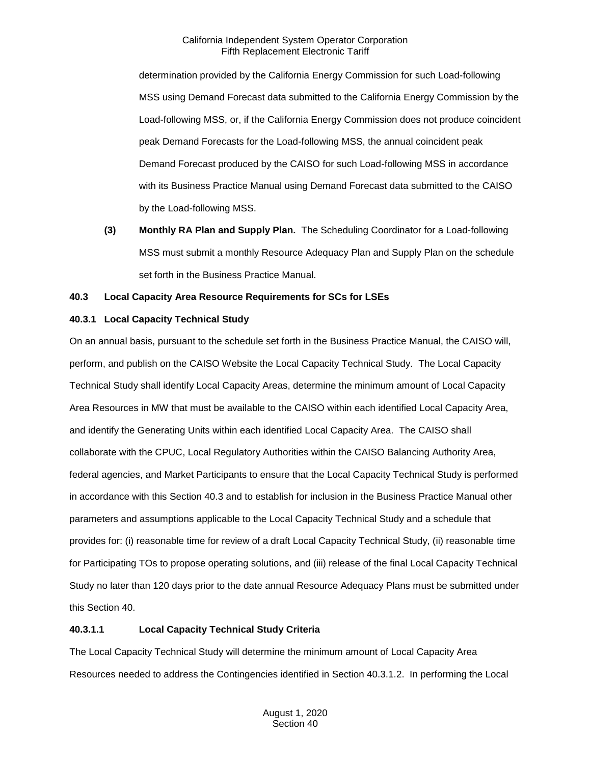determination provided by the California Energy Commission for such Load-following MSS using Demand Forecast data submitted to the California Energy Commission by the Load-following MSS, or, if the California Energy Commission does not produce coincident peak Demand Forecasts for the Load-following MSS, the annual coincident peak Demand Forecast produced by the CAISO for such Load-following MSS in accordance with its Business Practice Manual using Demand Forecast data submitted to the CAISO by the Load-following MSS.

**(3) Monthly RA Plan and Supply Plan.** The Scheduling Coordinator for a Load-following MSS must submit a monthly Resource Adequacy Plan and Supply Plan on the schedule set forth in the Business Practice Manual.

# <span id="page-6-0"></span>**40.3 Local Capacity Area Resource Requirements for SCs for LSEs**

# <span id="page-6-1"></span>**40.3.1 Local Capacity Technical Study**

On an annual basis, pursuant to the schedule set forth in the Business Practice Manual, the CAISO will, perform, and publish on the CAISO Website the Local Capacity Technical Study. The Local Capacity Technical Study shall identify Local Capacity Areas, determine the minimum amount of Local Capacity Area Resources in MW that must be available to the CAISO within each identified Local Capacity Area, and identify the Generating Units within each identified Local Capacity Area. The CAISO shall collaborate with the CPUC, Local Regulatory Authorities within the CAISO Balancing Authority Area, federal agencies, and Market Participants to ensure that the Local Capacity Technical Study is performed in accordance with this Section 40.3 and to establish for inclusion in the Business Practice Manual other parameters and assumptions applicable to the Local Capacity Technical Study and a schedule that provides for: (i) reasonable time for review of a draft Local Capacity Technical Study, (ii) reasonable time for Participating TOs to propose operating solutions, and (iii) release of the final Local Capacity Technical Study no later than 120 days prior to the date annual Resource Adequacy Plans must be submitted under this Section 40.

# **40.3.1.1 Local Capacity Technical Study Criteria**

The Local Capacity Technical Study will determine the minimum amount of Local Capacity Area Resources needed to address the Contingencies identified in Section 40.3.1.2. In performing the Local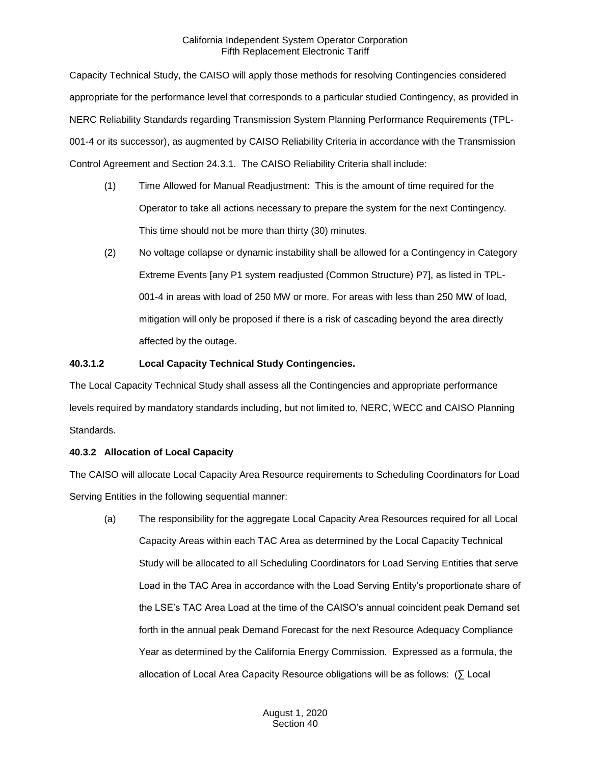Capacity Technical Study, the CAISO will apply those methods for resolving Contingencies considered appropriate for the performance level that corresponds to a particular studied Contingency, as provided in NERC Reliability Standards regarding Transmission System Planning Performance Requirements (TPL-001-4 or its successor), as augmented by CAISO Reliability Criteria in accordance with the Transmission Control Agreement and Section 24.3.1. The CAISO Reliability Criteria shall include:

- (1) Time Allowed for Manual Readjustment: This is the amount of time required for the Operator to take all actions necessary to prepare the system for the next Contingency. This time should not be more than thirty (30) minutes.
- (2) No voltage collapse or dynamic instability shall be allowed for a Contingency in Category Extreme Events [any P1 system readjusted (Common Structure) P7], as listed in TPL-001-4 in areas with load of 250 MW or more. For areas with less than 250 MW of load, mitigation will only be proposed if there is a risk of cascading beyond the area directly affected by the outage.

# **40.3.1.2 Local Capacity Technical Study Contingencies.**

The Local Capacity Technical Study shall assess all the Contingencies and appropriate performance levels required by mandatory standards including, but not limited to, NERC, WECC and CAISO Planning Standards.

# <span id="page-7-0"></span>**40.3.2 Allocation of Local Capacity**

The CAISO will allocate Local Capacity Area Resource requirements to Scheduling Coordinators for Load Serving Entities in the following sequential manner:

(a) The responsibility for the aggregate Local Capacity Area Resources required for all Local Capacity Areas within each TAC Area as determined by the Local Capacity Technical Study will be allocated to all Scheduling Coordinators for Load Serving Entities that serve Load in the TAC Area in accordance with the Load Serving Entity's proportionate share of the LSE's TAC Area Load at the time of the CAISO's annual coincident peak Demand set forth in the annual peak Demand Forecast for the next Resource Adequacy Compliance Year as determined by the California Energy Commission. Expressed as a formula, the allocation of Local Area Capacity Resource obligations will be as follows: (∑ Local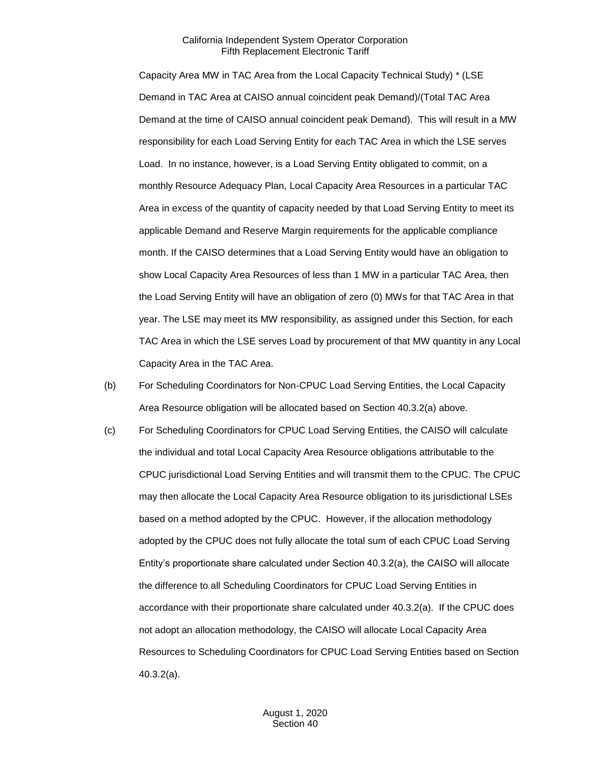Capacity Area MW in TAC Area from the Local Capacity Technical Study) \* (LSE Demand in TAC Area at CAISO annual coincident peak Demand)/(Total TAC Area Demand at the time of CAISO annual coincident peak Demand). This will result in a MW responsibility for each Load Serving Entity for each TAC Area in which the LSE serves Load. In no instance, however, is a Load Serving Entity obligated to commit, on a monthly Resource Adequacy Plan, Local Capacity Area Resources in a particular TAC Area in excess of the quantity of capacity needed by that Load Serving Entity to meet its applicable Demand and Reserve Margin requirements for the applicable compliance month. If the CAISO determines that a Load Serving Entity would have an obligation to show Local Capacity Area Resources of less than 1 MW in a particular TAC Area, then the Load Serving Entity will have an obligation of zero (0) MWs for that TAC Area in that year. The LSE may meet its MW responsibility, as assigned under this Section, for each TAC Area in which the LSE serves Load by procurement of that MW quantity in any Local Capacity Area in the TAC Area.

- (b) For Scheduling Coordinators for Non-CPUC Load Serving Entities, the Local Capacity Area Resource obligation will be allocated based on Section 40.3.2(a) above.
- (c) For Scheduling Coordinators for CPUC Load Serving Entities, the CAISO will calculate the individual and total Local Capacity Area Resource obligations attributable to the CPUC jurisdictional Load Serving Entities and will transmit them to the CPUC. The CPUC may then allocate the Local Capacity Area Resource obligation to its jurisdictional LSEs based on a method adopted by the CPUC. However, if the allocation methodology adopted by the CPUC does not fully allocate the total sum of each CPUC Load Serving Entity's proportionate share calculated under Section 40.3.2(a), the CAISO will allocate the difference to all Scheduling Coordinators for CPUC Load Serving Entities in accordance with their proportionate share calculated under 40.3.2(a). If the CPUC does not adopt an allocation methodology, the CAISO will allocate Local Capacity Area Resources to Scheduling Coordinators for CPUC Load Serving Entities based on Section 40.3.2(a).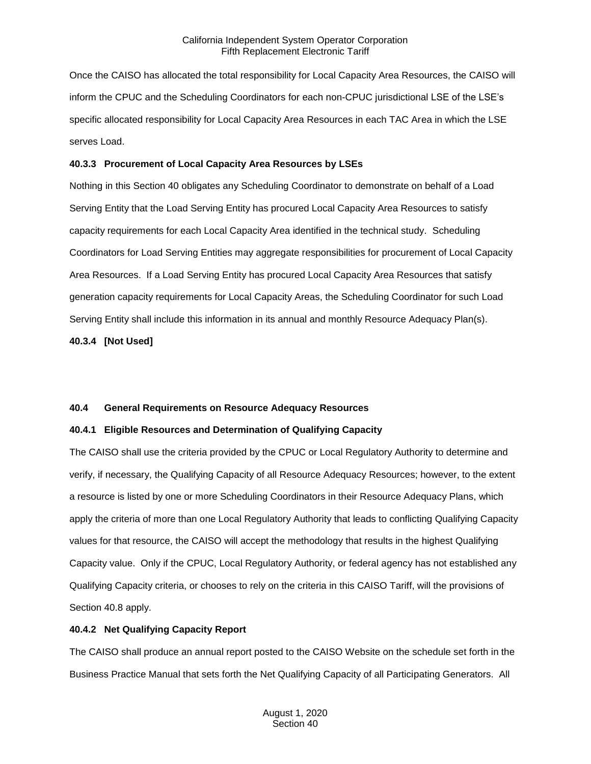Once the CAISO has allocated the total responsibility for Local Capacity Area Resources, the CAISO will inform the CPUC and the Scheduling Coordinators for each non-CPUC jurisdictional LSE of the LSE's specific allocated responsibility for Local Capacity Area Resources in each TAC Area in which the LSE serves Load.

#### <span id="page-9-0"></span>**40.3.3 Procurement of Local Capacity Area Resources by LSEs**

Nothing in this Section 40 obligates any Scheduling Coordinator to demonstrate on behalf of a Load Serving Entity that the Load Serving Entity has procured Local Capacity Area Resources to satisfy capacity requirements for each Local Capacity Area identified in the technical study. Scheduling Coordinators for Load Serving Entities may aggregate responsibilities for procurement of Local Capacity Area Resources. If a Load Serving Entity has procured Local Capacity Area Resources that satisfy generation capacity requirements for Local Capacity Areas, the Scheduling Coordinator for such Load Serving Entity shall include this information in its annual and monthly Resource Adequacy Plan(s).

<span id="page-9-1"></span>**40.3.4 [Not Used]**

#### <span id="page-9-2"></span>**40.4 General Requirements on Resource Adequacy Resources**

# <span id="page-9-3"></span>**40.4.1 Eligible Resources and Determination of Qualifying Capacity**

The CAISO shall use the criteria provided by the CPUC or Local Regulatory Authority to determine and verify, if necessary, the Qualifying Capacity of all Resource Adequacy Resources; however, to the extent a resource is listed by one or more Scheduling Coordinators in their Resource Adequacy Plans, which apply the criteria of more than one Local Regulatory Authority that leads to conflicting Qualifying Capacity values for that resource, the CAISO will accept the methodology that results in the highest Qualifying Capacity value. Only if the CPUC, Local Regulatory Authority, or federal agency has not established any Qualifying Capacity criteria, or chooses to rely on the criteria in this CAISO Tariff, will the provisions of Section 40.8 apply.

# <span id="page-9-4"></span>**40.4.2 Net Qualifying Capacity Report**

The CAISO shall produce an annual report posted to the CAISO Website on the schedule set forth in the Business Practice Manual that sets forth the Net Qualifying Capacity of all Participating Generators. All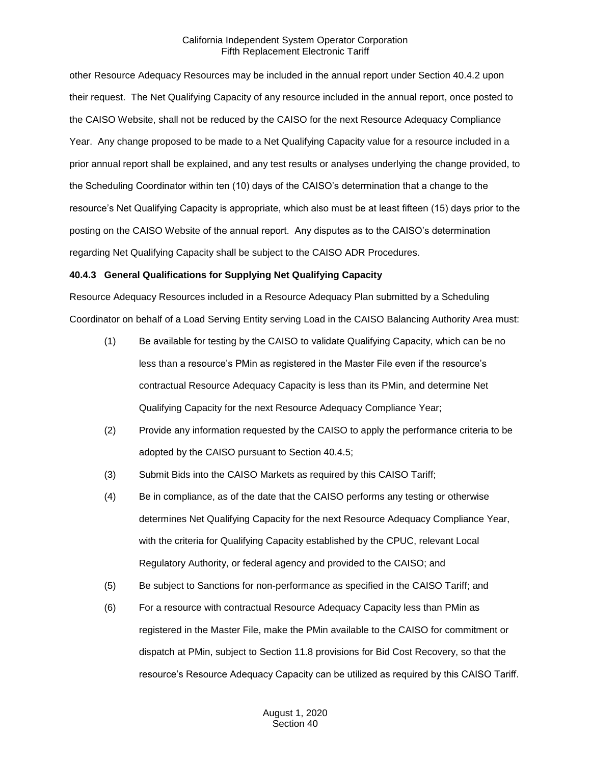other Resource Adequacy Resources may be included in the annual report under Section 40.4.2 upon their request. The Net Qualifying Capacity of any resource included in the annual report, once posted to the CAISO Website, shall not be reduced by the CAISO for the next Resource Adequacy Compliance Year. Any change proposed to be made to a Net Qualifying Capacity value for a resource included in a prior annual report shall be explained, and any test results or analyses underlying the change provided, to the Scheduling Coordinator within ten (10) days of the CAISO's determination that a change to the resource's Net Qualifying Capacity is appropriate, which also must be at least fifteen (15) days prior to the posting on the CAISO Website of the annual report. Any disputes as to the CAISO's determination regarding Net Qualifying Capacity shall be subject to the CAISO ADR Procedures.

#### <span id="page-10-0"></span>**40.4.3 General Qualifications for Supplying Net Qualifying Capacity**

Resource Adequacy Resources included in a Resource Adequacy Plan submitted by a Scheduling Coordinator on behalf of a Load Serving Entity serving Load in the CAISO Balancing Authority Area must:

- (1) Be available for testing by the CAISO to validate Qualifying Capacity, which can be no less than a resource's PMin as registered in the Master File even if the resource's contractual Resource Adequacy Capacity is less than its PMin, and determine Net Qualifying Capacity for the next Resource Adequacy Compliance Year;
- (2) Provide any information requested by the CAISO to apply the performance criteria to be adopted by the CAISO pursuant to Section 40.4.5;
- (3) Submit Bids into the CAISO Markets as required by this CAISO Tariff;
- (4) Be in compliance, as of the date that the CAISO performs any testing or otherwise determines Net Qualifying Capacity for the next Resource Adequacy Compliance Year, with the criteria for Qualifying Capacity established by the CPUC, relevant Local Regulatory Authority, or federal agency and provided to the CAISO; and
- (5) Be subject to Sanctions for non-performance as specified in the CAISO Tariff; and
- (6) For a resource with contractual Resource Adequacy Capacity less than PMin as registered in the Master File, make the PMin available to the CAISO for commitment or dispatch at PMin, subject to Section 11.8 provisions for Bid Cost Recovery, so that the resource's Resource Adequacy Capacity can be utilized as required by this CAISO Tariff.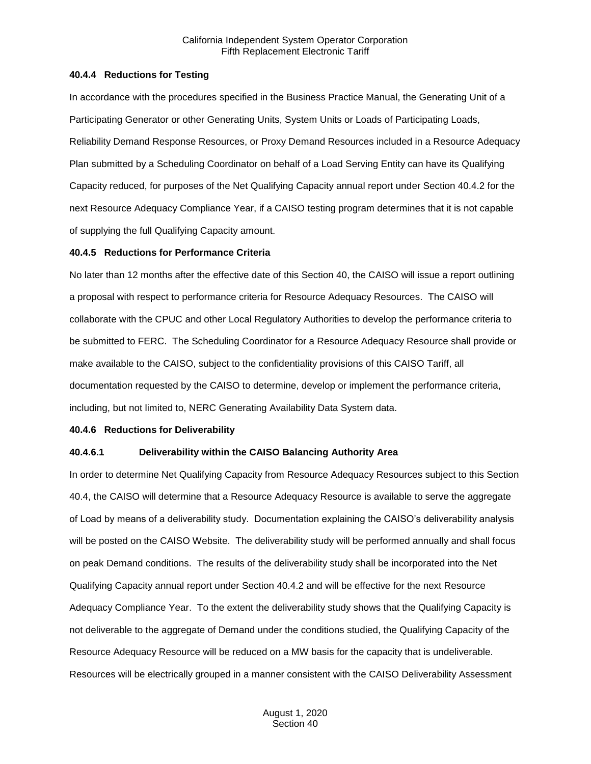#### <span id="page-11-0"></span>**40.4.4 Reductions for Testing**

In accordance with the procedures specified in the Business Practice Manual, the Generating Unit of a Participating Generator or other Generating Units, System Units or Loads of Participating Loads, Reliability Demand Response Resources, or Proxy Demand Resources included in a Resource Adequacy Plan submitted by a Scheduling Coordinator on behalf of a Load Serving Entity can have its Qualifying Capacity reduced, for purposes of the Net Qualifying Capacity annual report under Section 40.4.2 for the next Resource Adequacy Compliance Year, if a CAISO testing program determines that it is not capable of supplying the full Qualifying Capacity amount.

#### <span id="page-11-1"></span>**40.4.5 Reductions for Performance Criteria**

No later than 12 months after the effective date of this Section 40, the CAISO will issue a report outlining a proposal with respect to performance criteria for Resource Adequacy Resources. The CAISO will collaborate with the CPUC and other Local Regulatory Authorities to develop the performance criteria to be submitted to FERC. The Scheduling Coordinator for a Resource Adequacy Resource shall provide or make available to the CAISO, subject to the confidentiality provisions of this CAISO Tariff, all documentation requested by the CAISO to determine, develop or implement the performance criteria, including, but not limited to, NERC Generating Availability Data System data.

# <span id="page-11-2"></span>**40.4.6 Reductions for Deliverability**

#### **40.4.6.1 Deliverability within the CAISO Balancing Authority Area**

In order to determine Net Qualifying Capacity from Resource Adequacy Resources subject to this Section 40.4, the CAISO will determine that a Resource Adequacy Resource is available to serve the aggregate of Load by means of a deliverability study. Documentation explaining the CAISO's deliverability analysis will be posted on the CAISO Website. The deliverability study will be performed annually and shall focus on peak Demand conditions. The results of the deliverability study shall be incorporated into the Net Qualifying Capacity annual report under Section 40.4.2 and will be effective for the next Resource Adequacy Compliance Year. To the extent the deliverability study shows that the Qualifying Capacity is not deliverable to the aggregate of Demand under the conditions studied, the Qualifying Capacity of the Resource Adequacy Resource will be reduced on a MW basis for the capacity that is undeliverable. Resources will be electrically grouped in a manner consistent with the CAISO Deliverability Assessment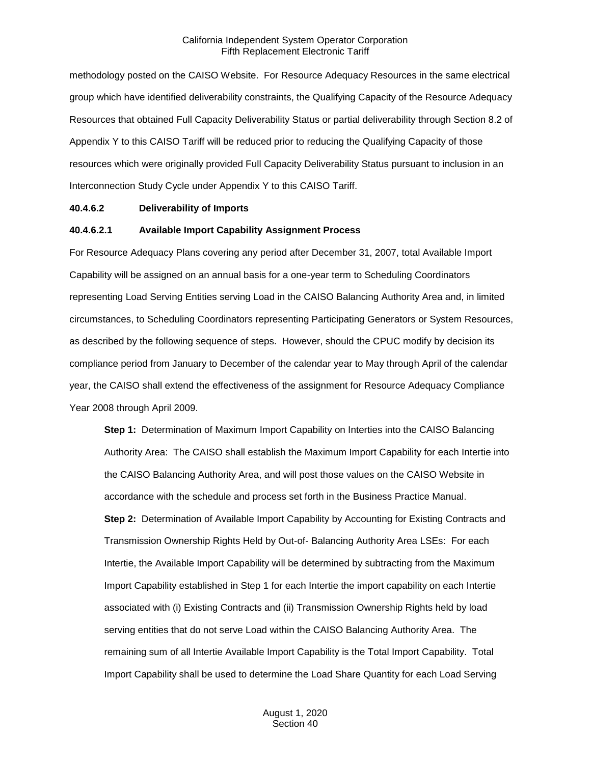methodology posted on the CAISO Website. For Resource Adequacy Resources in the same electrical group which have identified deliverability constraints, the Qualifying Capacity of the Resource Adequacy Resources that obtained Full Capacity Deliverability Status or partial deliverability through Section 8.2 of Appendix Y to this CAISO Tariff will be reduced prior to reducing the Qualifying Capacity of those resources which were originally provided Full Capacity Deliverability Status pursuant to inclusion in an Interconnection Study Cycle under Appendix Y to this CAISO Tariff.

#### **40.4.6.2 Deliverability of Imports**

#### **40.4.6.2.1 Available Import Capability Assignment Process**

For Resource Adequacy Plans covering any period after December 31, 2007, total Available Import Capability will be assigned on an annual basis for a one-year term to Scheduling Coordinators representing Load Serving Entities serving Load in the CAISO Balancing Authority Area and, in limited circumstances, to Scheduling Coordinators representing Participating Generators or System Resources, as described by the following sequence of steps. However, should the CPUC modify by decision its compliance period from January to December of the calendar year to May through April of the calendar year, the CAISO shall extend the effectiveness of the assignment for Resource Adequacy Compliance Year 2008 through April 2009.

**Step 1:** Determination of Maximum Import Capability on Interties into the CAISO Balancing Authority Area: The CAISO shall establish the Maximum Import Capability for each Intertie into the CAISO Balancing Authority Area, and will post those values on the CAISO Website in accordance with the schedule and process set forth in the Business Practice Manual. **Step 2:** Determination of Available Import Capability by Accounting for Existing Contracts and Transmission Ownership Rights Held by Out-of- Balancing Authority Area LSEs: For each Intertie, the Available Import Capability will be determined by subtracting from the Maximum Import Capability established in Step 1 for each Intertie the import capability on each Intertie associated with (i) Existing Contracts and (ii) Transmission Ownership Rights held by load serving entities that do not serve Load within the CAISO Balancing Authority Area. The remaining sum of all Intertie Available Import Capability is the Total Import Capability. Total Import Capability shall be used to determine the Load Share Quantity for each Load Serving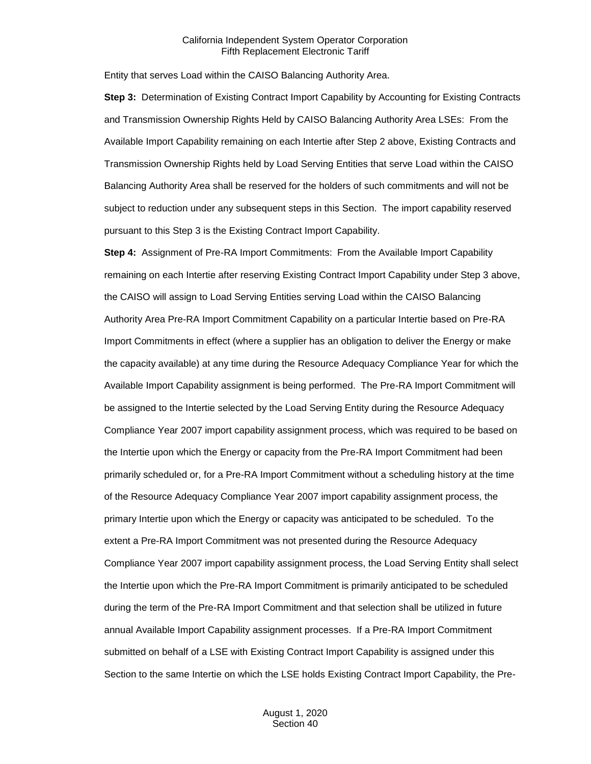Entity that serves Load within the CAISO Balancing Authority Area.

**Step 3:** Determination of Existing Contract Import Capability by Accounting for Existing Contracts and Transmission Ownership Rights Held by CAISO Balancing Authority Area LSEs: From the Available Import Capability remaining on each Intertie after Step 2 above, Existing Contracts and Transmission Ownership Rights held by Load Serving Entities that serve Load within the CAISO Balancing Authority Area shall be reserved for the holders of such commitments and will not be subject to reduction under any subsequent steps in this Section. The import capability reserved pursuant to this Step 3 is the Existing Contract Import Capability.

**Step 4:** Assignment of Pre-RA Import Commitments: From the Available Import Capability remaining on each Intertie after reserving Existing Contract Import Capability under Step 3 above, the CAISO will assign to Load Serving Entities serving Load within the CAISO Balancing Authority Area Pre-RA Import Commitment Capability on a particular Intertie based on Pre-RA Import Commitments in effect (where a supplier has an obligation to deliver the Energy or make the capacity available) at any time during the Resource Adequacy Compliance Year for which the Available Import Capability assignment is being performed. The Pre-RA Import Commitment will be assigned to the Intertie selected by the Load Serving Entity during the Resource Adequacy Compliance Year 2007 import capability assignment process, which was required to be based on the Intertie upon which the Energy or capacity from the Pre-RA Import Commitment had been primarily scheduled or, for a Pre-RA Import Commitment without a scheduling history at the time of the Resource Adequacy Compliance Year 2007 import capability assignment process, the primary Intertie upon which the Energy or capacity was anticipated to be scheduled. To the extent a Pre-RA Import Commitment was not presented during the Resource Adequacy Compliance Year 2007 import capability assignment process, the Load Serving Entity shall select the Intertie upon which the Pre-RA Import Commitment is primarily anticipated to be scheduled during the term of the Pre-RA Import Commitment and that selection shall be utilized in future annual Available Import Capability assignment processes. If a Pre-RA Import Commitment submitted on behalf of a LSE with Existing Contract Import Capability is assigned under this Section to the same Intertie on which the LSE holds Existing Contract Import Capability, the Pre-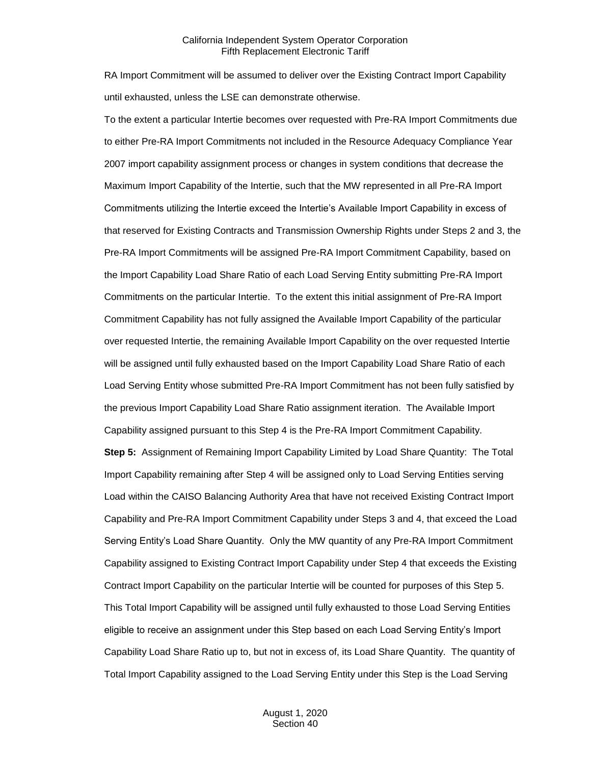RA Import Commitment will be assumed to deliver over the Existing Contract Import Capability until exhausted, unless the LSE can demonstrate otherwise.

To the extent a particular Intertie becomes over requested with Pre-RA Import Commitments due to either Pre-RA Import Commitments not included in the Resource Adequacy Compliance Year 2007 import capability assignment process or changes in system conditions that decrease the Maximum Import Capability of the Intertie, such that the MW represented in all Pre-RA Import Commitments utilizing the Intertie exceed the Intertie's Available Import Capability in excess of that reserved for Existing Contracts and Transmission Ownership Rights under Steps 2 and 3, the Pre-RA Import Commitments will be assigned Pre-RA Import Commitment Capability, based on the Import Capability Load Share Ratio of each Load Serving Entity submitting Pre-RA Import Commitments on the particular Intertie. To the extent this initial assignment of Pre-RA Import Commitment Capability has not fully assigned the Available Import Capability of the particular over requested Intertie, the remaining Available Import Capability on the over requested Intertie will be assigned until fully exhausted based on the Import Capability Load Share Ratio of each Load Serving Entity whose submitted Pre-RA Import Commitment has not been fully satisfied by the previous Import Capability Load Share Ratio assignment iteration. The Available Import Capability assigned pursuant to this Step 4 is the Pre-RA Import Commitment Capability.

**Step 5:** Assignment of Remaining Import Capability Limited by Load Share Quantity: The Total Import Capability remaining after Step 4 will be assigned only to Load Serving Entities serving Load within the CAISO Balancing Authority Area that have not received Existing Contract Import Capability and Pre-RA Import Commitment Capability under Steps 3 and 4, that exceed the Load Serving Entity's Load Share Quantity. Only the MW quantity of any Pre-RA Import Commitment Capability assigned to Existing Contract Import Capability under Step 4 that exceeds the Existing Contract Import Capability on the particular Intertie will be counted for purposes of this Step 5. This Total Import Capability will be assigned until fully exhausted to those Load Serving Entities eligible to receive an assignment under this Step based on each Load Serving Entity's Import Capability Load Share Ratio up to, but not in excess of, its Load Share Quantity. The quantity of Total Import Capability assigned to the Load Serving Entity under this Step is the Load Serving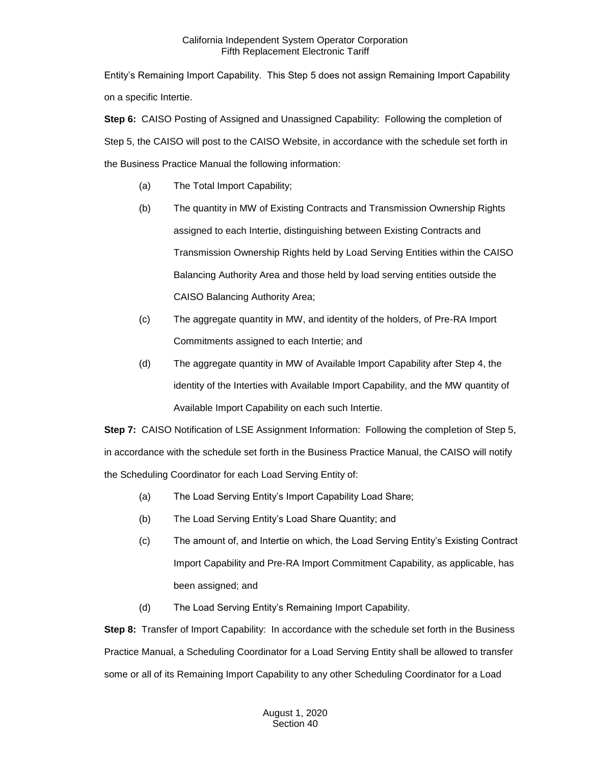Entity's Remaining Import Capability. This Step 5 does not assign Remaining Import Capability on a specific Intertie.

**Step 6:** CAISO Posting of Assigned and Unassigned Capability: Following the completion of Step 5, the CAISO will post to the CAISO Website, in accordance with the schedule set forth in the Business Practice Manual the following information:

- (a) The Total Import Capability;
- (b) The quantity in MW of Existing Contracts and Transmission Ownership Rights assigned to each Intertie, distinguishing between Existing Contracts and Transmission Ownership Rights held by Load Serving Entities within the CAISO Balancing Authority Area and those held by load serving entities outside the CAISO Balancing Authority Area;
- (c) The aggregate quantity in MW, and identity of the holders, of Pre-RA Import Commitments assigned to each Intertie; and
- (d) The aggregate quantity in MW of Available Import Capability after Step 4, the identity of the Interties with Available Import Capability, and the MW quantity of Available Import Capability on each such Intertie.

**Step 7:** CAISO Notification of LSE Assignment Information: Following the completion of Step 5, in accordance with the schedule set forth in the Business Practice Manual, the CAISO will notify the Scheduling Coordinator for each Load Serving Entity of:

- (a) The Load Serving Entity's Import Capability Load Share;
- (b) The Load Serving Entity's Load Share Quantity; and
- (c) The amount of, and Intertie on which, the Load Serving Entity's Existing Contract Import Capability and Pre-RA Import Commitment Capability, as applicable, has been assigned; and
- (d) The Load Serving Entity's Remaining Import Capability.

**Step 8:** Transfer of Import Capability: In accordance with the schedule set forth in the Business Practice Manual, a Scheduling Coordinator for a Load Serving Entity shall be allowed to transfer some or all of its Remaining Import Capability to any other Scheduling Coordinator for a Load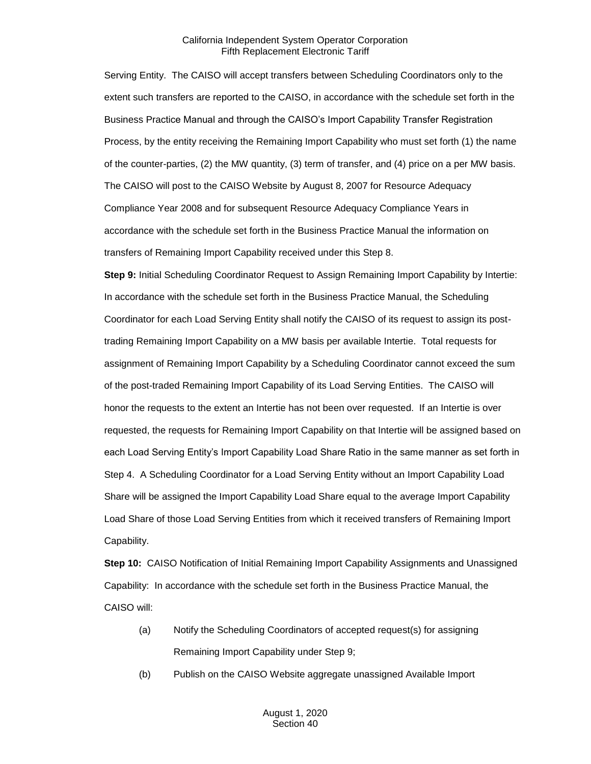Serving Entity. The CAISO will accept transfers between Scheduling Coordinators only to the extent such transfers are reported to the CAISO, in accordance with the schedule set forth in the Business Practice Manual and through the CAISO's Import Capability Transfer Registration Process, by the entity receiving the Remaining Import Capability who must set forth (1) the name of the counter-parties, (2) the MW quantity, (3) term of transfer, and (4) price on a per MW basis. The CAISO will post to the CAISO Website by August 8, 2007 for Resource Adequacy Compliance Year 2008 and for subsequent Resource Adequacy Compliance Years in accordance with the schedule set forth in the Business Practice Manual the information on transfers of Remaining Import Capability received under this Step 8.

**Step 9:** Initial Scheduling Coordinator Request to Assign Remaining Import Capability by Intertie: In accordance with the schedule set forth in the Business Practice Manual, the Scheduling Coordinator for each Load Serving Entity shall notify the CAISO of its request to assign its posttrading Remaining Import Capability on a MW basis per available Intertie. Total requests for assignment of Remaining Import Capability by a Scheduling Coordinator cannot exceed the sum of the post-traded Remaining Import Capability of its Load Serving Entities. The CAISO will honor the requests to the extent an Intertie has not been over requested. If an Intertie is over requested, the requests for Remaining Import Capability on that Intertie will be assigned based on each Load Serving Entity's Import Capability Load Share Ratio in the same manner as set forth in Step 4. A Scheduling Coordinator for a Load Serving Entity without an Import Capability Load Share will be assigned the Import Capability Load Share equal to the average Import Capability Load Share of those Load Serving Entities from which it received transfers of Remaining Import Capability.

**Step 10:** CAISO Notification of Initial Remaining Import Capability Assignments and Unassigned Capability: In accordance with the schedule set forth in the Business Practice Manual, the CAISO will:

- (a) Notify the Scheduling Coordinators of accepted request(s) for assigning Remaining Import Capability under Step 9;
- (b) Publish on the CAISO Website aggregate unassigned Available Import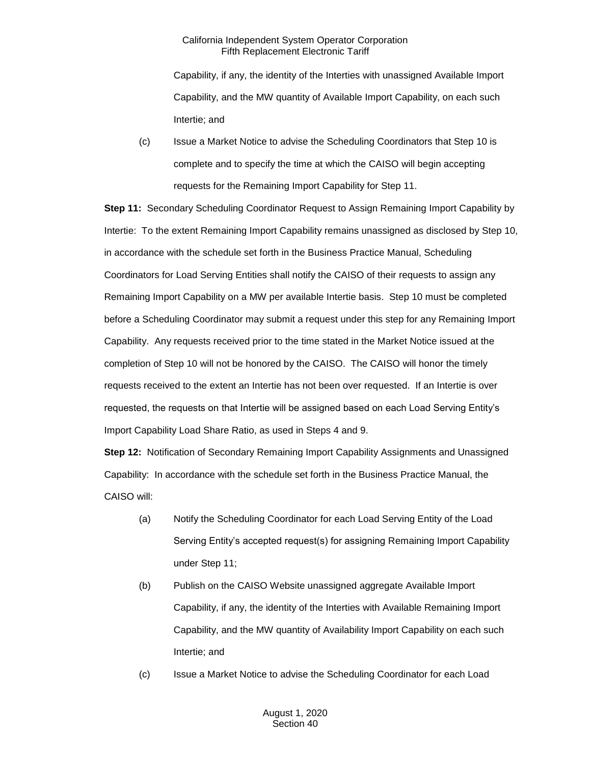Capability, if any, the identity of the Interties with unassigned Available Import Capability, and the MW quantity of Available Import Capability, on each such Intertie; and

(c) Issue a Market Notice to advise the Scheduling Coordinators that Step 10 is complete and to specify the time at which the CAISO will begin accepting requests for the Remaining Import Capability for Step 11.

**Step 11:** Secondary Scheduling Coordinator Request to Assign Remaining Import Capability by Intertie: To the extent Remaining Import Capability remains unassigned as disclosed by Step 10, in accordance with the schedule set forth in the Business Practice Manual, Scheduling Coordinators for Load Serving Entities shall notify the CAISO of their requests to assign any Remaining Import Capability on a MW per available Intertie basis. Step 10 must be completed before a Scheduling Coordinator may submit a request under this step for any Remaining Import Capability. Any requests received prior to the time stated in the Market Notice issued at the completion of Step 10 will not be honored by the CAISO. The CAISO will honor the timely requests received to the extent an Intertie has not been over requested. If an Intertie is over requested, the requests on that Intertie will be assigned based on each Load Serving Entity's Import Capability Load Share Ratio, as used in Steps 4 and 9.

**Step 12:** Notification of Secondary Remaining Import Capability Assignments and Unassigned Capability: In accordance with the schedule set forth in the Business Practice Manual, the CAISO will:

- (a) Notify the Scheduling Coordinator for each Load Serving Entity of the Load Serving Entity's accepted request(s) for assigning Remaining Import Capability under Step 11;
- (b) Publish on the CAISO Website unassigned aggregate Available Import Capability, if any, the identity of the Interties with Available Remaining Import Capability, and the MW quantity of Availability Import Capability on each such Intertie; and
- (c) Issue a Market Notice to advise the Scheduling Coordinator for each Load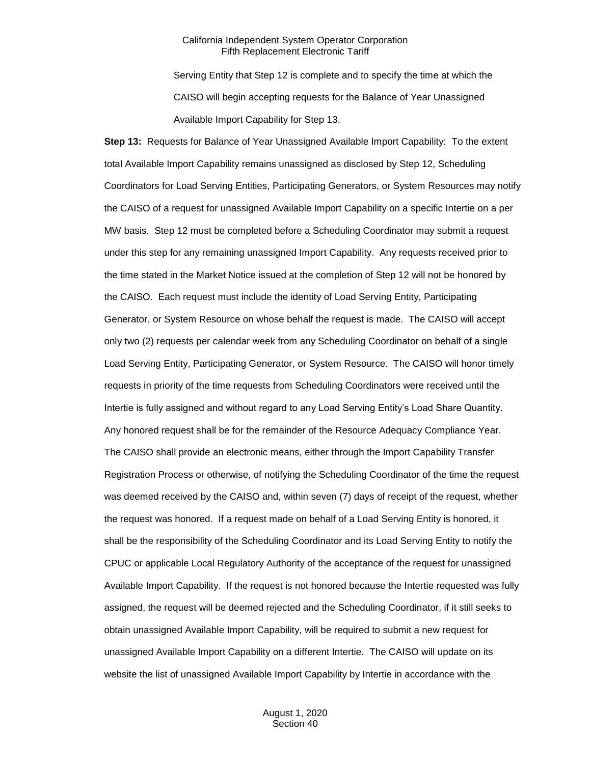Serving Entity that Step 12 is complete and to specify the time at which the CAISO will begin accepting requests for the Balance of Year Unassigned Available Import Capability for Step 13.

**Step 13:** Requests for Balance of Year Unassigned Available Import Capability: To the extent total Available Import Capability remains unassigned as disclosed by Step 12, Scheduling Coordinators for Load Serving Entities, Participating Generators, or System Resources may notify the CAISO of a request for unassigned Available Import Capability on a specific Intertie on a per MW basis. Step 12 must be completed before a Scheduling Coordinator may submit a request under this step for any remaining unassigned Import Capability. Any requests received prior to the time stated in the Market Notice issued at the completion of Step 12 will not be honored by the CAISO. Each request must include the identity of Load Serving Entity, Participating Generator, or System Resource on whose behalf the request is made. The CAISO will accept only two (2) requests per calendar week from any Scheduling Coordinator on behalf of a single Load Serving Entity, Participating Generator, or System Resource. The CAISO will honor timely requests in priority of the time requests from Scheduling Coordinators were received until the Intertie is fully assigned and without regard to any Load Serving Entity's Load Share Quantity. Any honored request shall be for the remainder of the Resource Adequacy Compliance Year. The CAISO shall provide an electronic means, either through the Import Capability Transfer Registration Process or otherwise, of notifying the Scheduling Coordinator of the time the request was deemed received by the CAISO and, within seven (7) days of receipt of the request, whether the request was honored. If a request made on behalf of a Load Serving Entity is honored, it shall be the responsibility of the Scheduling Coordinator and its Load Serving Entity to notify the CPUC or applicable Local Regulatory Authority of the acceptance of the request for unassigned Available Import Capability. If the request is not honored because the Intertie requested was fully assigned, the request will be deemed rejected and the Scheduling Coordinator, if it still seeks to obtain unassigned Available Import Capability, will be required to submit a new request for unassigned Available Import Capability on a different Intertie. The CAISO will update on its website the list of unassigned Available Import Capability by Intertie in accordance with the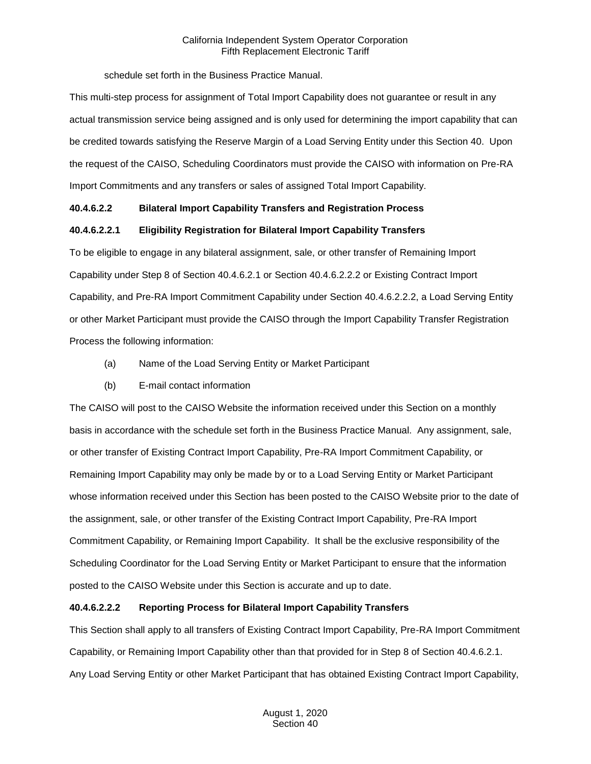schedule set forth in the Business Practice Manual.

This multi-step process for assignment of Total Import Capability does not guarantee or result in any actual transmission service being assigned and is only used for determining the import capability that can be credited towards satisfying the Reserve Margin of a Load Serving Entity under this Section 40. Upon the request of the CAISO, Scheduling Coordinators must provide the CAISO with information on Pre-RA Import Commitments and any transfers or sales of assigned Total Import Capability.

# **40.4.6.2.2 Bilateral Import Capability Transfers and Registration Process**

# **40.4.6.2.2.1 Eligibility Registration for Bilateral Import Capability Transfers**

To be eligible to engage in any bilateral assignment, sale, or other transfer of Remaining Import Capability under Step 8 of Section 40.4.6.2.1 or Section 40.4.6.2.2.2 or Existing Contract Import Capability, and Pre-RA Import Commitment Capability under Section 40.4.6.2.2.2, a Load Serving Entity or other Market Participant must provide the CAISO through the Import Capability Transfer Registration Process the following information:

- (a) Name of the Load Serving Entity or Market Participant
- (b) E-mail contact information

The CAISO will post to the CAISO Website the information received under this Section on a monthly basis in accordance with the schedule set forth in the Business Practice Manual. Any assignment, sale, or other transfer of Existing Contract Import Capability, Pre-RA Import Commitment Capability, or Remaining Import Capability may only be made by or to a Load Serving Entity or Market Participant whose information received under this Section has been posted to the CAISO Website prior to the date of the assignment, sale, or other transfer of the Existing Contract Import Capability, Pre-RA Import Commitment Capability, or Remaining Import Capability. It shall be the exclusive responsibility of the Scheduling Coordinator for the Load Serving Entity or Market Participant to ensure that the information posted to the CAISO Website under this Section is accurate and up to date.

# **40.4.6.2.2.2 Reporting Process for Bilateral Import Capability Transfers**

This Section shall apply to all transfers of Existing Contract Import Capability, Pre-RA Import Commitment Capability, or Remaining Import Capability other than that provided for in Step 8 of Section 40.4.6.2.1. Any Load Serving Entity or other Market Participant that has obtained Existing Contract Import Capability,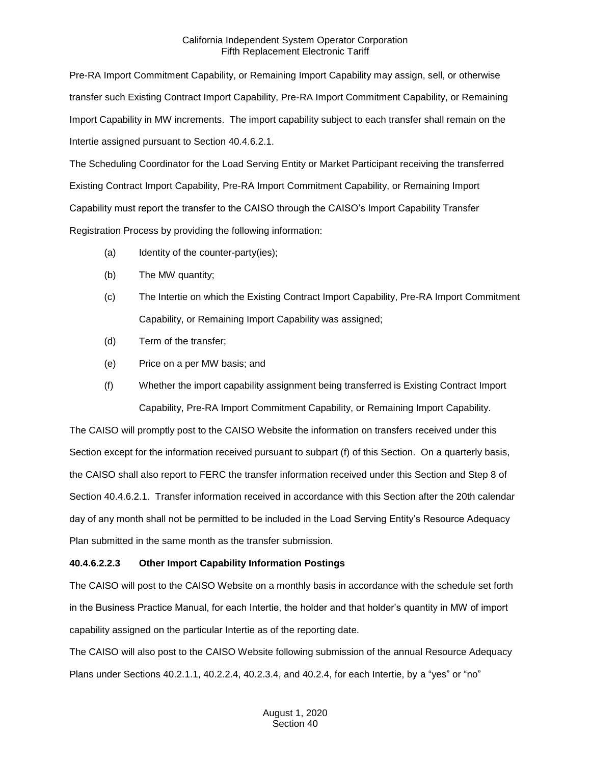Pre-RA Import Commitment Capability, or Remaining Import Capability may assign, sell, or otherwise transfer such Existing Contract Import Capability, Pre-RA Import Commitment Capability, or Remaining Import Capability in MW increments. The import capability subject to each transfer shall remain on the Intertie assigned pursuant to Section 40.4.6.2.1.

The Scheduling Coordinator for the Load Serving Entity or Market Participant receiving the transferred Existing Contract Import Capability, Pre-RA Import Commitment Capability, or Remaining Import Capability must report the transfer to the CAISO through the CAISO's Import Capability Transfer Registration Process by providing the following information:

- (a) Identity of the counter-party(ies);
- (b) The MW quantity;
- (c) The Intertie on which the Existing Contract Import Capability, Pre-RA Import Commitment Capability, or Remaining Import Capability was assigned;
- (d) Term of the transfer;
- (e) Price on a per MW basis; and
- (f) Whether the import capability assignment being transferred is Existing Contract Import Capability, Pre-RA Import Commitment Capability, or Remaining Import Capability.

The CAISO will promptly post to the CAISO Website the information on transfers received under this Section except for the information received pursuant to subpart (f) of this Section. On a quarterly basis, the CAISO shall also report to FERC the transfer information received under this Section and Step 8 of Section 40.4.6.2.1. Transfer information received in accordance with this Section after the 20th calendar day of any month shall not be permitted to be included in the Load Serving Entity's Resource Adequacy Plan submitted in the same month as the transfer submission.

# **40.4.6.2.2.3 Other Import Capability Information Postings**

The CAISO will post to the CAISO Website on a monthly basis in accordance with the schedule set forth in the Business Practice Manual, for each Intertie, the holder and that holder's quantity in MW of import capability assigned on the particular Intertie as of the reporting date.

The CAISO will also post to the CAISO Website following submission of the annual Resource Adequacy Plans under Sections 40.2.1.1, 40.2.2.4, 40.2.3.4, and 40.2.4, for each Intertie, by a "yes" or "no"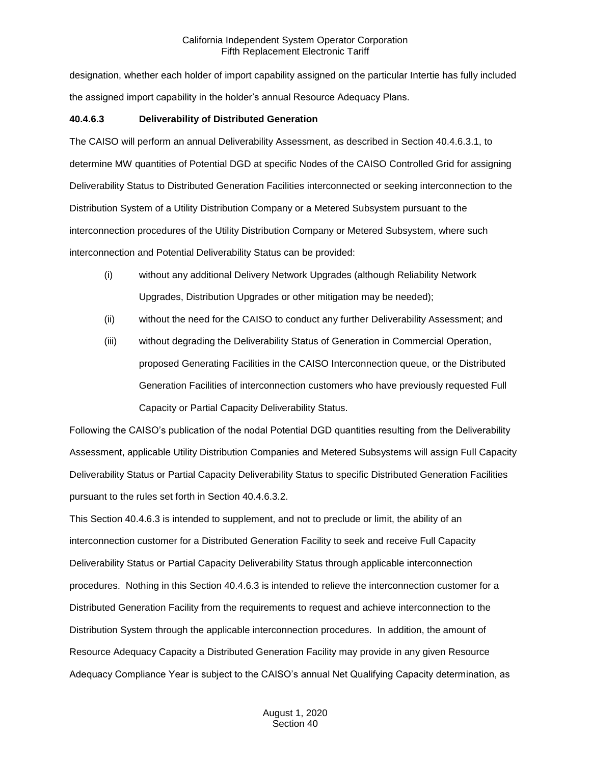designation, whether each holder of import capability assigned on the particular Intertie has fully included the assigned import capability in the holder's annual Resource Adequacy Plans.

#### **40.4.6.3 Deliverability of Distributed Generation**

The CAISO will perform an annual Deliverability Assessment, as described in Section 40.4.6.3.1, to determine MW quantities of Potential DGD at specific Nodes of the CAISO Controlled Grid for assigning Deliverability Status to Distributed Generation Facilities interconnected or seeking interconnection to the Distribution System of a Utility Distribution Company or a Metered Subsystem pursuant to the interconnection procedures of the Utility Distribution Company or Metered Subsystem, where such interconnection and Potential Deliverability Status can be provided:

- (i) without any additional Delivery Network Upgrades (although Reliability Network Upgrades, Distribution Upgrades or other mitigation may be needed);
- (ii) without the need for the CAISO to conduct any further Deliverability Assessment; and
- (iii) without degrading the Deliverability Status of Generation in Commercial Operation, proposed Generating Facilities in the CAISO Interconnection queue, or the Distributed Generation Facilities of interconnection customers who have previously requested Full Capacity or Partial Capacity Deliverability Status.

Following the CAISO's publication of the nodal Potential DGD quantities resulting from the Deliverability Assessment, applicable Utility Distribution Companies and Metered Subsystems will assign Full Capacity Deliverability Status or Partial Capacity Deliverability Status to specific Distributed Generation Facilities pursuant to the rules set forth in Section 40.4.6.3.2.

This Section 40.4.6.3 is intended to supplement, and not to preclude or limit, the ability of an interconnection customer for a Distributed Generation Facility to seek and receive Full Capacity Deliverability Status or Partial Capacity Deliverability Status through applicable interconnection procedures. Nothing in this Section 40.4.6.3 is intended to relieve the interconnection customer for a Distributed Generation Facility from the requirements to request and achieve interconnection to the Distribution System through the applicable interconnection procedures. In addition, the amount of Resource Adequacy Capacity a Distributed Generation Facility may provide in any given Resource Adequacy Compliance Year is subject to the CAISO's annual Net Qualifying Capacity determination, as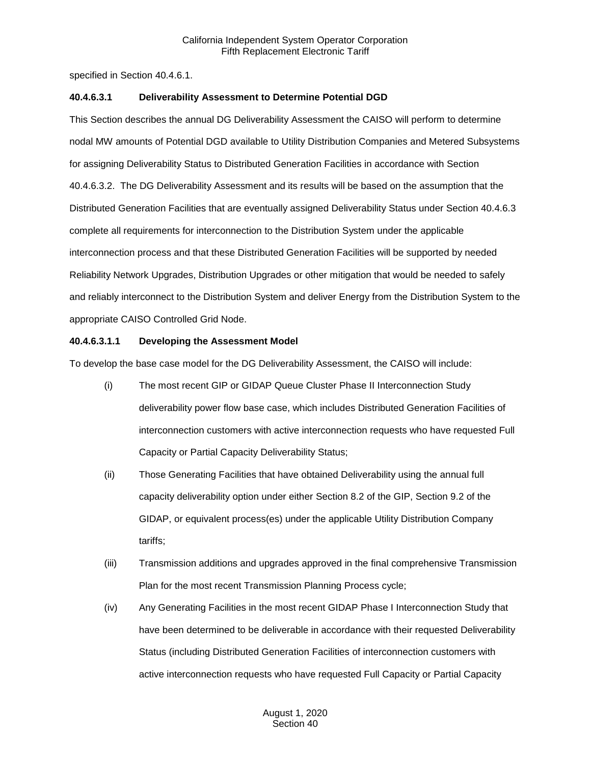specified in Section 40.4.6.1.

#### **40.4.6.3.1 Deliverability Assessment to Determine Potential DGD**

This Section describes the annual DG Deliverability Assessment the CAISO will perform to determine nodal MW amounts of Potential DGD available to Utility Distribution Companies and Metered Subsystems for assigning Deliverability Status to Distributed Generation Facilities in accordance with Section 40.4.6.3.2. The DG Deliverability Assessment and its results will be based on the assumption that the Distributed Generation Facilities that are eventually assigned Deliverability Status under Section 40.4.6.3 complete all requirements for interconnection to the Distribution System under the applicable interconnection process and that these Distributed Generation Facilities will be supported by needed Reliability Network Upgrades, Distribution Upgrades or other mitigation that would be needed to safely and reliably interconnect to the Distribution System and deliver Energy from the Distribution System to the appropriate CAISO Controlled Grid Node.

#### **40.4.6.3.1.1 Developing the Assessment Model**

To develop the base case model for the DG Deliverability Assessment, the CAISO will include:

- (i) The most recent GIP or GIDAP Queue Cluster Phase II Interconnection Study deliverability power flow base case, which includes Distributed Generation Facilities of interconnection customers with active interconnection requests who have requested Full Capacity or Partial Capacity Deliverability Status;
- (ii) Those Generating Facilities that have obtained Deliverability using the annual full capacity deliverability option under either Section 8.2 of the GIP, Section 9.2 of the GIDAP, or equivalent process(es) under the applicable Utility Distribution Company tariffs;
- (iii) Transmission additions and upgrades approved in the final comprehensive Transmission Plan for the most recent Transmission Planning Process cycle;
- (iv) Any Generating Facilities in the most recent GIDAP Phase I Interconnection Study that have been determined to be deliverable in accordance with their requested Deliverability Status (including Distributed Generation Facilities of interconnection customers with active interconnection requests who have requested Full Capacity or Partial Capacity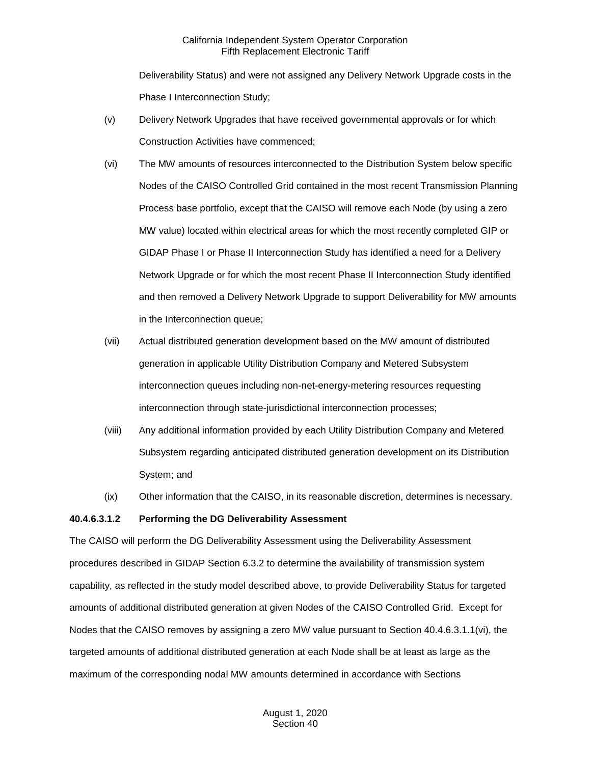Deliverability Status) and were not assigned any Delivery Network Upgrade costs in the Phase I Interconnection Study;

- (v) Delivery Network Upgrades that have received governmental approvals or for which Construction Activities have commenced;
- (vi) The MW amounts of resources interconnected to the Distribution System below specific Nodes of the CAISO Controlled Grid contained in the most recent Transmission Planning Process base portfolio, except that the CAISO will remove each Node (by using a zero MW value) located within electrical areas for which the most recently completed GIP or GIDAP Phase I or Phase II Interconnection Study has identified a need for a Delivery Network Upgrade or for which the most recent Phase II Interconnection Study identified and then removed a Delivery Network Upgrade to support Deliverability for MW amounts in the Interconnection queue;
- (vii) Actual distributed generation development based on the MW amount of distributed generation in applicable Utility Distribution Company and Metered Subsystem interconnection queues including non-net-energy-metering resources requesting interconnection through state-jurisdictional interconnection processes;
- (viii) Any additional information provided by each Utility Distribution Company and Metered Subsystem regarding anticipated distributed generation development on its Distribution System; and
- (ix) Other information that the CAISO, in its reasonable discretion, determines is necessary.

#### **40.4.6.3.1.2 Performing the DG Deliverability Assessment**

The CAISO will perform the DG Deliverability Assessment using the Deliverability Assessment procedures described in GIDAP Section 6.3.2 to determine the availability of transmission system capability, as reflected in the study model described above, to provide Deliverability Status for targeted amounts of additional distributed generation at given Nodes of the CAISO Controlled Grid. Except for Nodes that the CAISO removes by assigning a zero MW value pursuant to Section 40.4.6.3.1.1(vi), the targeted amounts of additional distributed generation at each Node shall be at least as large as the maximum of the corresponding nodal MW amounts determined in accordance with Sections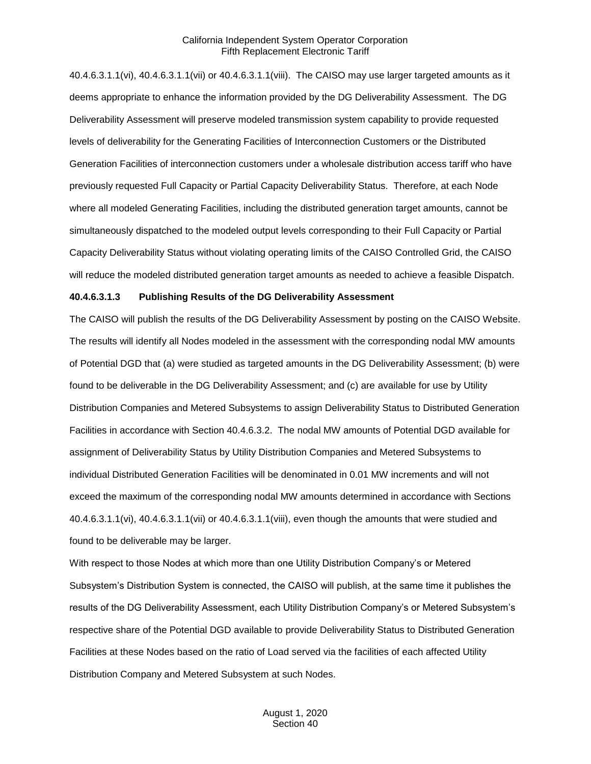40.4.6.3.1.1(vi), 40.4.6.3.1.1(vii) or 40.4.6.3.1.1(viii). The CAISO may use larger targeted amounts as it deems appropriate to enhance the information provided by the DG Deliverability Assessment. The DG Deliverability Assessment will preserve modeled transmission system capability to provide requested levels of deliverability for the Generating Facilities of Interconnection Customers or the Distributed Generation Facilities of interconnection customers under a wholesale distribution access tariff who have previously requested Full Capacity or Partial Capacity Deliverability Status. Therefore, at each Node where all modeled Generating Facilities, including the distributed generation target amounts, cannot be simultaneously dispatched to the modeled output levels corresponding to their Full Capacity or Partial Capacity Deliverability Status without violating operating limits of the CAISO Controlled Grid, the CAISO will reduce the modeled distributed generation target amounts as needed to achieve a feasible Dispatch.

#### **40.4.6.3.1.3 Publishing Results of the DG Deliverability Assessment**

The CAISO will publish the results of the DG Deliverability Assessment by posting on the CAISO Website. The results will identify all Nodes modeled in the assessment with the corresponding nodal MW amounts of Potential DGD that (a) were studied as targeted amounts in the DG Deliverability Assessment; (b) were found to be deliverable in the DG Deliverability Assessment; and (c) are available for use by Utility Distribution Companies and Metered Subsystems to assign Deliverability Status to Distributed Generation Facilities in accordance with Section 40.4.6.3.2. The nodal MW amounts of Potential DGD available for assignment of Deliverability Status by Utility Distribution Companies and Metered Subsystems to individual Distributed Generation Facilities will be denominated in 0.01 MW increments and will not exceed the maximum of the corresponding nodal MW amounts determined in accordance with Sections 40.4.6.3.1.1(vi), 40.4.6.3.1.1(vii) or 40.4.6.3.1.1(viii), even though the amounts that were studied and found to be deliverable may be larger.

With respect to those Nodes at which more than one Utility Distribution Company's or Metered Subsystem's Distribution System is connected, the CAISO will publish, at the same time it publishes the results of the DG Deliverability Assessment, each Utility Distribution Company's or Metered Subsystem's respective share of the Potential DGD available to provide Deliverability Status to Distributed Generation Facilities at these Nodes based on the ratio of Load served via the facilities of each affected Utility Distribution Company and Metered Subsystem at such Nodes.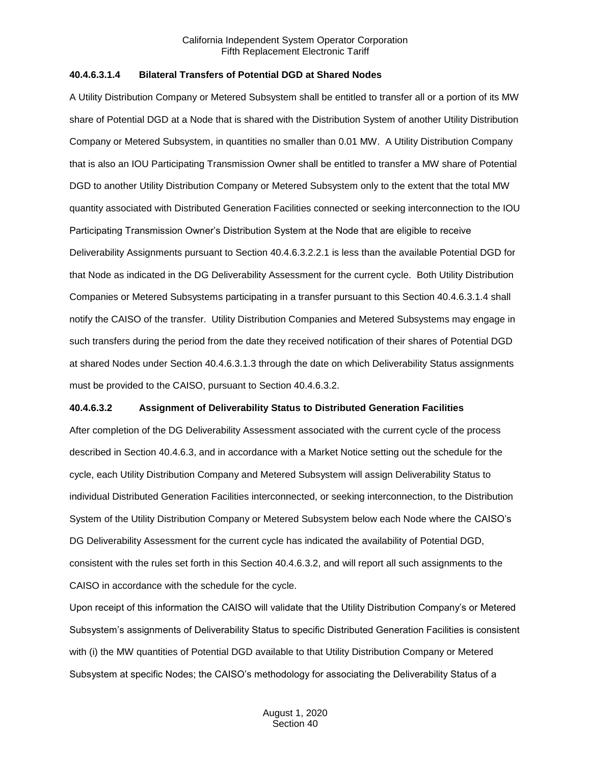#### **40.4.6.3.1.4 Bilateral Transfers of Potential DGD at Shared Nodes**

A Utility Distribution Company or Metered Subsystem shall be entitled to transfer all or a portion of its MW share of Potential DGD at a Node that is shared with the Distribution System of another Utility Distribution Company or Metered Subsystem, in quantities no smaller than 0.01 MW. A Utility Distribution Company that is also an IOU Participating Transmission Owner shall be entitled to transfer a MW share of Potential DGD to another Utility Distribution Company or Metered Subsystem only to the extent that the total MW quantity associated with Distributed Generation Facilities connected or seeking interconnection to the IOU Participating Transmission Owner's Distribution System at the Node that are eligible to receive Deliverability Assignments pursuant to Section 40.4.6.3.2.2.1 is less than the available Potential DGD for that Node as indicated in the DG Deliverability Assessment for the current cycle. Both Utility Distribution Companies or Metered Subsystems participating in a transfer pursuant to this Section 40.4.6.3.1.4 shall notify the CAISO of the transfer. Utility Distribution Companies and Metered Subsystems may engage in such transfers during the period from the date they received notification of their shares of Potential DGD at shared Nodes under Section 40.4.6.3.1.3 through the date on which Deliverability Status assignments must be provided to the CAISO, pursuant to Section 40.4.6.3.2.

#### **40.4.6.3.2 Assignment of Deliverability Status to Distributed Generation Facilities**

After completion of the DG Deliverability Assessment associated with the current cycle of the process described in Section 40.4.6.3, and in accordance with a Market Notice setting out the schedule for the cycle, each Utility Distribution Company and Metered Subsystem will assign Deliverability Status to individual Distributed Generation Facilities interconnected, or seeking interconnection, to the Distribution System of the Utility Distribution Company or Metered Subsystem below each Node where the CAISO's DG Deliverability Assessment for the current cycle has indicated the availability of Potential DGD, consistent with the rules set forth in this Section 40.4.6.3.2, and will report all such assignments to the CAISO in accordance with the schedule for the cycle.

Upon receipt of this information the CAISO will validate that the Utility Distribution Company's or Metered Subsystem's assignments of Deliverability Status to specific Distributed Generation Facilities is consistent with (i) the MW quantities of Potential DGD available to that Utility Distribution Company or Metered Subsystem at specific Nodes; the CAISO's methodology for associating the Deliverability Status of a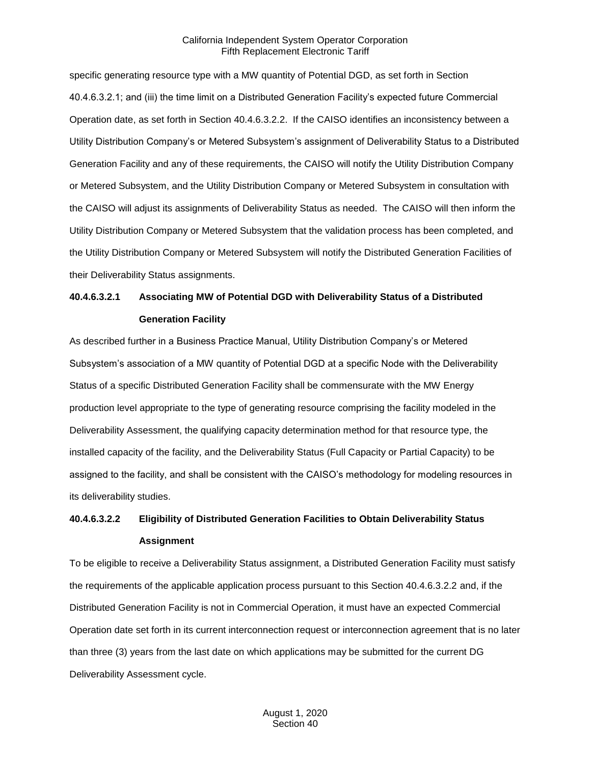specific generating resource type with a MW quantity of Potential DGD, as set forth in Section 40.4.6.3.2.1; and (iii) the time limit on a Distributed Generation Facility's expected future Commercial Operation date, as set forth in Section 40.4.6.3.2.2. If the CAISO identifies an inconsistency between a Utility Distribution Company's or Metered Subsystem's assignment of Deliverability Status to a Distributed Generation Facility and any of these requirements, the CAISO will notify the Utility Distribution Company or Metered Subsystem, and the Utility Distribution Company or Metered Subsystem in consultation with the CAISO will adjust its assignments of Deliverability Status as needed. The CAISO will then inform the Utility Distribution Company or Metered Subsystem that the validation process has been completed, and the Utility Distribution Company or Metered Subsystem will notify the Distributed Generation Facilities of their Deliverability Status assignments.

# **40.4.6.3.2.1 Associating MW of Potential DGD with Deliverability Status of a Distributed Generation Facility**

As described further in a Business Practice Manual, Utility Distribution Company's or Metered Subsystem's association of a MW quantity of Potential DGD at a specific Node with the Deliverability Status of a specific Distributed Generation Facility shall be commensurate with the MW Energy production level appropriate to the type of generating resource comprising the facility modeled in the Deliverability Assessment, the qualifying capacity determination method for that resource type, the installed capacity of the facility, and the Deliverability Status (Full Capacity or Partial Capacity) to be assigned to the facility, and shall be consistent with the CAISO's methodology for modeling resources in its deliverability studies.

# **40.4.6.3.2.2 Eligibility of Distributed Generation Facilities to Obtain Deliverability Status Assignment**

To be eligible to receive a Deliverability Status assignment, a Distributed Generation Facility must satisfy the requirements of the applicable application process pursuant to this Section 40.4.6.3.2.2 and, if the Distributed Generation Facility is not in Commercial Operation, it must have an expected Commercial Operation date set forth in its current interconnection request or interconnection agreement that is no later than three (3) years from the last date on which applications may be submitted for the current DG Deliverability Assessment cycle.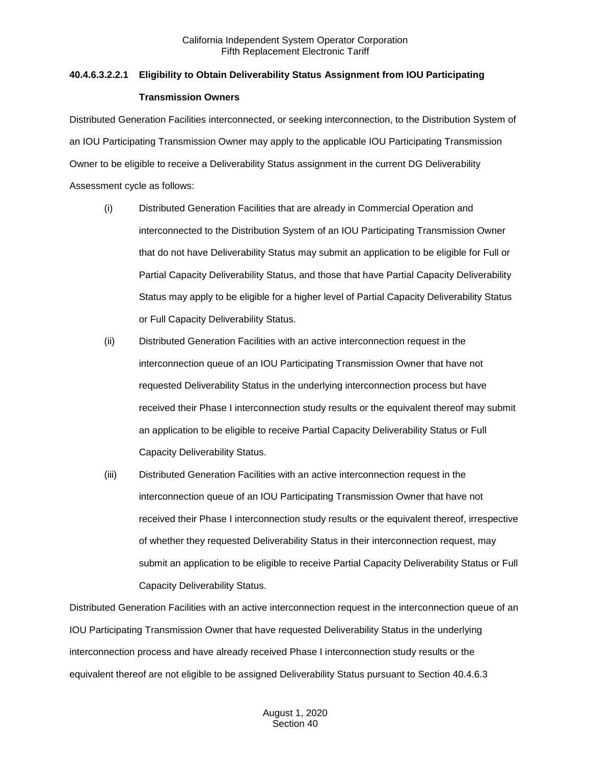# **40.4.6.3.2.2.1 Eligibility to Obtain Deliverability Status Assignment from IOU Participating Transmission Owners**

Distributed Generation Facilities interconnected, or seeking interconnection, to the Distribution System of an IOU Participating Transmission Owner may apply to the applicable IOU Participating Transmission Owner to be eligible to receive a Deliverability Status assignment in the current DG Deliverability Assessment cycle as follows:

- (i) Distributed Generation Facilities that are already in Commercial Operation and interconnected to the Distribution System of an IOU Participating Transmission Owner that do not have Deliverability Status may submit an application to be eligible for Full or Partial Capacity Deliverability Status, and those that have Partial Capacity Deliverability Status may apply to be eligible for a higher level of Partial Capacity Deliverability Status or Full Capacity Deliverability Status.
- (ii) Distributed Generation Facilities with an active interconnection request in the interconnection queue of an IOU Participating Transmission Owner that have not requested Deliverability Status in the underlying interconnection process but have received their Phase I interconnection study results or the equivalent thereof may submit an application to be eligible to receive Partial Capacity Deliverability Status or Full Capacity Deliverability Status.
- (iii) Distributed Generation Facilities with an active interconnection request in the interconnection queue of an IOU Participating Transmission Owner that have not received their Phase I interconnection study results or the equivalent thereof, irrespective of whether they requested Deliverability Status in their interconnection request, may submit an application to be eligible to receive Partial Capacity Deliverability Status or Full Capacity Deliverability Status.

Distributed Generation Facilities with an active interconnection request in the interconnection queue of an IOU Participating Transmission Owner that have requested Deliverability Status in the underlying interconnection process and have already received Phase I interconnection study results or the equivalent thereof are not eligible to be assigned Deliverability Status pursuant to Section 40.4.6.3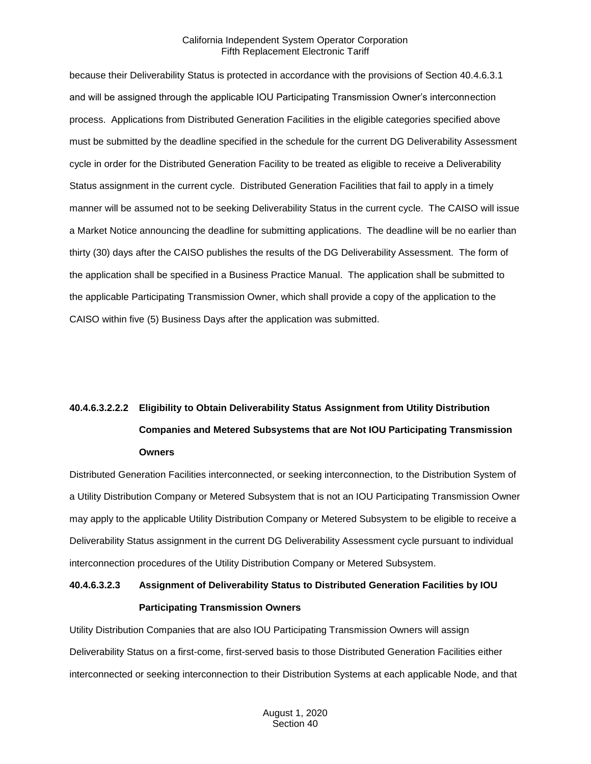because their Deliverability Status is protected in accordance with the provisions of Section 40.4.6.3.1 and will be assigned through the applicable IOU Participating Transmission Owner's interconnection process. Applications from Distributed Generation Facilities in the eligible categories specified above must be submitted by the deadline specified in the schedule for the current DG Deliverability Assessment cycle in order for the Distributed Generation Facility to be treated as eligible to receive a Deliverability Status assignment in the current cycle. Distributed Generation Facilities that fail to apply in a timely manner will be assumed not to be seeking Deliverability Status in the current cycle. The CAISO will issue a Market Notice announcing the deadline for submitting applications. The deadline will be no earlier than thirty (30) days after the CAISO publishes the results of the DG Deliverability Assessment. The form of the application shall be specified in a Business Practice Manual. The application shall be submitted to the applicable Participating Transmission Owner, which shall provide a copy of the application to the CAISO within five (5) Business Days after the application was submitted.

# **40.4.6.3.2.2.2 Eligibility to Obtain Deliverability Status Assignment from Utility Distribution Companies and Metered Subsystems that are Not IOU Participating Transmission Owners**

Distributed Generation Facilities interconnected, or seeking interconnection, to the Distribution System of a Utility Distribution Company or Metered Subsystem that is not an IOU Participating Transmission Owner may apply to the applicable Utility Distribution Company or Metered Subsystem to be eligible to receive a Deliverability Status assignment in the current DG Deliverability Assessment cycle pursuant to individual interconnection procedures of the Utility Distribution Company or Metered Subsystem.

# **40.4.6.3.2.3 Assignment of Deliverability Status to Distributed Generation Facilities by IOU Participating Transmission Owners**

Utility Distribution Companies that are also IOU Participating Transmission Owners will assign Deliverability Status on a first-come, first-served basis to those Distributed Generation Facilities either interconnected or seeking interconnection to their Distribution Systems at each applicable Node, and that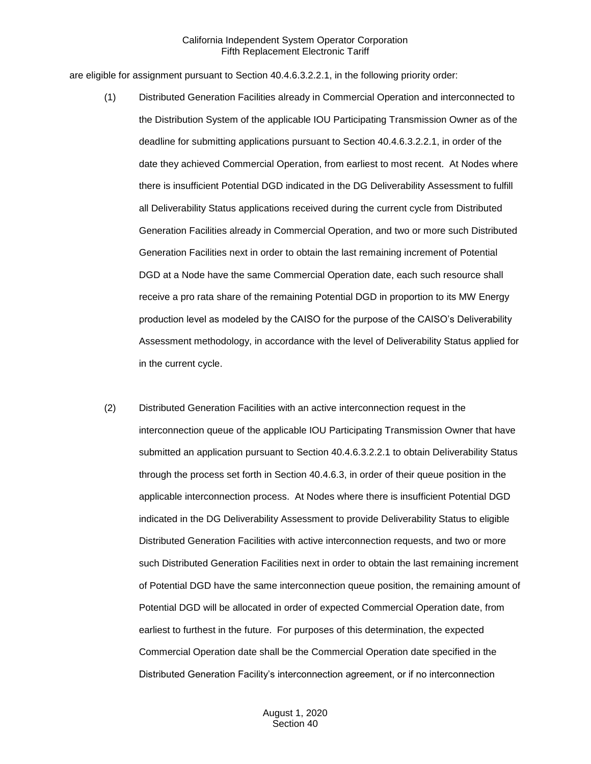are eligible for assignment pursuant to Section 40.4.6.3.2.2.1, in the following priority order:

- (1) Distributed Generation Facilities already in Commercial Operation and interconnected to the Distribution System of the applicable IOU Participating Transmission Owner as of the deadline for submitting applications pursuant to Section 40.4.6.3.2.2.1, in order of the date they achieved Commercial Operation, from earliest to most recent. At Nodes where there is insufficient Potential DGD indicated in the DG Deliverability Assessment to fulfill all Deliverability Status applications received during the current cycle from Distributed Generation Facilities already in Commercial Operation, and two or more such Distributed Generation Facilities next in order to obtain the last remaining increment of Potential DGD at a Node have the same Commercial Operation date, each such resource shall receive a pro rata share of the remaining Potential DGD in proportion to its MW Energy production level as modeled by the CAISO for the purpose of the CAISO's Deliverability Assessment methodology, in accordance with the level of Deliverability Status applied for in the current cycle.
- (2) Distributed Generation Facilities with an active interconnection request in the interconnection queue of the applicable IOU Participating Transmission Owner that have submitted an application pursuant to Section 40.4.6.3.2.2.1 to obtain Deliverability Status through the process set forth in Section 40.4.6.3, in order of their queue position in the applicable interconnection process. At Nodes where there is insufficient Potential DGD indicated in the DG Deliverability Assessment to provide Deliverability Status to eligible Distributed Generation Facilities with active interconnection requests, and two or more such Distributed Generation Facilities next in order to obtain the last remaining increment of Potential DGD have the same interconnection queue position, the remaining amount of Potential DGD will be allocated in order of expected Commercial Operation date, from earliest to furthest in the future. For purposes of this determination, the expected Commercial Operation date shall be the Commercial Operation date specified in the Distributed Generation Facility's interconnection agreement, or if no interconnection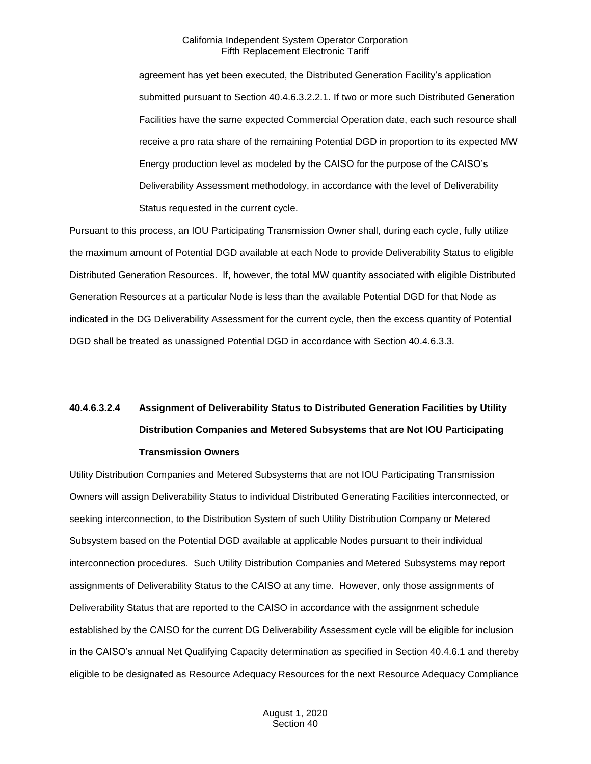agreement has yet been executed, the Distributed Generation Facility's application submitted pursuant to Section 40.4.6.3.2.2.1. If two or more such Distributed Generation Facilities have the same expected Commercial Operation date, each such resource shall receive a pro rata share of the remaining Potential DGD in proportion to its expected MW Energy production level as modeled by the CAISO for the purpose of the CAISO's Deliverability Assessment methodology, in accordance with the level of Deliverability Status requested in the current cycle.

Pursuant to this process, an IOU Participating Transmission Owner shall, during each cycle, fully utilize the maximum amount of Potential DGD available at each Node to provide Deliverability Status to eligible Distributed Generation Resources. If, however, the total MW quantity associated with eligible Distributed Generation Resources at a particular Node is less than the available Potential DGD for that Node as indicated in the DG Deliverability Assessment for the current cycle, then the excess quantity of Potential DGD shall be treated as unassigned Potential DGD in accordance with Section 40.4.6.3.3.

# **40.4.6.3.2.4 Assignment of Deliverability Status to Distributed Generation Facilities by Utility Distribution Companies and Metered Subsystems that are Not IOU Participating Transmission Owners**

Utility Distribution Companies and Metered Subsystems that are not IOU Participating Transmission Owners will assign Deliverability Status to individual Distributed Generating Facilities interconnected, or seeking interconnection, to the Distribution System of such Utility Distribution Company or Metered Subsystem based on the Potential DGD available at applicable Nodes pursuant to their individual interconnection procedures. Such Utility Distribution Companies and Metered Subsystems may report assignments of Deliverability Status to the CAISO at any time. However, only those assignments of Deliverability Status that are reported to the CAISO in accordance with the assignment schedule established by the CAISO for the current DG Deliverability Assessment cycle will be eligible for inclusion in the CAISO's annual Net Qualifying Capacity determination as specified in Section 40.4.6.1 and thereby eligible to be designated as Resource Adequacy Resources for the next Resource Adequacy Compliance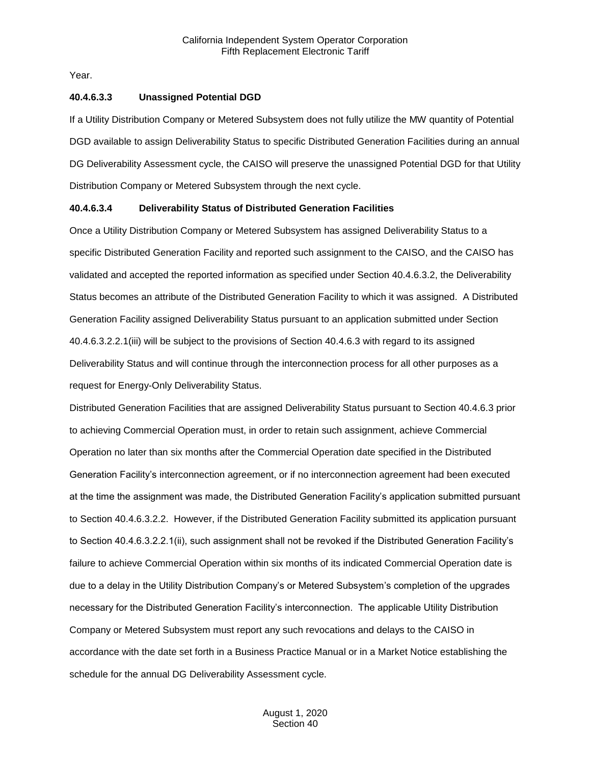Year.

#### **40.4.6.3.3 Unassigned Potential DGD**

If a Utility Distribution Company or Metered Subsystem does not fully utilize the MW quantity of Potential DGD available to assign Deliverability Status to specific Distributed Generation Facilities during an annual DG Deliverability Assessment cycle, the CAISO will preserve the unassigned Potential DGD for that Utility Distribution Company or Metered Subsystem through the next cycle.

#### **40.4.6.3.4 Deliverability Status of Distributed Generation Facilities**

Once a Utility Distribution Company or Metered Subsystem has assigned Deliverability Status to a specific Distributed Generation Facility and reported such assignment to the CAISO, and the CAISO has validated and accepted the reported information as specified under Section 40.4.6.3.2, the Deliverability Status becomes an attribute of the Distributed Generation Facility to which it was assigned. A Distributed Generation Facility assigned Deliverability Status pursuant to an application submitted under Section 40.4.6.3.2.2.1(iii) will be subject to the provisions of Section 40.4.6.3 with regard to its assigned Deliverability Status and will continue through the interconnection process for all other purposes as a request for Energy-Only Deliverability Status.

Distributed Generation Facilities that are assigned Deliverability Status pursuant to Section 40.4.6.3 prior to achieving Commercial Operation must, in order to retain such assignment, achieve Commercial Operation no later than six months after the Commercial Operation date specified in the Distributed Generation Facility's interconnection agreement, or if no interconnection agreement had been executed at the time the assignment was made, the Distributed Generation Facility's application submitted pursuant to Section 40.4.6.3.2.2. However, if the Distributed Generation Facility submitted its application pursuant to Section 40.4.6.3.2.2.1(ii), such assignment shall not be revoked if the Distributed Generation Facility's failure to achieve Commercial Operation within six months of its indicated Commercial Operation date is due to a delay in the Utility Distribution Company's or Metered Subsystem's completion of the upgrades necessary for the Distributed Generation Facility's interconnection. The applicable Utility Distribution Company or Metered Subsystem must report any such revocations and delays to the CAISO in accordance with the date set forth in a Business Practice Manual or in a Market Notice establishing the schedule for the annual DG Deliverability Assessment cycle.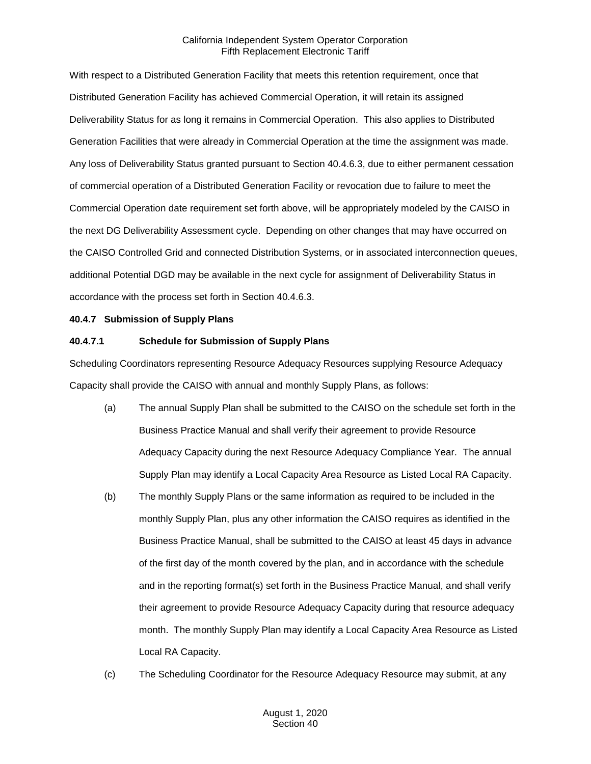With respect to a Distributed Generation Facility that meets this retention requirement, once that Distributed Generation Facility has achieved Commercial Operation, it will retain its assigned Deliverability Status for as long it remains in Commercial Operation. This also applies to Distributed Generation Facilities that were already in Commercial Operation at the time the assignment was made. Any loss of Deliverability Status granted pursuant to Section 40.4.6.3, due to either permanent cessation of commercial operation of a Distributed Generation Facility or revocation due to failure to meet the Commercial Operation date requirement set forth above, will be appropriately modeled by the CAISO in the next DG Deliverability Assessment cycle. Depending on other changes that may have occurred on the CAISO Controlled Grid and connected Distribution Systems, or in associated interconnection queues, additional Potential DGD may be available in the next cycle for assignment of Deliverability Status in accordance with the process set forth in Section 40.4.6.3.

#### <span id="page-32-0"></span>**40.4.7 Submission of Supply Plans**

# **40.4.7.1 Schedule for Submission of Supply Plans**

Scheduling Coordinators representing Resource Adequacy Resources supplying Resource Adequacy Capacity shall provide the CAISO with annual and monthly Supply Plans, as follows:

- (a) The annual Supply Plan shall be submitted to the CAISO on the schedule set forth in the Business Practice Manual and shall verify their agreement to provide Resource Adequacy Capacity during the next Resource Adequacy Compliance Year. The annual Supply Plan may identify a Local Capacity Area Resource as Listed Local RA Capacity.
- (b) The monthly Supply Plans or the same information as required to be included in the monthly Supply Plan, plus any other information the CAISO requires as identified in the Business Practice Manual, shall be submitted to the CAISO at least 45 days in advance of the first day of the month covered by the plan, and in accordance with the schedule and in the reporting format(s) set forth in the Business Practice Manual, and shall verify their agreement to provide Resource Adequacy Capacity during that resource adequacy month. The monthly Supply Plan may identify a Local Capacity Area Resource as Listed Local RA Capacity.
- (c) The Scheduling Coordinator for the Resource Adequacy Resource may submit, at any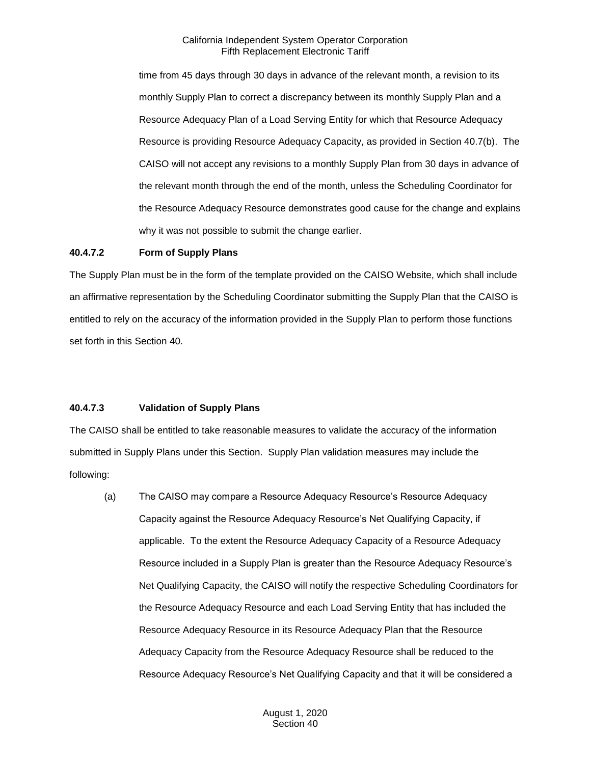time from 45 days through 30 days in advance of the relevant month, a revision to its monthly Supply Plan to correct a discrepancy between its monthly Supply Plan and a Resource Adequacy Plan of a Load Serving Entity for which that Resource Adequacy Resource is providing Resource Adequacy Capacity, as provided in Section 40.7(b). The CAISO will not accept any revisions to a monthly Supply Plan from 30 days in advance of the relevant month through the end of the month, unless the Scheduling Coordinator for the Resource Adequacy Resource demonstrates good cause for the change and explains why it was not possible to submit the change earlier.

#### **40.4.7.2 Form of Supply Plans**

The Supply Plan must be in the form of the template provided on the CAISO Website, which shall include an affirmative representation by the Scheduling Coordinator submitting the Supply Plan that the CAISO is entitled to rely on the accuracy of the information provided in the Supply Plan to perform those functions set forth in this Section 40.

# **40.4.7.3 Validation of Supply Plans**

The CAISO shall be entitled to take reasonable measures to validate the accuracy of the information submitted in Supply Plans under this Section. Supply Plan validation measures may include the following:

(a) The CAISO may compare a Resource Adequacy Resource's Resource Adequacy Capacity against the Resource Adequacy Resource's Net Qualifying Capacity, if applicable. To the extent the Resource Adequacy Capacity of a Resource Adequacy Resource included in a Supply Plan is greater than the Resource Adequacy Resource's Net Qualifying Capacity, the CAISO will notify the respective Scheduling Coordinators for the Resource Adequacy Resource and each Load Serving Entity that has included the Resource Adequacy Resource in its Resource Adequacy Plan that the Resource Adequacy Capacity from the Resource Adequacy Resource shall be reduced to the Resource Adequacy Resource's Net Qualifying Capacity and that it will be considered a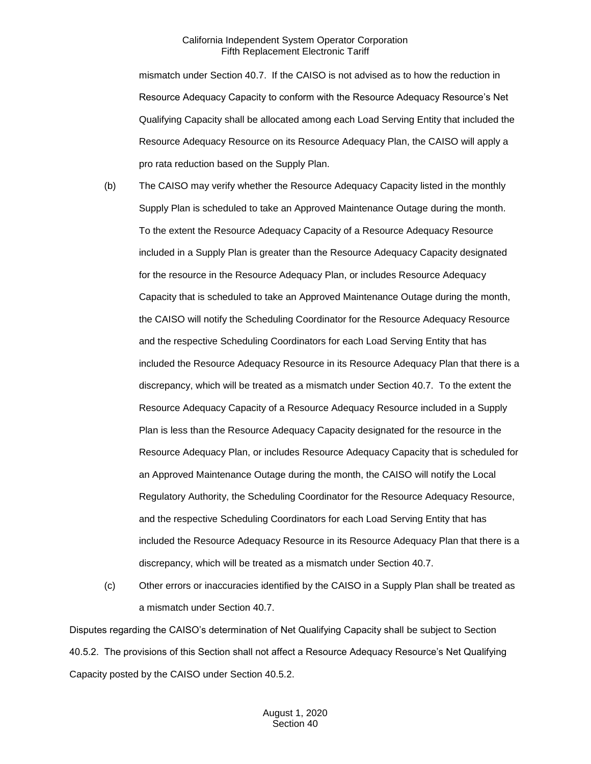mismatch under Section 40.7. If the CAISO is not advised as to how the reduction in Resource Adequacy Capacity to conform with the Resource Adequacy Resource's Net Qualifying Capacity shall be allocated among each Load Serving Entity that included the Resource Adequacy Resource on its Resource Adequacy Plan, the CAISO will apply a pro rata reduction based on the Supply Plan.

- (b) The CAISO may verify whether the Resource Adequacy Capacity listed in the monthly Supply Plan is scheduled to take an Approved Maintenance Outage during the month. To the extent the Resource Adequacy Capacity of a Resource Adequacy Resource included in a Supply Plan is greater than the Resource Adequacy Capacity designated for the resource in the Resource Adequacy Plan, or includes Resource Adequacy Capacity that is scheduled to take an Approved Maintenance Outage during the month, the CAISO will notify the Scheduling Coordinator for the Resource Adequacy Resource and the respective Scheduling Coordinators for each Load Serving Entity that has included the Resource Adequacy Resource in its Resource Adequacy Plan that there is a discrepancy, which will be treated as a mismatch under Section 40.7. To the extent the Resource Adequacy Capacity of a Resource Adequacy Resource included in a Supply Plan is less than the Resource Adequacy Capacity designated for the resource in the Resource Adequacy Plan, or includes Resource Adequacy Capacity that is scheduled for an Approved Maintenance Outage during the month, the CAISO will notify the Local Regulatory Authority, the Scheduling Coordinator for the Resource Adequacy Resource, and the respective Scheduling Coordinators for each Load Serving Entity that has included the Resource Adequacy Resource in its Resource Adequacy Plan that there is a discrepancy, which will be treated as a mismatch under Section 40.7.
- (c) Other errors or inaccuracies identified by the CAISO in a Supply Plan shall be treated as a mismatch under Section 40.7.

Disputes regarding the CAISO's determination of Net Qualifying Capacity shall be subject to Section 40.5.2. The provisions of this Section shall not affect a Resource Adequacy Resource's Net Qualifying Capacity posted by the CAISO under Section 40.5.2.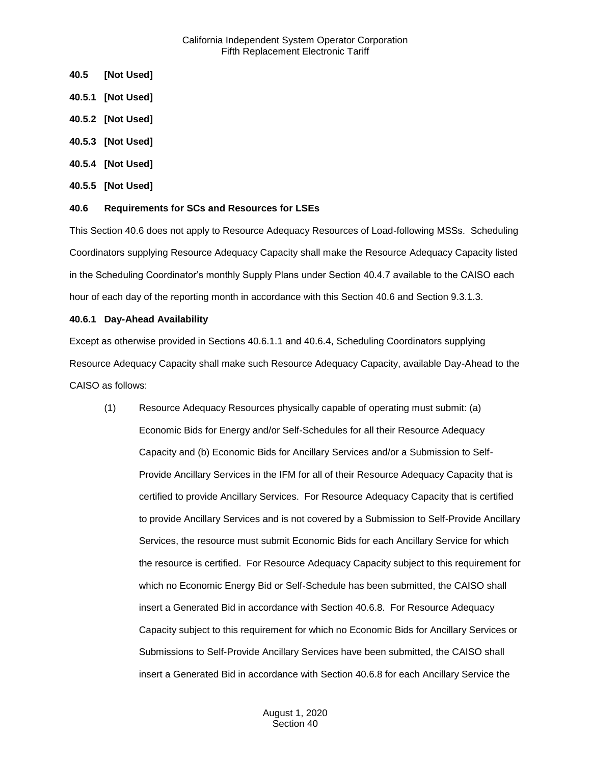- <span id="page-35-0"></span>**40.5 [Not Used]**
- <span id="page-35-1"></span>**40.5.1 [Not Used]**
- <span id="page-35-2"></span>**40.5.2 [Not Used]**
- <span id="page-35-3"></span>**40.5.3 [Not Used]**
- <span id="page-35-4"></span>**40.5.4 [Not Used]**
- <span id="page-35-5"></span>**40.5.5 [Not Used]**

#### <span id="page-35-6"></span>**40.6 Requirements for SCs and Resources for LSEs**

This Section 40.6 does not apply to Resource Adequacy Resources of Load-following MSSs. Scheduling Coordinators supplying Resource Adequacy Capacity shall make the Resource Adequacy Capacity listed in the Scheduling Coordinator's monthly Supply Plans under Section 40.4.7 available to the CAISO each hour of each day of the reporting month in accordance with this Section 40.6 and Section 9.3.1.3.

#### <span id="page-35-7"></span>**40.6.1 Day-Ahead Availability**

Except as otherwise provided in Sections 40.6.1.1 and 40.6.4, Scheduling Coordinators supplying Resource Adequacy Capacity shall make such Resource Adequacy Capacity, available Day-Ahead to the CAISO as follows:

(1) Resource Adequacy Resources physically capable of operating must submit: (a) Economic Bids for Energy and/or Self-Schedules for all their Resource Adequacy Capacity and (b) Economic Bids for Ancillary Services and/or a Submission to Self-Provide Ancillary Services in the IFM for all of their Resource Adequacy Capacity that is certified to provide Ancillary Services. For Resource Adequacy Capacity that is certified to provide Ancillary Services and is not covered by a Submission to Self-Provide Ancillary Services, the resource must submit Economic Bids for each Ancillary Service for which the resource is certified. For Resource Adequacy Capacity subject to this requirement for which no Economic Energy Bid or Self-Schedule has been submitted, the CAISO shall insert a Generated Bid in accordance with Section 40.6.8. For Resource Adequacy Capacity subject to this requirement for which no Economic Bids for Ancillary Services or Submissions to Self-Provide Ancillary Services have been submitted, the CAISO shall insert a Generated Bid in accordance with Section 40.6.8 for each Ancillary Service the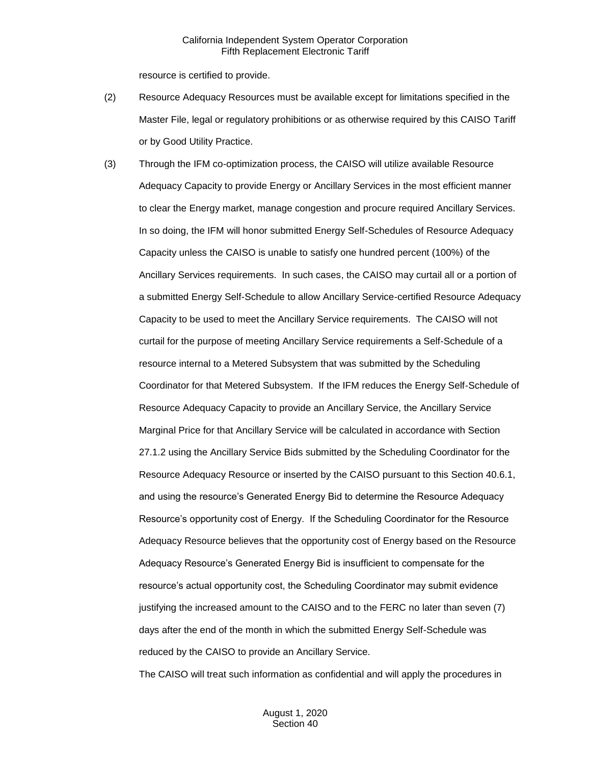resource is certified to provide.

- (2) Resource Adequacy Resources must be available except for limitations specified in the Master File, legal or regulatory prohibitions or as otherwise required by this CAISO Tariff or by Good Utility Practice.
- (3) Through the IFM co-optimization process, the CAISO will utilize available Resource Adequacy Capacity to provide Energy or Ancillary Services in the most efficient manner to clear the Energy market, manage congestion and procure required Ancillary Services. In so doing, the IFM will honor submitted Energy Self-Schedules of Resource Adequacy Capacity unless the CAISO is unable to satisfy one hundred percent (100%) of the Ancillary Services requirements. In such cases, the CAISO may curtail all or a portion of a submitted Energy Self-Schedule to allow Ancillary Service-certified Resource Adequacy Capacity to be used to meet the Ancillary Service requirements. The CAISO will not curtail for the purpose of meeting Ancillary Service requirements a Self-Schedule of a resource internal to a Metered Subsystem that was submitted by the Scheduling Coordinator for that Metered Subsystem. If the IFM reduces the Energy Self-Schedule of Resource Adequacy Capacity to provide an Ancillary Service, the Ancillary Service Marginal Price for that Ancillary Service will be calculated in accordance with Section 27.1.2 using the Ancillary Service Bids submitted by the Scheduling Coordinator for the Resource Adequacy Resource or inserted by the CAISO pursuant to this Section 40.6.1, and using the resource's Generated Energy Bid to determine the Resource Adequacy Resource's opportunity cost of Energy. If the Scheduling Coordinator for the Resource Adequacy Resource believes that the opportunity cost of Energy based on the Resource Adequacy Resource's Generated Energy Bid is insufficient to compensate for the resource's actual opportunity cost, the Scheduling Coordinator may submit evidence justifying the increased amount to the CAISO and to the FERC no later than seven (7) days after the end of the month in which the submitted Energy Self-Schedule was reduced by the CAISO to provide an Ancillary Service.

The CAISO will treat such information as confidential and will apply the procedures in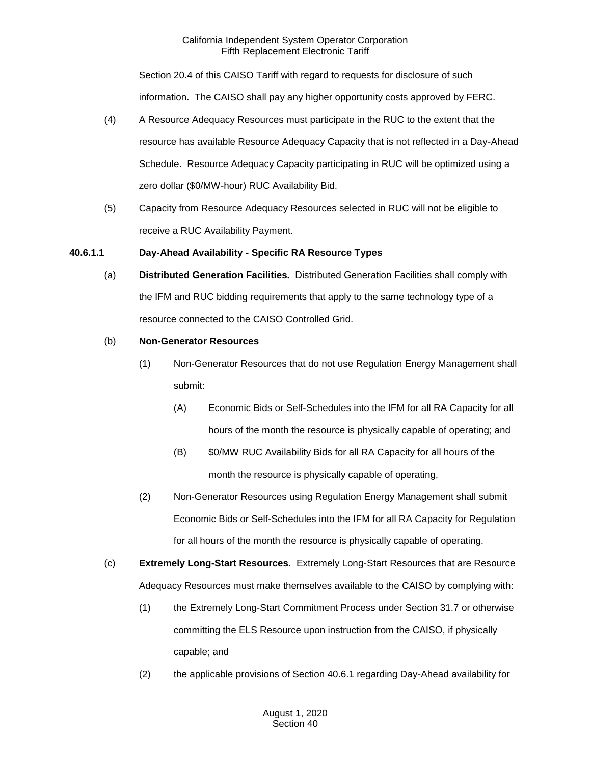Section 20.4 of this CAISO Tariff with regard to requests for disclosure of such information. The CAISO shall pay any higher opportunity costs approved by FERC.

- (4) A Resource Adequacy Resources must participate in the RUC to the extent that the resource has available Resource Adequacy Capacity that is not reflected in a Day-Ahead Schedule. Resource Adequacy Capacity participating in RUC will be optimized using a zero dollar (\$0/MW-hour) RUC Availability Bid.
- (5) Capacity from Resource Adequacy Resources selected in RUC will not be eligible to receive a RUC Availability Payment.

# **40.6.1.1 Day-Ahead Availability - Specific RA Resource Types**

(a) **Distributed Generation Facilities.** Distributed Generation Facilities shall comply with the IFM and RUC bidding requirements that apply to the same technology type of a resource connected to the CAISO Controlled Grid.

# (b) **Non-Generator Resources**

- (1) Non-Generator Resources that do not use Regulation Energy Management shall submit:
	- (A) Economic Bids or Self-Schedules into the IFM for all RA Capacity for all hours of the month the resource is physically capable of operating; and
	- (B) \$0/MW RUC Availability Bids for all RA Capacity for all hours of the month the resource is physically capable of operating,
- (2) Non-Generator Resources using Regulation Energy Management shall submit Economic Bids or Self-Schedules into the IFM for all RA Capacity for Regulation for all hours of the month the resource is physically capable of operating.
- (c) **Extremely Long-Start Resources.** Extremely Long-Start Resources that are Resource Adequacy Resources must make themselves available to the CAISO by complying with:
	- (1) the Extremely Long-Start Commitment Process under Section 31.7 or otherwise committing the ELS Resource upon instruction from the CAISO, if physically capable; and
	- (2) the applicable provisions of Section 40.6.1 regarding Day-Ahead availability for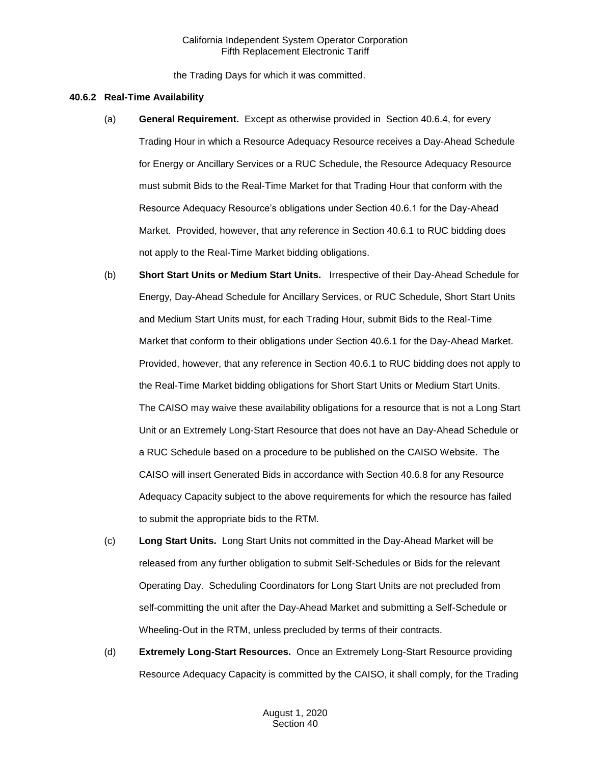the Trading Days for which it was committed.

#### **40.6.2 Real-Time Availability**

- (a) **General Requirement.** Except as otherwise provided in Section 40.6.4, for every Trading Hour in which a Resource Adequacy Resource receives a Day-Ahead Schedule for Energy or Ancillary Services or a RUC Schedule, the Resource Adequacy Resource must submit Bids to the Real-Time Market for that Trading Hour that conform with the Resource Adequacy Resource's obligations under Section 40.6.1 for the Day-Ahead Market. Provided, however, that any reference in Section 40.6.1 to RUC bidding does not apply to the Real-Time Market bidding obligations.
- (b) **Short Start Units or Medium Start Units.** Irrespective of their Day-Ahead Schedule for Energy, Day-Ahead Schedule for Ancillary Services, or RUC Schedule, Short Start Units and Medium Start Units must, for each Trading Hour, submit Bids to the Real-Time Market that conform to their obligations under Section 40.6.1 for the Day-Ahead Market. Provided, however, that any reference in Section 40.6.1 to RUC bidding does not apply to the Real-Time Market bidding obligations for Short Start Units or Medium Start Units. The CAISO may waive these availability obligations for a resource that is not a Long Start Unit or an Extremely Long-Start Resource that does not have an Day-Ahead Schedule or a RUC Schedule based on a procedure to be published on the CAISO Website. The CAISO will insert Generated Bids in accordance with Section 40.6.8 for any Resource Adequacy Capacity subject to the above requirements for which the resource has failed to submit the appropriate bids to the RTM.
- (c) **Long Start Units.** Long Start Units not committed in the Day-Ahead Market will be released from any further obligation to submit Self-Schedules or Bids for the relevant Operating Day. Scheduling Coordinators for Long Start Units are not precluded from self-committing the unit after the Day-Ahead Market and submitting a Self-Schedule or Wheeling-Out in the RTM, unless precluded by terms of their contracts.
- (d) **Extremely Long-Start Resources.** Once an Extremely Long-Start Resource providing Resource Adequacy Capacity is committed by the CAISO, it shall comply, for the Trading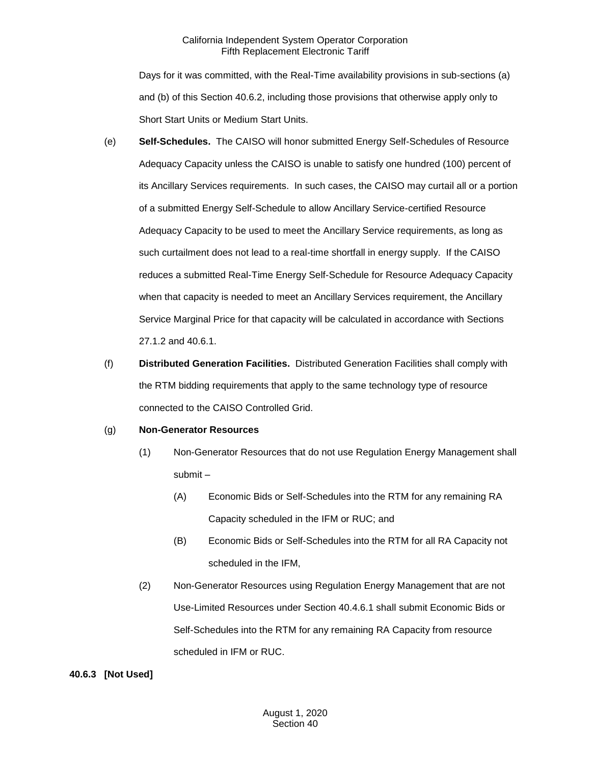Days for it was committed, with the Real-Time availability provisions in sub-sections (a) and (b) of this Section 40.6.2, including those provisions that otherwise apply only to Short Start Units or Medium Start Units.

- (e) **Self-Schedules.** The CAISO will honor submitted Energy Self-Schedules of Resource Adequacy Capacity unless the CAISO is unable to satisfy one hundred (100) percent of its Ancillary Services requirements. In such cases, the CAISO may curtail all or a portion of a submitted Energy Self-Schedule to allow Ancillary Service-certified Resource Adequacy Capacity to be used to meet the Ancillary Service requirements, as long as such curtailment does not lead to a real-time shortfall in energy supply. If the CAISO reduces a submitted Real-Time Energy Self-Schedule for Resource Adequacy Capacity when that capacity is needed to meet an Ancillary Services requirement, the Ancillary Service Marginal Price for that capacity will be calculated in accordance with Sections 27.1.2 and 40.6.1.
- (f) **Distributed Generation Facilities.** Distributed Generation Facilities shall comply with the RTM bidding requirements that apply to the same technology type of resource connected to the CAISO Controlled Grid.

# (g) **Non-Generator Resources**

- (1) Non-Generator Resources that do not use Regulation Energy Management shall submit –
	- (A) Economic Bids or Self-Schedules into the RTM for any remaining RA Capacity scheduled in the IFM or RUC; and
	- (B) Economic Bids or Self-Schedules into the RTM for all RA Capacity not scheduled in the IFM,
- (2) Non-Generator Resources using Regulation Energy Management that are not Use-Limited Resources under Section 40.4.6.1 shall submit Economic Bids or Self-Schedules into the RTM for any remaining RA Capacity from resource scheduled in IFM or RUC.

# **40.6.3 [Not Used]**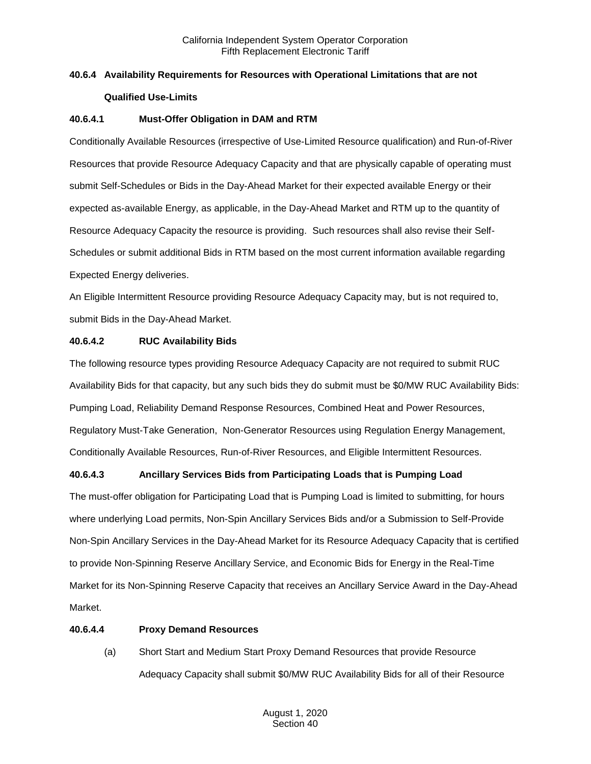# **40.6.4 Availability Requirements for Resources with Operational Limitations that are not Qualified Use-Limits**

# **40.6.4.1 Must-Offer Obligation in DAM and RTM**

Conditionally Available Resources (irrespective of Use-Limited Resource qualification) and Run-of-River Resources that provide Resource Adequacy Capacity and that are physically capable of operating must submit Self-Schedules or Bids in the Day-Ahead Market for their expected available Energy or their expected as-available Energy, as applicable, in the Day-Ahead Market and RTM up to the quantity of Resource Adequacy Capacity the resource is providing. Such resources shall also revise their Self-Schedules or submit additional Bids in RTM based on the most current information available regarding Expected Energy deliveries.

An Eligible Intermittent Resource providing Resource Adequacy Capacity may, but is not required to, submit Bids in the Day-Ahead Market.

## **40.6.4.2 RUC Availability Bids**

The following resource types providing Resource Adequacy Capacity are not required to submit RUC Availability Bids for that capacity, but any such bids they do submit must be \$0/MW RUC Availability Bids: Pumping Load, Reliability Demand Response Resources, Combined Heat and Power Resources, Regulatory Must-Take Generation, Non-Generator Resources using Regulation Energy Management, Conditionally Available Resources, Run-of-River Resources, and Eligible Intermittent Resources.

# **40.6.4.3 Ancillary Services Bids from Participating Loads that is Pumping Load**

The must-offer obligation for Participating Load that is Pumping Load is limited to submitting, for hours where underlying Load permits, Non-Spin Ancillary Services Bids and/or a Submission to Self-Provide Non-Spin Ancillary Services in the Day-Ahead Market for its Resource Adequacy Capacity that is certified to provide Non-Spinning Reserve Ancillary Service, and Economic Bids for Energy in the Real-Time Market for its Non-Spinning Reserve Capacity that receives an Ancillary Service Award in the Day-Ahead Market.

#### **40.6.4.4 Proxy Demand Resources**

(a) Short Start and Medium Start Proxy Demand Resources that provide Resource Adequacy Capacity shall submit \$0/MW RUC Availability Bids for all of their Resource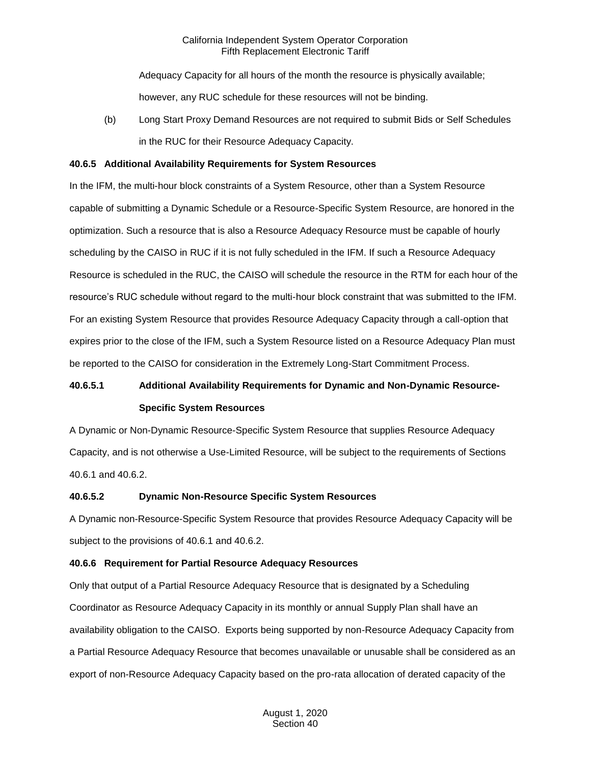Adequacy Capacity for all hours of the month the resource is physically available;

however, any RUC schedule for these resources will not be binding.

(b) Long Start Proxy Demand Resources are not required to submit Bids or Self Schedules in the RUC for their Resource Adequacy Capacity.

# **40.6.5 Additional Availability Requirements for System Resources**

In the IFM, the multi-hour block constraints of a System Resource, other than a System Resource capable of submitting a Dynamic Schedule or a Resource-Specific System Resource, are honored in the optimization. Such a resource that is also a Resource Adequacy Resource must be capable of hourly scheduling by the CAISO in RUC if it is not fully scheduled in the IFM. If such a Resource Adequacy Resource is scheduled in the RUC, the CAISO will schedule the resource in the RTM for each hour of the resource's RUC schedule without regard to the multi-hour block constraint that was submitted to the IFM. For an existing System Resource that provides Resource Adequacy Capacity through a call-option that expires prior to the close of the IFM, such a System Resource listed on a Resource Adequacy Plan must be reported to the CAISO for consideration in the Extremely Long-Start Commitment Process.

# **40.6.5.1 Additional Availability Requirements for Dynamic and Non-Dynamic Resource-Specific System Resources**

A Dynamic or Non-Dynamic Resource-Specific System Resource that supplies Resource Adequacy Capacity, and is not otherwise a Use-Limited Resource, will be subject to the requirements of Sections 40.6.1 and 40.6.2.

# **40.6.5.2 Dynamic Non-Resource Specific System Resources**

A Dynamic non-Resource-Specific System Resource that provides Resource Adequacy Capacity will be subject to the provisions of 40.6.1 and 40.6.2.

# **40.6.6 Requirement for Partial Resource Adequacy Resources**

Only that output of a Partial Resource Adequacy Resource that is designated by a Scheduling Coordinator as Resource Adequacy Capacity in its monthly or annual Supply Plan shall have an availability obligation to the CAISO. Exports being supported by non-Resource Adequacy Capacity from a Partial Resource Adequacy Resource that becomes unavailable or unusable shall be considered as an export of non-Resource Adequacy Capacity based on the pro-rata allocation of derated capacity of the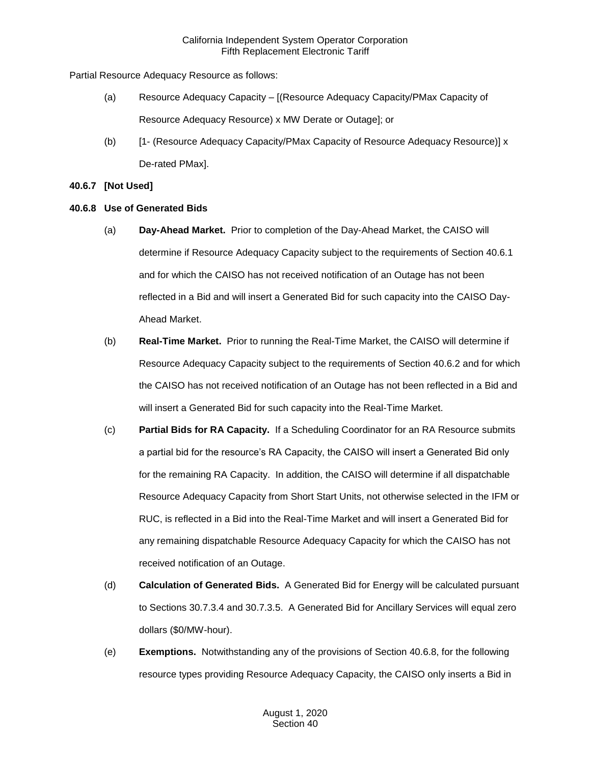Partial Resource Adequacy Resource as follows:

- (a) Resource Adequacy Capacity [(Resource Adequacy Capacity/PMax Capacity of Resource Adequacy Resource) x MW Derate or Outage]; or
- (b) [1- (Resource Adequacy Capacity/PMax Capacity of Resource Adequacy Resource)] x De-rated PMax].

# **40.6.7 [Not Used]**

# **40.6.8 Use of Generated Bids**

- (a) **Day-Ahead Market.** Prior to completion of the Day-Ahead Market, the CAISO will determine if Resource Adequacy Capacity subject to the requirements of Section 40.6.1 and for which the CAISO has not received notification of an Outage has not been reflected in a Bid and will insert a Generated Bid for such capacity into the CAISO Day-Ahead Market.
- (b) **Real-Time Market.** Prior to running the Real-Time Market, the CAISO will determine if Resource Adequacy Capacity subject to the requirements of Section 40.6.2 and for which the CAISO has not received notification of an Outage has not been reflected in a Bid and will insert a Generated Bid for such capacity into the Real-Time Market.
- (c) **Partial Bids for RA Capacity.** If a Scheduling Coordinator for an RA Resource submits a partial bid for the resource's RA Capacity, the CAISO will insert a Generated Bid only for the remaining RA Capacity. In addition, the CAISO will determine if all dispatchable Resource Adequacy Capacity from Short Start Units, not otherwise selected in the IFM or RUC, is reflected in a Bid into the Real-Time Market and will insert a Generated Bid for any remaining dispatchable Resource Adequacy Capacity for which the CAISO has not received notification of an Outage.
- (d) **Calculation of Generated Bids.** A Generated Bid for Energy will be calculated pursuant to Sections 30.7.3.4 and 30.7.3.5. A Generated Bid for Ancillary Services will equal zero dollars (\$0/MW-hour).
- (e) **Exemptions.** Notwithstanding any of the provisions of Section 40.6.8, for the following resource types providing Resource Adequacy Capacity, the CAISO only inserts a Bid in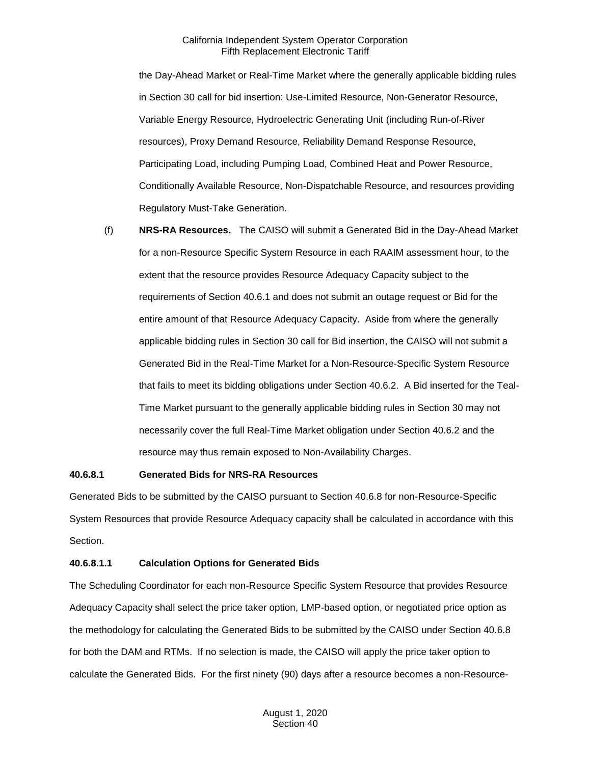the Day-Ahead Market or Real-Time Market where the generally applicable bidding rules in Section 30 call for bid insertion: Use-Limited Resource, Non-Generator Resource, Variable Energy Resource, Hydroelectric Generating Unit (including Run-of-River resources), Proxy Demand Resource, Reliability Demand Response Resource, Participating Load, including Pumping Load, Combined Heat and Power Resource, Conditionally Available Resource, Non-Dispatchable Resource, and resources providing Regulatory Must-Take Generation.

(f) **NRS-RA Resources.** The CAISO will submit a Generated Bid in the Day-Ahead Market for a non-Resource Specific System Resource in each RAAIM assessment hour, to the extent that the resource provides Resource Adequacy Capacity subject to the requirements of Section 40.6.1 and does not submit an outage request or Bid for the entire amount of that Resource Adequacy Capacity. Aside from where the generally applicable bidding rules in Section 30 call for Bid insertion, the CAISO will not submit a Generated Bid in the Real-Time Market for a Non-Resource-Specific System Resource that fails to meet its bidding obligations under Section 40.6.2. A Bid inserted for the Teal-Time Market pursuant to the generally applicable bidding rules in Section 30 may not necessarily cover the full Real-Time Market obligation under Section 40.6.2 and the resource may thus remain exposed to Non-Availability Charges.

#### **40.6.8.1 Generated Bids for NRS-RA Resources**

Generated Bids to be submitted by the CAISO pursuant to Section 40.6.8 for non-Resource-Specific System Resources that provide Resource Adequacy capacity shall be calculated in accordance with this Section.

#### **40.6.8.1.1 Calculation Options for Generated Bids**

The Scheduling Coordinator for each non-Resource Specific System Resource that provides Resource Adequacy Capacity shall select the price taker option, LMP-based option, or negotiated price option as the methodology for calculating the Generated Bids to be submitted by the CAISO under Section 40.6.8 for both the DAM and RTMs. If no selection is made, the CAISO will apply the price taker option to calculate the Generated Bids. For the first ninety (90) days after a resource becomes a non-Resource-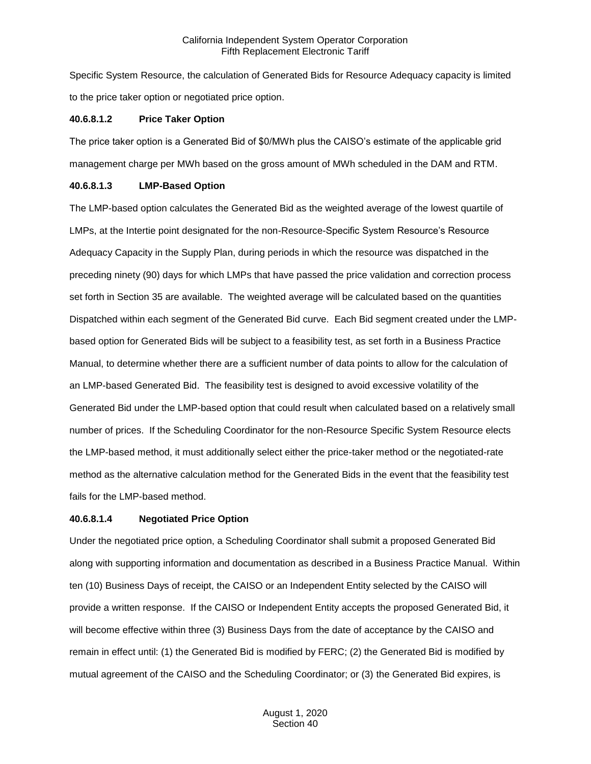Specific System Resource, the calculation of Generated Bids for Resource Adequacy capacity is limited to the price taker option or negotiated price option.

#### **40.6.8.1.2 Price Taker Option**

The price taker option is a Generated Bid of \$0/MWh plus the CAISO's estimate of the applicable grid management charge per MWh based on the gross amount of MWh scheduled in the DAM and RTM.

#### **40.6.8.1.3 LMP-Based Option**

The LMP-based option calculates the Generated Bid as the weighted average of the lowest quartile of LMPs, at the Intertie point designated for the non-Resource-Specific System Resource's Resource Adequacy Capacity in the Supply Plan, during periods in which the resource was dispatched in the preceding ninety (90) days for which LMPs that have passed the price validation and correction process set forth in Section 35 are available. The weighted average will be calculated based on the quantities Dispatched within each segment of the Generated Bid curve. Each Bid segment created under the LMPbased option for Generated Bids will be subject to a feasibility test, as set forth in a Business Practice Manual, to determine whether there are a sufficient number of data points to allow for the calculation of an LMP-based Generated Bid. The feasibility test is designed to avoid excessive volatility of the Generated Bid under the LMP-based option that could result when calculated based on a relatively small number of prices. If the Scheduling Coordinator for the non-Resource Specific System Resource elects the LMP-based method, it must additionally select either the price-taker method or the negotiated-rate method as the alternative calculation method for the Generated Bids in the event that the feasibility test fails for the LMP-based method.

#### **40.6.8.1.4 Negotiated Price Option**

Under the negotiated price option, a Scheduling Coordinator shall submit a proposed Generated Bid along with supporting information and documentation as described in a Business Practice Manual. Within ten (10) Business Days of receipt, the CAISO or an Independent Entity selected by the CAISO will provide a written response. If the CAISO or Independent Entity accepts the proposed Generated Bid, it will become effective within three (3) Business Days from the date of acceptance by the CAISO and remain in effect until: (1) the Generated Bid is modified by FERC; (2) the Generated Bid is modified by mutual agreement of the CAISO and the Scheduling Coordinator; or (3) the Generated Bid expires, is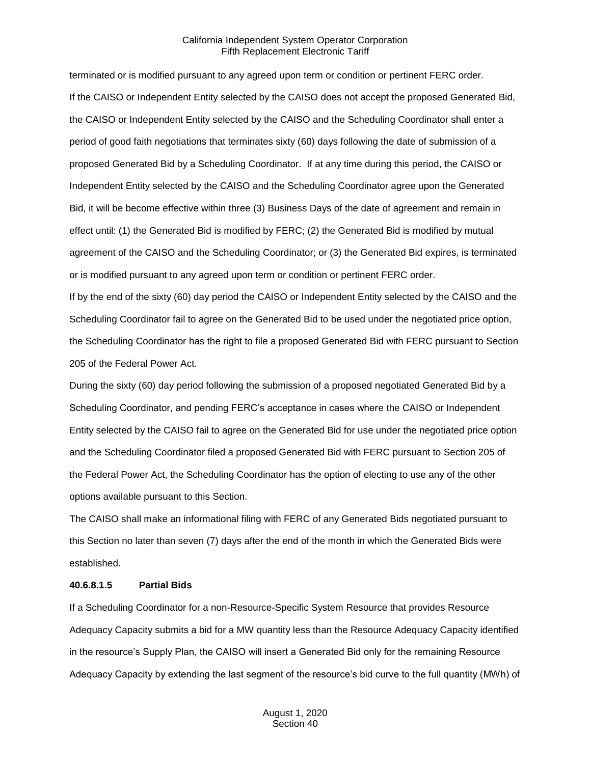terminated or is modified pursuant to any agreed upon term or condition or pertinent FERC order. If the CAISO or Independent Entity selected by the CAISO does not accept the proposed Generated Bid, the CAISO or Independent Entity selected by the CAISO and the Scheduling Coordinator shall enter a period of good faith negotiations that terminates sixty (60) days following the date of submission of a proposed Generated Bid by a Scheduling Coordinator. If at any time during this period, the CAISO or Independent Entity selected by the CAISO and the Scheduling Coordinator agree upon the Generated Bid, it will be become effective within three (3) Business Days of the date of agreement and remain in effect until: (1) the Generated Bid is modified by FERC; (2) the Generated Bid is modified by mutual agreement of the CAISO and the Scheduling Coordinator; or (3) the Generated Bid expires, is terminated or is modified pursuant to any agreed upon term or condition or pertinent FERC order.

If by the end of the sixty (60) day period the CAISO or Independent Entity selected by the CAISO and the Scheduling Coordinator fail to agree on the Generated Bid to be used under the negotiated price option, the Scheduling Coordinator has the right to file a proposed Generated Bid with FERC pursuant to Section 205 of the Federal Power Act.

During the sixty (60) day period following the submission of a proposed negotiated Generated Bid by a Scheduling Coordinator, and pending FERC's acceptance in cases where the CAISO or Independent Entity selected by the CAISO fail to agree on the Generated Bid for use under the negotiated price option and the Scheduling Coordinator filed a proposed Generated Bid with FERC pursuant to Section 205 of the Federal Power Act, the Scheduling Coordinator has the option of electing to use any of the other options available pursuant to this Section.

The CAISO shall make an informational filing with FERC of any Generated Bids negotiated pursuant to this Section no later than seven (7) days after the end of the month in which the Generated Bids were established.

#### **40.6.8.1.5 Partial Bids**

If a Scheduling Coordinator for a non-Resource-Specific System Resource that provides Resource Adequacy Capacity submits a bid for a MW quantity less than the Resource Adequacy Capacity identified in the resource's Supply Plan, the CAISO will insert a Generated Bid only for the remaining Resource Adequacy Capacity by extending the last segment of the resource's bid curve to the full quantity (MWh) of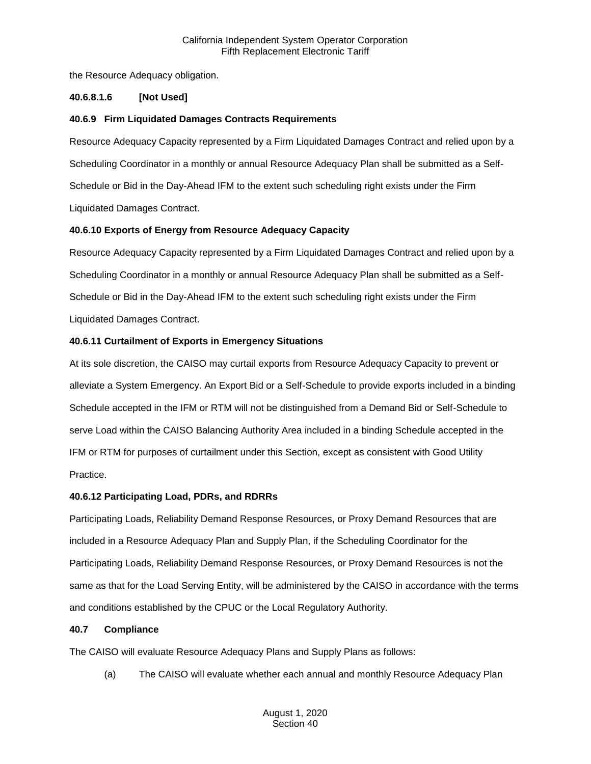the Resource Adequacy obligation.

# **40.6.8.1.6 [Not Used]**

# **40.6.9 Firm Liquidated Damages Contracts Requirements**

Resource Adequacy Capacity represented by a Firm Liquidated Damages Contract and relied upon by a Scheduling Coordinator in a monthly or annual Resource Adequacy Plan shall be submitted as a Self-Schedule or Bid in the Day-Ahead IFM to the extent such scheduling right exists under the Firm Liquidated Damages Contract.

# **40.6.10 Exports of Energy from Resource Adequacy Capacity**

Resource Adequacy Capacity represented by a Firm Liquidated Damages Contract and relied upon by a Scheduling Coordinator in a monthly or annual Resource Adequacy Plan shall be submitted as a Self-Schedule or Bid in the Day-Ahead IFM to the extent such scheduling right exists under the Firm Liquidated Damages Contract.

# **40.6.11 Curtailment of Exports in Emergency Situations**

At its sole discretion, the CAISO may curtail exports from Resource Adequacy Capacity to prevent or alleviate a System Emergency. An Export Bid or a Self-Schedule to provide exports included in a binding Schedule accepted in the IFM or RTM will not be distinguished from a Demand Bid or Self-Schedule to serve Load within the CAISO Balancing Authority Area included in a binding Schedule accepted in the IFM or RTM for purposes of curtailment under this Section, except as consistent with Good Utility Practice.

# **40.6.12 Participating Load, PDRs, and RDRRs**

Participating Loads, Reliability Demand Response Resources, or Proxy Demand Resources that are included in a Resource Adequacy Plan and Supply Plan, if the Scheduling Coordinator for the Participating Loads, Reliability Demand Response Resources, or Proxy Demand Resources is not the same as that for the Load Serving Entity, will be administered by the CAISO in accordance with the terms and conditions established by the CPUC or the Local Regulatory Authority.

# **40.7 Compliance**

The CAISO will evaluate Resource Adequacy Plans and Supply Plans as follows:

(a) The CAISO will evaluate whether each annual and monthly Resource Adequacy Plan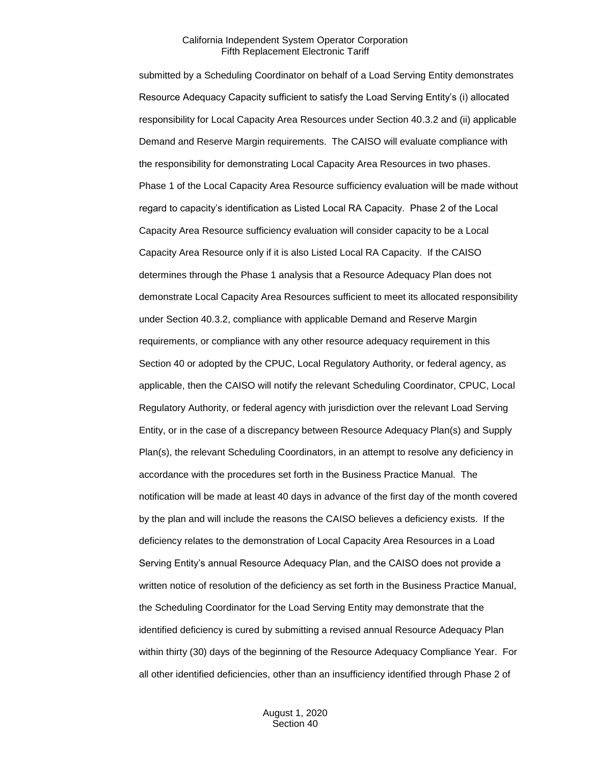submitted by a Scheduling Coordinator on behalf of a Load Serving Entity demonstrates Resource Adequacy Capacity sufficient to satisfy the Load Serving Entity's (i) allocated responsibility for Local Capacity Area Resources under Section 40.3.2 and (ii) applicable Demand and Reserve Margin requirements. The CAISO will evaluate compliance with the responsibility for demonstrating Local Capacity Area Resources in two phases. Phase 1 of the Local Capacity Area Resource sufficiency evaluation will be made without regard to capacity's identification as Listed Local RA Capacity. Phase 2 of the Local Capacity Area Resource sufficiency evaluation will consider capacity to be a Local Capacity Area Resource only if it is also Listed Local RA Capacity. If the CAISO determines through the Phase 1 analysis that a Resource Adequacy Plan does not demonstrate Local Capacity Area Resources sufficient to meet its allocated responsibility under Section 40.3.2, compliance with applicable Demand and Reserve Margin requirements, or compliance with any other resource adequacy requirement in this Section 40 or adopted by the CPUC, Local Regulatory Authority, or federal agency, as applicable, then the CAISO will notify the relevant Scheduling Coordinator, CPUC, Local Regulatory Authority, or federal agency with jurisdiction over the relevant Load Serving Entity, or in the case of a discrepancy between Resource Adequacy Plan(s) and Supply Plan(s), the relevant Scheduling Coordinators, in an attempt to resolve any deficiency in accordance with the procedures set forth in the Business Practice Manual. The notification will be made at least 40 days in advance of the first day of the month covered by the plan and will include the reasons the CAISO believes a deficiency exists. If the deficiency relates to the demonstration of Local Capacity Area Resources in a Load Serving Entity's annual Resource Adequacy Plan, and the CAISO does not provide a written notice of resolution of the deficiency as set forth in the Business Practice Manual, the Scheduling Coordinator for the Load Serving Entity may demonstrate that the identified deficiency is cured by submitting a revised annual Resource Adequacy Plan within thirty (30) days of the beginning of the Resource Adequacy Compliance Year. For all other identified deficiencies, other than an insufficiency identified through Phase 2 of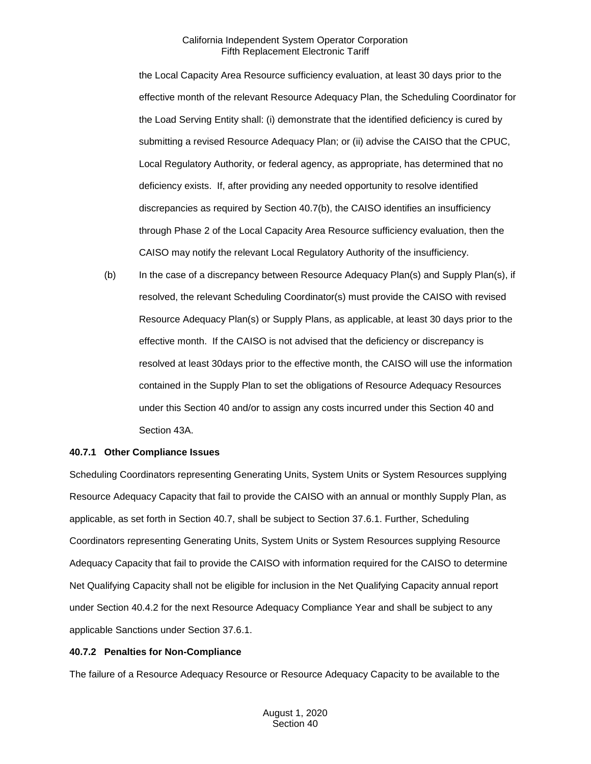the Local Capacity Area Resource sufficiency evaluation, at least 30 days prior to the effective month of the relevant Resource Adequacy Plan, the Scheduling Coordinator for the Load Serving Entity shall: (i) demonstrate that the identified deficiency is cured by submitting a revised Resource Adequacy Plan; or (ii) advise the CAISO that the CPUC, Local Regulatory Authority, or federal agency, as appropriate, has determined that no deficiency exists. If, after providing any needed opportunity to resolve identified discrepancies as required by Section 40.7(b), the CAISO identifies an insufficiency through Phase 2 of the Local Capacity Area Resource sufficiency evaluation, then the CAISO may notify the relevant Local Regulatory Authority of the insufficiency.

(b) In the case of a discrepancy between Resource Adequacy Plan(s) and Supply Plan(s), if resolved, the relevant Scheduling Coordinator(s) must provide the CAISO with revised Resource Adequacy Plan(s) or Supply Plans, as applicable, at least 30 days prior to the effective month. If the CAISO is not advised that the deficiency or discrepancy is resolved at least 30days prior to the effective month, the CAISO will use the information contained in the Supply Plan to set the obligations of Resource Adequacy Resources under this Section 40 and/or to assign any costs incurred under this Section 40 and Section 43A.

# **40.7.1 Other Compliance Issues**

Scheduling Coordinators representing Generating Units, System Units or System Resources supplying Resource Adequacy Capacity that fail to provide the CAISO with an annual or monthly Supply Plan, as applicable, as set forth in Section 40.7, shall be subject to Section 37.6.1. Further, Scheduling Coordinators representing Generating Units, System Units or System Resources supplying Resource Adequacy Capacity that fail to provide the CAISO with information required for the CAISO to determine Net Qualifying Capacity shall not be eligible for inclusion in the Net Qualifying Capacity annual report under Section 40.4.2 for the next Resource Adequacy Compliance Year and shall be subject to any applicable Sanctions under Section 37.6.1.

#### **40.7.2 Penalties for Non-Compliance**

The failure of a Resource Adequacy Resource or Resource Adequacy Capacity to be available to the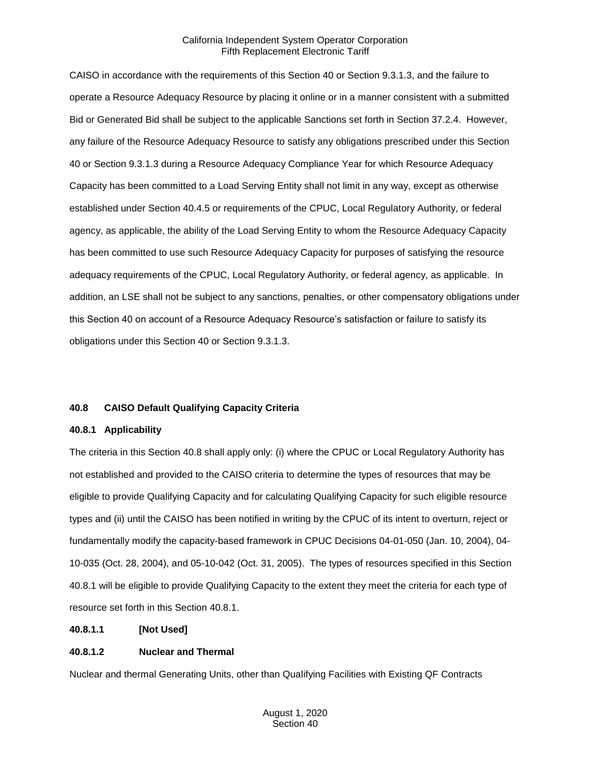CAISO in accordance with the requirements of this Section 40 or Section 9.3.1.3, and the failure to operate a Resource Adequacy Resource by placing it online or in a manner consistent with a submitted Bid or Generated Bid shall be subject to the applicable Sanctions set forth in Section 37.2.4. However, any failure of the Resource Adequacy Resource to satisfy any obligations prescribed under this Section 40 or Section 9.3.1.3 during a Resource Adequacy Compliance Year for which Resource Adequacy Capacity has been committed to a Load Serving Entity shall not limit in any way, except as otherwise established under Section 40.4.5 or requirements of the CPUC, Local Regulatory Authority, or federal agency, as applicable, the ability of the Load Serving Entity to whom the Resource Adequacy Capacity has been committed to use such Resource Adequacy Capacity for purposes of satisfying the resource adequacy requirements of the CPUC, Local Regulatory Authority, or federal agency, as applicable. In addition, an LSE shall not be subject to any sanctions, penalties, or other compensatory obligations under this Section 40 on account of a Resource Adequacy Resource's satisfaction or failure to satisfy its obligations under this Section 40 or Section 9.3.1.3.

# **40.8 CAISO Default Qualifying Capacity Criteria**

#### **40.8.1 Applicability**

The criteria in this Section 40.8 shall apply only: (i) where the CPUC or Local Regulatory Authority has not established and provided to the CAISO criteria to determine the types of resources that may be eligible to provide Qualifying Capacity and for calculating Qualifying Capacity for such eligible resource types and (ii) until the CAISO has been notified in writing by the CPUC of its intent to overturn, reject or fundamentally modify the capacity-based framework in CPUC Decisions 04-01-050 (Jan. 10, 2004), 04- 10-035 (Oct. 28, 2004), and 05-10-042 (Oct. 31, 2005). The types of resources specified in this Section 40.8.1 will be eligible to provide Qualifying Capacity to the extent they meet the criteria for each type of resource set forth in this Section 40.8.1.

# **40.8.1.1 [Not Used]**

# **40.8.1.2 Nuclear and Thermal**

Nuclear and thermal Generating Units, other than Qualifying Facilities with Existing QF Contracts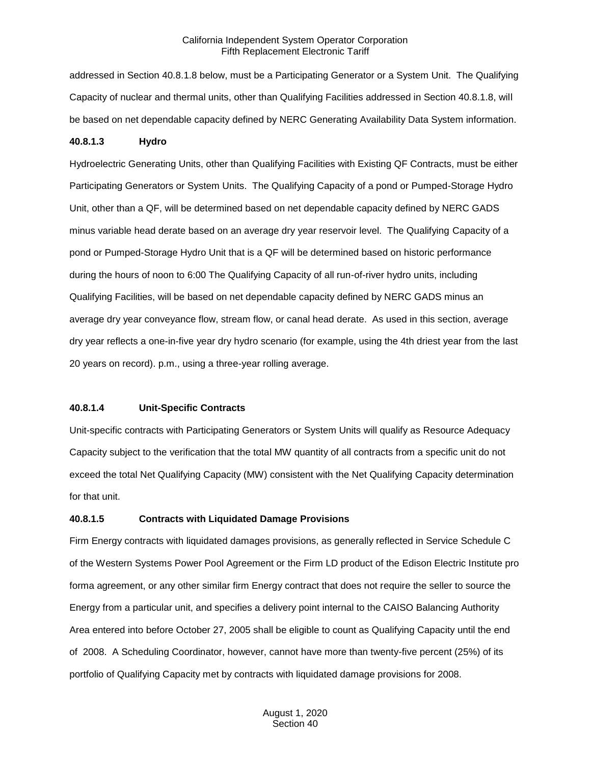addressed in Section 40.8.1.8 below, must be a Participating Generator or a System Unit. The Qualifying Capacity of nuclear and thermal units, other than Qualifying Facilities addressed in Section 40.8.1.8, will be based on net dependable capacity defined by NERC Generating Availability Data System information.

### **40.8.1.3 Hydro**

Hydroelectric Generating Units, other than Qualifying Facilities with Existing QF Contracts, must be either Participating Generators or System Units. The Qualifying Capacity of a pond or Pumped-Storage Hydro Unit, other than a QF, will be determined based on net dependable capacity defined by NERC GADS minus variable head derate based on an average dry year reservoir level. The Qualifying Capacity of a pond or Pumped-Storage Hydro Unit that is a QF will be determined based on historic performance during the hours of noon to 6:00 The Qualifying Capacity of all run-of-river hydro units, including Qualifying Facilities, will be based on net dependable capacity defined by NERC GADS minus an average dry year conveyance flow, stream flow, or canal head derate. As used in this section, average dry year reflects a one-in-five year dry hydro scenario (for example, using the 4th driest year from the last 20 years on record). p.m., using a three-year rolling average.

#### **40.8.1.4 Unit-Specific Contracts**

Unit-specific contracts with Participating Generators or System Units will qualify as Resource Adequacy Capacity subject to the verification that the total MW quantity of all contracts from a specific unit do not exceed the total Net Qualifying Capacity (MW) consistent with the Net Qualifying Capacity determination for that unit.

#### **40.8.1.5 Contracts with Liquidated Damage Provisions**

Firm Energy contracts with liquidated damages provisions, as generally reflected in Service Schedule C of the Western Systems Power Pool Agreement or the Firm LD product of the Edison Electric Institute pro forma agreement, or any other similar firm Energy contract that does not require the seller to source the Energy from a particular unit, and specifies a delivery point internal to the CAISO Balancing Authority Area entered into before October 27, 2005 shall be eligible to count as Qualifying Capacity until the end of 2008. A Scheduling Coordinator, however, cannot have more than twenty-five percent (25%) of its portfolio of Qualifying Capacity met by contracts with liquidated damage provisions for 2008.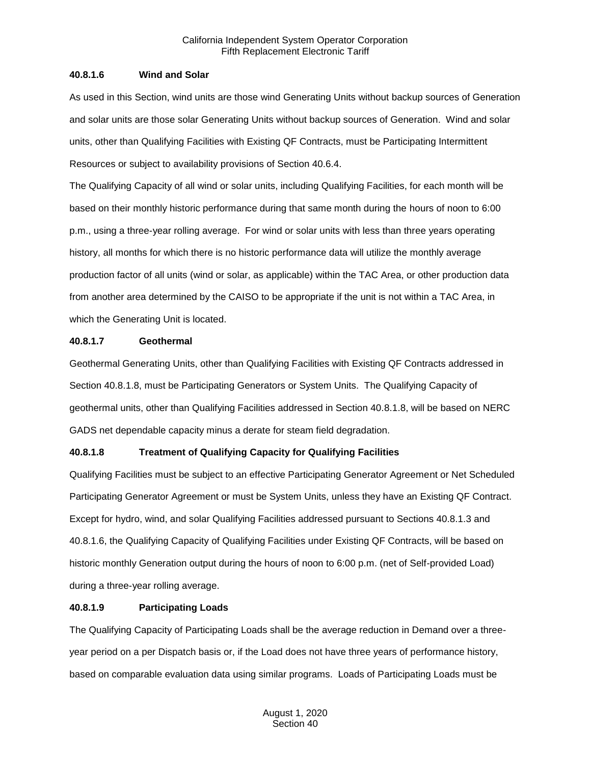## **40.8.1.6 Wind and Solar**

As used in this Section, wind units are those wind Generating Units without backup sources of Generation and solar units are those solar Generating Units without backup sources of Generation. Wind and solar units, other than Qualifying Facilities with Existing QF Contracts, must be Participating Intermittent Resources or subject to availability provisions of Section 40.6.4.

The Qualifying Capacity of all wind or solar units, including Qualifying Facilities, for each month will be based on their monthly historic performance during that same month during the hours of noon to 6:00 p.m., using a three-year rolling average. For wind or solar units with less than three years operating history, all months for which there is no historic performance data will utilize the monthly average production factor of all units (wind or solar, as applicable) within the TAC Area, or other production data from another area determined by the CAISO to be appropriate if the unit is not within a TAC Area, in which the Generating Unit is located.

## **40.8.1.7 Geothermal**

Geothermal Generating Units, other than Qualifying Facilities with Existing QF Contracts addressed in Section 40.8.1.8, must be Participating Generators or System Units. The Qualifying Capacity of geothermal units, other than Qualifying Facilities addressed in Section 40.8.1.8, will be based on NERC GADS net dependable capacity minus a derate for steam field degradation.

# **40.8.1.8 Treatment of Qualifying Capacity for Qualifying Facilities**

Qualifying Facilities must be subject to an effective Participating Generator Agreement or Net Scheduled Participating Generator Agreement or must be System Units, unless they have an Existing QF Contract. Except for hydro, wind, and solar Qualifying Facilities addressed pursuant to Sections 40.8.1.3 and 40.8.1.6, the Qualifying Capacity of Qualifying Facilities under Existing QF Contracts, will be based on historic monthly Generation output during the hours of noon to 6:00 p.m. (net of Self-provided Load) during a three-year rolling average.

### **40.8.1.9 Participating Loads**

The Qualifying Capacity of Participating Loads shall be the average reduction in Demand over a threeyear period on a per Dispatch basis or, if the Load does not have three years of performance history, based on comparable evaluation data using similar programs. Loads of Participating Loads must be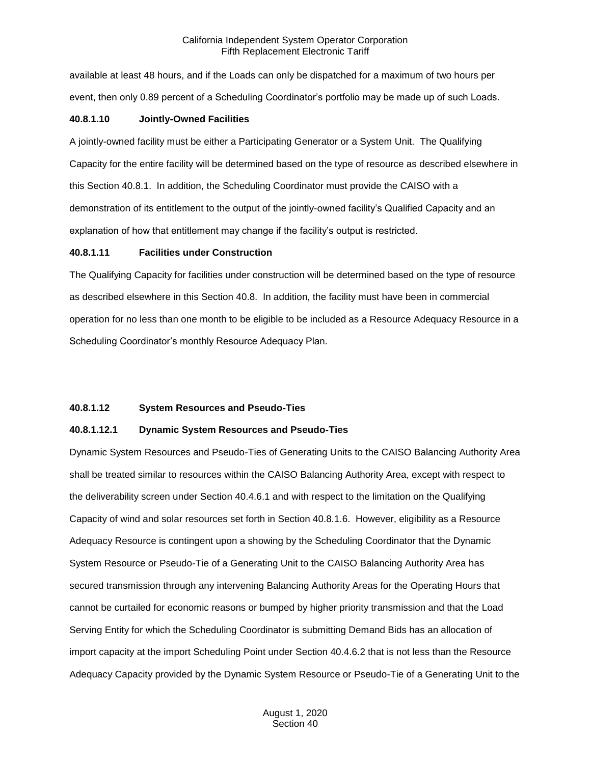available at least 48 hours, and if the Loads can only be dispatched for a maximum of two hours per event, then only 0.89 percent of a Scheduling Coordinator's portfolio may be made up of such Loads.

## **40.8.1.10 Jointly-Owned Facilities**

A jointly-owned facility must be either a Participating Generator or a System Unit. The Qualifying Capacity for the entire facility will be determined based on the type of resource as described elsewhere in this Section 40.8.1. In addition, the Scheduling Coordinator must provide the CAISO with a demonstration of its entitlement to the output of the jointly-owned facility's Qualified Capacity and an explanation of how that entitlement may change if the facility's output is restricted.

## **40.8.1.11 Facilities under Construction**

The Qualifying Capacity for facilities under construction will be determined based on the type of resource as described elsewhere in this Section 40.8. In addition, the facility must have been in commercial operation for no less than one month to be eligible to be included as a Resource Adequacy Resource in a Scheduling Coordinator's monthly Resource Adequacy Plan.

# **40.8.1.12 System Resources and Pseudo-Ties**

# **40.8.1.12.1 Dynamic System Resources and Pseudo-Ties**

Dynamic System Resources and Pseudo-Ties of Generating Units to the CAISO Balancing Authority Area shall be treated similar to resources within the CAISO Balancing Authority Area, except with respect to the deliverability screen under Section 40.4.6.1 and with respect to the limitation on the Qualifying Capacity of wind and solar resources set forth in Section 40.8.1.6. However, eligibility as a Resource Adequacy Resource is contingent upon a showing by the Scheduling Coordinator that the Dynamic System Resource or Pseudo-Tie of a Generating Unit to the CAISO Balancing Authority Area has secured transmission through any intervening Balancing Authority Areas for the Operating Hours that cannot be curtailed for economic reasons or bumped by higher priority transmission and that the Load Serving Entity for which the Scheduling Coordinator is submitting Demand Bids has an allocation of import capacity at the import Scheduling Point under Section 40.4.6.2 that is not less than the Resource Adequacy Capacity provided by the Dynamic System Resource or Pseudo-Tie of a Generating Unit to the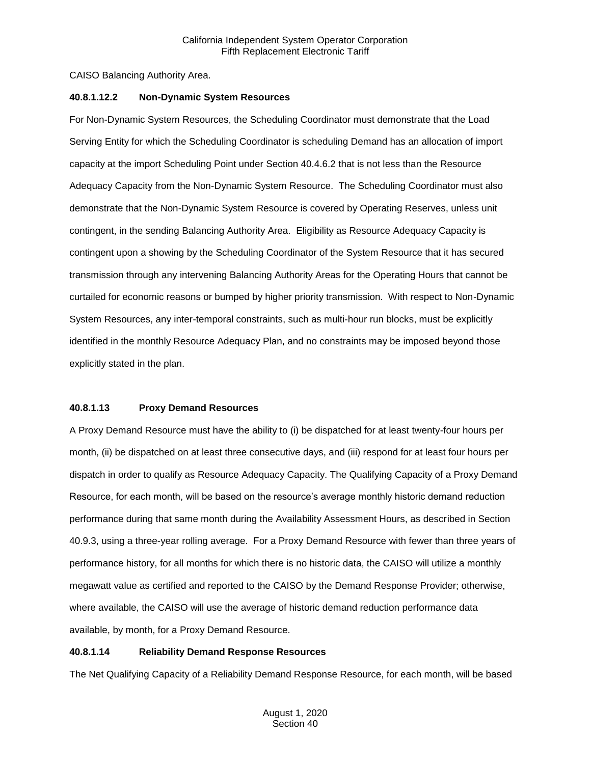CAISO Balancing Authority Area.

## **40.8.1.12.2 Non-Dynamic System Resources**

For Non-Dynamic System Resources, the Scheduling Coordinator must demonstrate that the Load Serving Entity for which the Scheduling Coordinator is scheduling Demand has an allocation of import capacity at the import Scheduling Point under Section 40.4.6.2 that is not less than the Resource Adequacy Capacity from the Non-Dynamic System Resource. The Scheduling Coordinator must also demonstrate that the Non-Dynamic System Resource is covered by Operating Reserves, unless unit contingent, in the sending Balancing Authority Area. Eligibility as Resource Adequacy Capacity is contingent upon a showing by the Scheduling Coordinator of the System Resource that it has secured transmission through any intervening Balancing Authority Areas for the Operating Hours that cannot be curtailed for economic reasons or bumped by higher priority transmission. With respect to Non-Dynamic System Resources, any inter-temporal constraints, such as multi-hour run blocks, must be explicitly identified in the monthly Resource Adequacy Plan, and no constraints may be imposed beyond those explicitly stated in the plan.

# **40.8.1.13 Proxy Demand Resources**

A Proxy Demand Resource must have the ability to (i) be dispatched for at least twenty-four hours per month, (ii) be dispatched on at least three consecutive days, and (iii) respond for at least four hours per dispatch in order to qualify as Resource Adequacy Capacity. The Qualifying Capacity of a Proxy Demand Resource, for each month, will be based on the resource's average monthly historic demand reduction performance during that same month during the Availability Assessment Hours, as described in Section 40.9.3, using a three-year rolling average. For a Proxy Demand Resource with fewer than three years of performance history, for all months for which there is no historic data, the CAISO will utilize a monthly megawatt value as certified and reported to the CAISO by the Demand Response Provider; otherwise, where available, the CAISO will use the average of historic demand reduction performance data available, by month, for a Proxy Demand Resource.

# **40.8.1.14 Reliability Demand Response Resources**

The Net Qualifying Capacity of a Reliability Demand Response Resource, for each month, will be based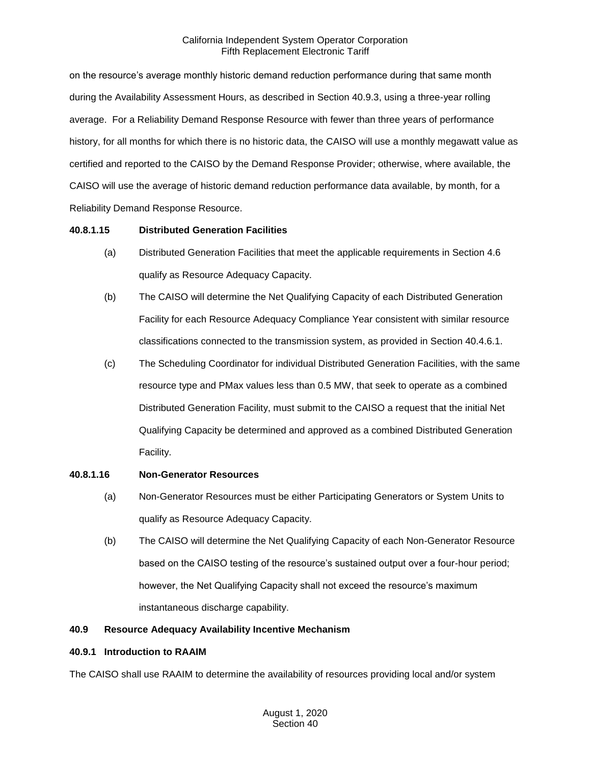on the resource's average monthly historic demand reduction performance during that same month during the Availability Assessment Hours, as described in Section 40.9.3, using a three-year rolling average. For a Reliability Demand Response Resource with fewer than three years of performance history, for all months for which there is no historic data, the CAISO will use a monthly megawatt value as certified and reported to the CAISO by the Demand Response Provider; otherwise, where available, the CAISO will use the average of historic demand reduction performance data available, by month, for a Reliability Demand Response Resource.

# **40.8.1.15 Distributed Generation Facilities**

- (a) Distributed Generation Facilities that meet the applicable requirements in Section 4.6 qualify as Resource Adequacy Capacity.
- (b) The CAISO will determine the Net Qualifying Capacity of each Distributed Generation Facility for each Resource Adequacy Compliance Year consistent with similar resource classifications connected to the transmission system, as provided in Section 40.4.6.1.
- (c) The Scheduling Coordinator for individual Distributed Generation Facilities, with the same resource type and PMax values less than 0.5 MW, that seek to operate as a combined Distributed Generation Facility, must submit to the CAISO a request that the initial Net Qualifying Capacity be determined and approved as a combined Distributed Generation Facility.

# **40.8.1.16 Non-Generator Resources**

- (a) Non-Generator Resources must be either Participating Generators or System Units to qualify as Resource Adequacy Capacity.
- (b) The CAISO will determine the Net Qualifying Capacity of each Non-Generator Resource based on the CAISO testing of the resource's sustained output over a four-hour period; however, the Net Qualifying Capacity shall not exceed the resource's maximum instantaneous discharge capability.

# **40.9 Resource Adequacy Availability Incentive Mechanism**

#### **40.9.1 Introduction to RAAIM**

The CAISO shall use RAAIM to determine the availability of resources providing local and/or system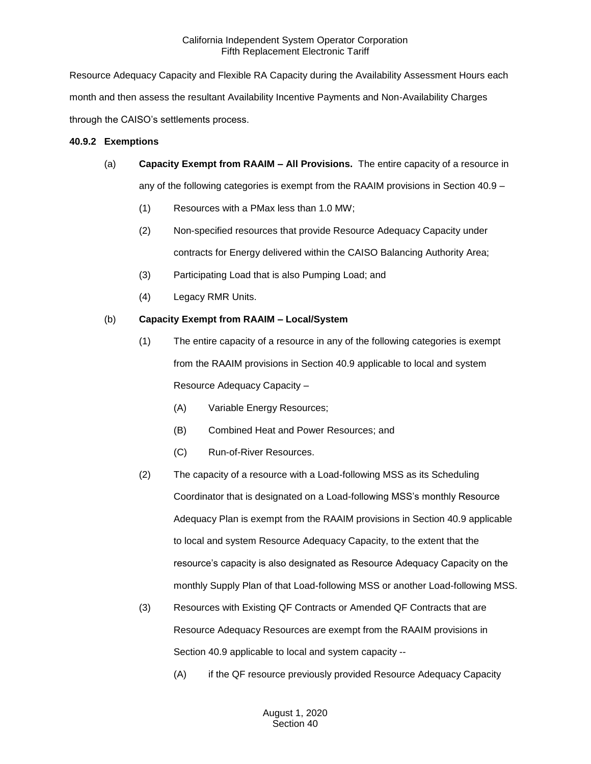Resource Adequacy Capacity and Flexible RA Capacity during the Availability Assessment Hours each month and then assess the resultant Availability Incentive Payments and Non-Availability Charges through the CAISO's settlements process.

## **40.9.2 Exemptions**

- (a) **Capacity Exempt from RAAIM – All Provisions.** The entire capacity of a resource in any of the following categories is exempt from the RAAIM provisions in Section 40.9 –
	- (1) Resources with a PMax less than 1.0 MW;
	- (2) Non-specified resources that provide Resource Adequacy Capacity under contracts for Energy delivered within the CAISO Balancing Authority Area;
	- (3) Participating Load that is also Pumping Load; and
	- (4) Legacy RMR Units.

# (b) **Capacity Exempt from RAAIM – Local/System**

- (1) The entire capacity of a resource in any of the following categories is exempt from the RAAIM provisions in Section 40.9 applicable to local and system Resource Adequacy Capacity –
	- (A) Variable Energy Resources;
	- (B) Combined Heat and Power Resources; and
	- (C) Run-of-River Resources.
- (2) The capacity of a resource with a Load-following MSS as its Scheduling Coordinator that is designated on a Load-following MSS's monthly Resource Adequacy Plan is exempt from the RAAIM provisions in Section 40.9 applicable to local and system Resource Adequacy Capacity, to the extent that the resource's capacity is also designated as Resource Adequacy Capacity on the monthly Supply Plan of that Load-following MSS or another Load-following MSS.
- (3) Resources with Existing QF Contracts or Amended QF Contracts that are Resource Adequacy Resources are exempt from the RAAIM provisions in Section 40.9 applicable to local and system capacity --
	- (A) if the QF resource previously provided Resource Adequacy Capacity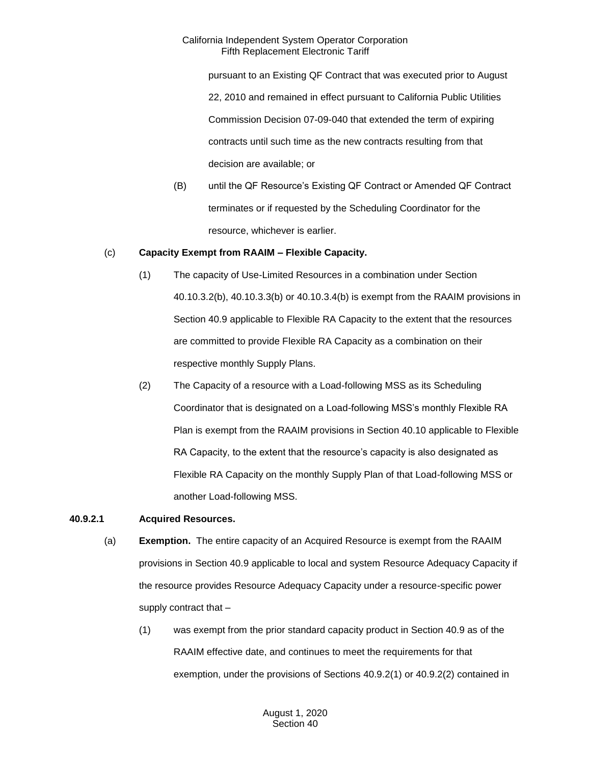pursuant to an Existing QF Contract that was executed prior to August 22, 2010 and remained in effect pursuant to California Public Utilities Commission Decision 07-09-040 that extended the term of expiring contracts until such time as the new contracts resulting from that decision are available; or

(B) until the QF Resource's Existing QF Contract or Amended QF Contract terminates or if requested by the Scheduling Coordinator for the resource, whichever is earlier.

## (c) **Capacity Exempt from RAAIM – Flexible Capacity.**

- (1) The capacity of Use-Limited Resources in a combination under Section 40.10.3.2(b), 40.10.3.3(b) or 40.10.3.4(b) is exempt from the RAAIM provisions in Section 40.9 applicable to Flexible RA Capacity to the extent that the resources are committed to provide Flexible RA Capacity as a combination on their respective monthly Supply Plans.
- (2) The Capacity of a resource with a Load-following MSS as its Scheduling Coordinator that is designated on a Load-following MSS's monthly Flexible RA Plan is exempt from the RAAIM provisions in Section 40.10 applicable to Flexible RA Capacity, to the extent that the resource's capacity is also designated as Flexible RA Capacity on the monthly Supply Plan of that Load-following MSS or another Load-following MSS.

# **40.9.2.1 Acquired Resources.**

- (a) **Exemption.** The entire capacity of an Acquired Resource is exempt from the RAAIM provisions in Section 40.9 applicable to local and system Resource Adequacy Capacity if the resource provides Resource Adequacy Capacity under a resource-specific power supply contract that –
	- (1) was exempt from the prior standard capacity product in Section 40.9 as of the RAAIM effective date, and continues to meet the requirements for that exemption, under the provisions of Sections 40.9.2(1) or 40.9.2(2) contained in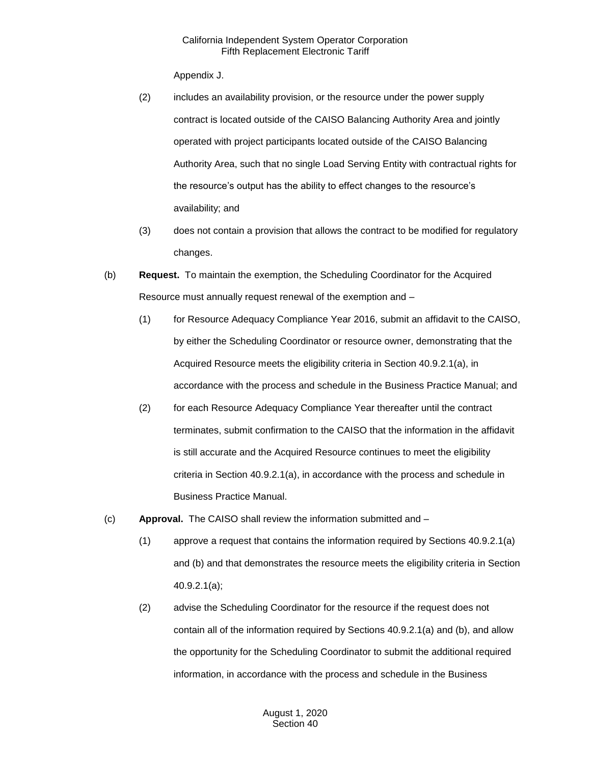Appendix J.

- (2) includes an availability provision, or the resource under the power supply contract is located outside of the CAISO Balancing Authority Area and jointly operated with project participants located outside of the CAISO Balancing Authority Area, such that no single Load Serving Entity with contractual rights for the resource's output has the ability to effect changes to the resource's availability; and
- (3) does not contain a provision that allows the contract to be modified for regulatory changes.
- (b) **Request.** To maintain the exemption, the Scheduling Coordinator for the Acquired Resource must annually request renewal of the exemption and –
	- (1) for Resource Adequacy Compliance Year 2016, submit an affidavit to the CAISO, by either the Scheduling Coordinator or resource owner, demonstrating that the Acquired Resource meets the eligibility criteria in Section 40.9.2.1(a), in accordance with the process and schedule in the Business Practice Manual; and
	- (2) for each Resource Adequacy Compliance Year thereafter until the contract terminates, submit confirmation to the CAISO that the information in the affidavit is still accurate and the Acquired Resource continues to meet the eligibility criteria in Section 40.9.2.1(a), in accordance with the process and schedule in Business Practice Manual.
- (c) **Approval.** The CAISO shall review the information submitted and
	- (1) approve a request that contains the information required by Sections 40.9.2.1(a) and (b) and that demonstrates the resource meets the eligibility criteria in Section 40.9.2.1(a);
	- (2) advise the Scheduling Coordinator for the resource if the request does not contain all of the information required by Sections 40.9.2.1(a) and (b), and allow the opportunity for the Scheduling Coordinator to submit the additional required information, in accordance with the process and schedule in the Business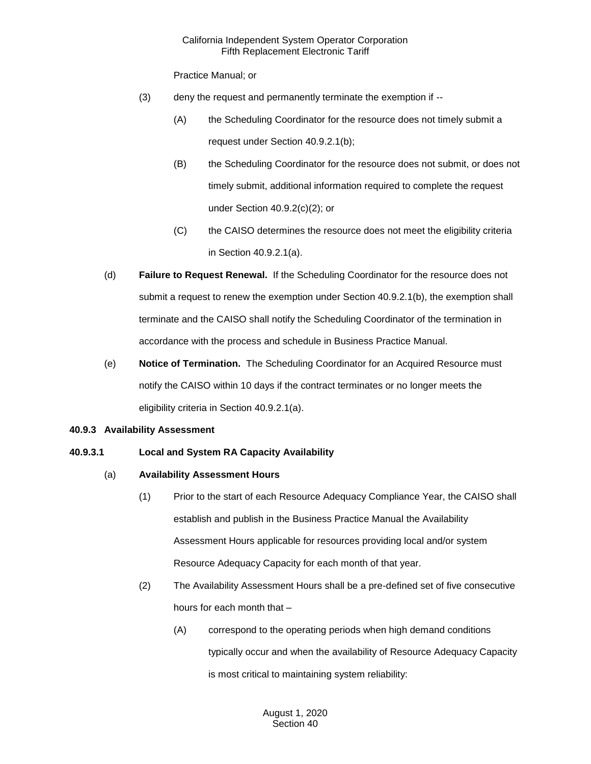Practice Manual; or

- (3) deny the request and permanently terminate the exemption if --
	- (A) the Scheduling Coordinator for the resource does not timely submit a request under Section 40.9.2.1(b);
	- (B) the Scheduling Coordinator for the resource does not submit, or does not timely submit, additional information required to complete the request under Section 40.9.2(c)(2); or
	- (C) the CAISO determines the resource does not meet the eligibility criteria in Section 40.9.2.1(a).
- (d) **Failure to Request Renewal.** If the Scheduling Coordinator for the resource does not submit a request to renew the exemption under Section 40.9.2.1(b), the exemption shall terminate and the CAISO shall notify the Scheduling Coordinator of the termination in accordance with the process and schedule in Business Practice Manual.
- (e) **Notice of Termination.** The Scheduling Coordinator for an Acquired Resource must notify the CAISO within 10 days if the contract terminates or no longer meets the eligibility criteria in Section 40.9.2.1(a).

# **40.9.3 Availability Assessment**

# **40.9.3.1 Local and System RA Capacity Availability**

# (a) **Availability Assessment Hours**

- (1) Prior to the start of each Resource Adequacy Compliance Year, the CAISO shall establish and publish in the Business Practice Manual the Availability Assessment Hours applicable for resources providing local and/or system Resource Adequacy Capacity for each month of that year.
- (2) The Availability Assessment Hours shall be a pre-defined set of five consecutive hours for each month that –
	- (A) correspond to the operating periods when high demand conditions typically occur and when the availability of Resource Adequacy Capacity is most critical to maintaining system reliability: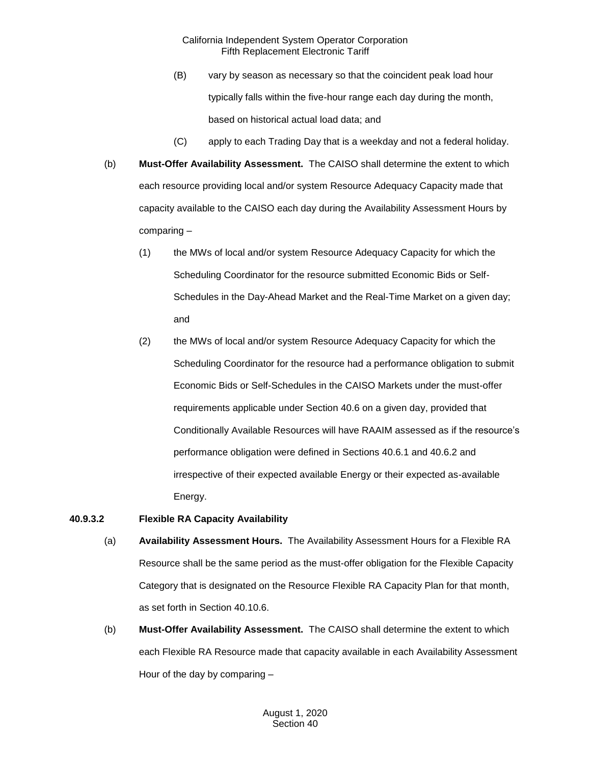- (B) vary by season as necessary so that the coincident peak load hour typically falls within the five-hour range each day during the month, based on historical actual load data; and
- (C) apply to each Trading Day that is a weekday and not a federal holiday.
- (b) **Must-Offer Availability Assessment.** The CAISO shall determine the extent to which each resource providing local and/or system Resource Adequacy Capacity made that capacity available to the CAISO each day during the Availability Assessment Hours by comparing –
	- (1) the MWs of local and/or system Resource Adequacy Capacity for which the Scheduling Coordinator for the resource submitted Economic Bids or Self-Schedules in the Day-Ahead Market and the Real-Time Market on a given day; and
	- (2) the MWs of local and/or system Resource Adequacy Capacity for which the Scheduling Coordinator for the resource had a performance obligation to submit Economic Bids or Self-Schedules in the CAISO Markets under the must-offer requirements applicable under Section 40.6 on a given day, provided that Conditionally Available Resources will have RAAIM assessed as if the resource's performance obligation were defined in Sections 40.6.1 and 40.6.2 and irrespective of their expected available Energy or their expected as-available Energy.

# **40.9.3.2 Flexible RA Capacity Availability**

- (a) **Availability Assessment Hours.** The Availability Assessment Hours for a Flexible RA Resource shall be the same period as the must-offer obligation for the Flexible Capacity Category that is designated on the Resource Flexible RA Capacity Plan for that month, as set forth in Section 40.10.6.
- (b) **Must-Offer Availability Assessment.** The CAISO shall determine the extent to which each Flexible RA Resource made that capacity available in each Availability Assessment Hour of the day by comparing –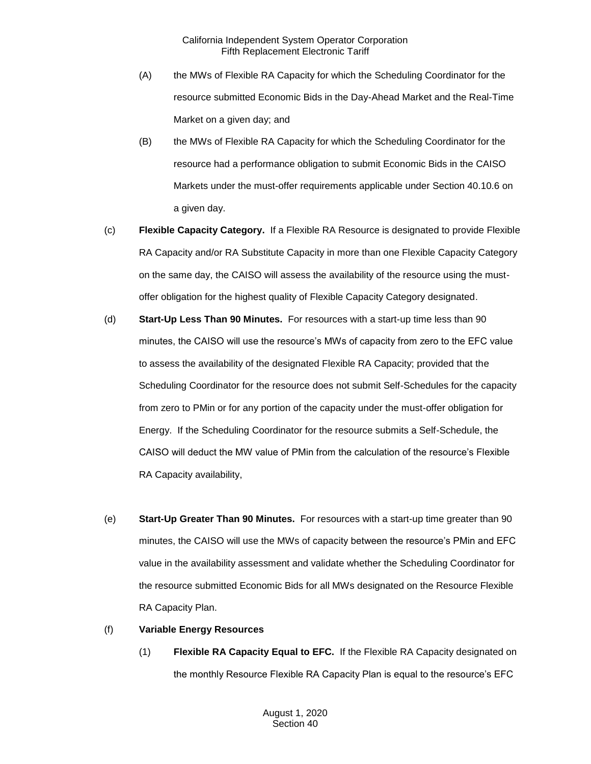- (A) the MWs of Flexible RA Capacity for which the Scheduling Coordinator for the resource submitted Economic Bids in the Day-Ahead Market and the Real-Time Market on a given day; and
- (B) the MWs of Flexible RA Capacity for which the Scheduling Coordinator for the resource had a performance obligation to submit Economic Bids in the CAISO Markets under the must-offer requirements applicable under Section 40.10.6 on a given day.
- (c) **Flexible Capacity Category.** If a Flexible RA Resource is designated to provide Flexible RA Capacity and/or RA Substitute Capacity in more than one Flexible Capacity Category on the same day, the CAISO will assess the availability of the resource using the mustoffer obligation for the highest quality of Flexible Capacity Category designated.
- (d) **Start-Up Less Than 90 Minutes.** For resources with a start-up time less than 90 minutes, the CAISO will use the resource's MWs of capacity from zero to the EFC value to assess the availability of the designated Flexible RA Capacity; provided that the Scheduling Coordinator for the resource does not submit Self-Schedules for the capacity from zero to PMin or for any portion of the capacity under the must-offer obligation for Energy. If the Scheduling Coordinator for the resource submits a Self-Schedule, the CAISO will deduct the MW value of PMin from the calculation of the resource's Flexible RA Capacity availability,
- (e) **Start-Up Greater Than 90 Minutes.** For resources with a start-up time greater than 90 minutes, the CAISO will use the MWs of capacity between the resource's PMin and EFC value in the availability assessment and validate whether the Scheduling Coordinator for the resource submitted Economic Bids for all MWs designated on the Resource Flexible RA Capacity Plan.
- (f) **Variable Energy Resources**
	- (1) **Flexible RA Capacity Equal to EFC.** If the Flexible RA Capacity designated on the monthly Resource Flexible RA Capacity Plan is equal to the resource's EFC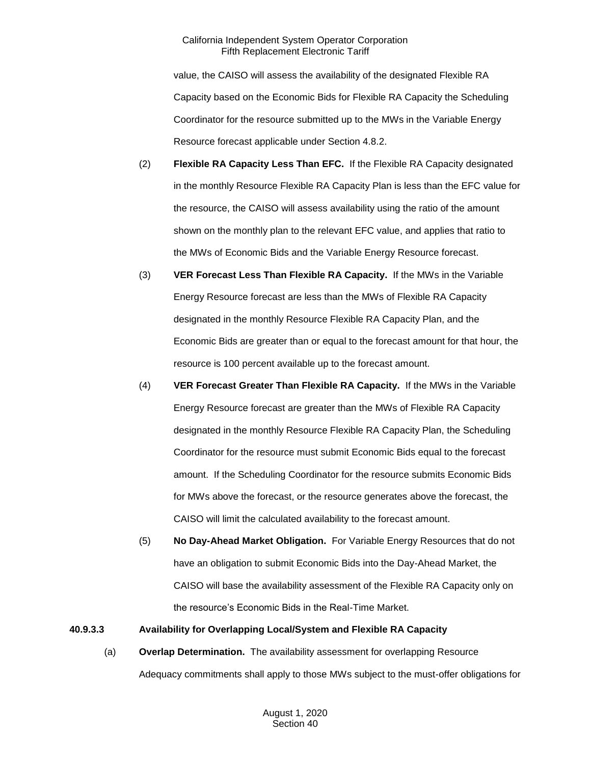value, the CAISO will assess the availability of the designated Flexible RA Capacity based on the Economic Bids for Flexible RA Capacity the Scheduling Coordinator for the resource submitted up to the MWs in the Variable Energy Resource forecast applicable under Section 4.8.2.

- (2) **Flexible RA Capacity Less Than EFC.** If the Flexible RA Capacity designated in the monthly Resource Flexible RA Capacity Plan is less than the EFC value for the resource, the CAISO will assess availability using the ratio of the amount shown on the monthly plan to the relevant EFC value, and applies that ratio to the MWs of Economic Bids and the Variable Energy Resource forecast.
- (3) **VER Forecast Less Than Flexible RA Capacity.** If the MWs in the Variable Energy Resource forecast are less than the MWs of Flexible RA Capacity designated in the monthly Resource Flexible RA Capacity Plan, and the Economic Bids are greater than or equal to the forecast amount for that hour, the resource is 100 percent available up to the forecast amount.
- (4) **VER Forecast Greater Than Flexible RA Capacity.** If the MWs in the Variable Energy Resource forecast are greater than the MWs of Flexible RA Capacity designated in the monthly Resource Flexible RA Capacity Plan, the Scheduling Coordinator for the resource must submit Economic Bids equal to the forecast amount. If the Scheduling Coordinator for the resource submits Economic Bids for MWs above the forecast, or the resource generates above the forecast, the CAISO will limit the calculated availability to the forecast amount.
- (5) **No Day-Ahead Market Obligation.** For Variable Energy Resources that do not have an obligation to submit Economic Bids into the Day-Ahead Market, the CAISO will base the availability assessment of the Flexible RA Capacity only on the resource's Economic Bids in the Real-Time Market.

# **40.9.3.3 Availability for Overlapping Local/System and Flexible RA Capacity**

(a) **Overlap Determination.** The availability assessment for overlapping Resource Adequacy commitments shall apply to those MWs subject to the must-offer obligations for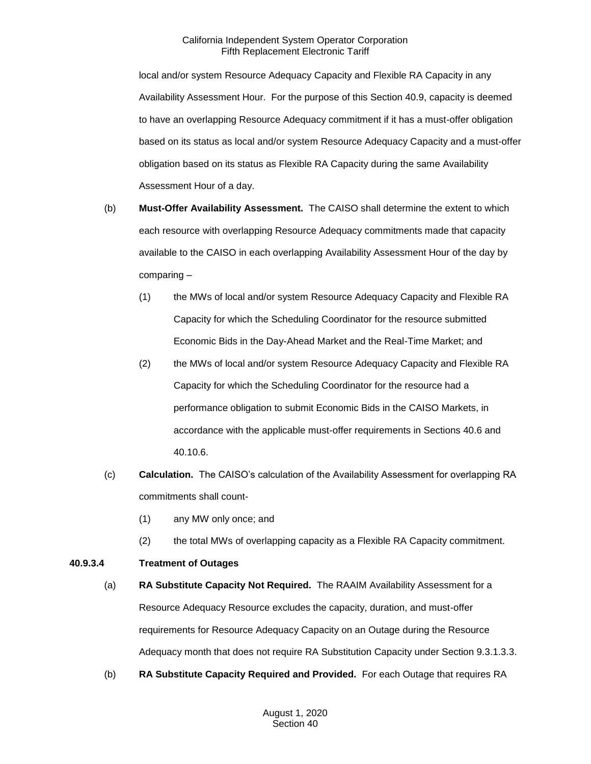local and/or system Resource Adequacy Capacity and Flexible RA Capacity in any Availability Assessment Hour. For the purpose of this Section 40.9, capacity is deemed to have an overlapping Resource Adequacy commitment if it has a must-offer obligation based on its status as local and/or system Resource Adequacy Capacity and a must-offer obligation based on its status as Flexible RA Capacity during the same Availability Assessment Hour of a day.

- (b) **Must-Offer Availability Assessment.** The CAISO shall determine the extent to which each resource with overlapping Resource Adequacy commitments made that capacity available to the CAISO in each overlapping Availability Assessment Hour of the day by comparing –
	- (1) the MWs of local and/or system Resource Adequacy Capacity and Flexible RA Capacity for which the Scheduling Coordinator for the resource submitted Economic Bids in the Day-Ahead Market and the Real-Time Market; and
	- (2) the MWs of local and/or system Resource Adequacy Capacity and Flexible RA Capacity for which the Scheduling Coordinator for the resource had a performance obligation to submit Economic Bids in the CAISO Markets, in accordance with the applicable must-offer requirements in Sections 40.6 and 40.10.6.
- (c) **Calculation.** The CAISO's calculation of the Availability Assessment for overlapping RA commitments shall count-
	- (1) any MW only once; and
	- (2) the total MWs of overlapping capacity as a Flexible RA Capacity commitment.

# **40.9.3.4 Treatment of Outages**

- (a) **RA Substitute Capacity Not Required.** The RAAIM Availability Assessment for a Resource Adequacy Resource excludes the capacity, duration, and must-offer requirements for Resource Adequacy Capacity on an Outage during the Resource Adequacy month that does not require RA Substitution Capacity under Section 9.3.1.3.3.
- (b) **RA Substitute Capacity Required and Provided.** For each Outage that requires RA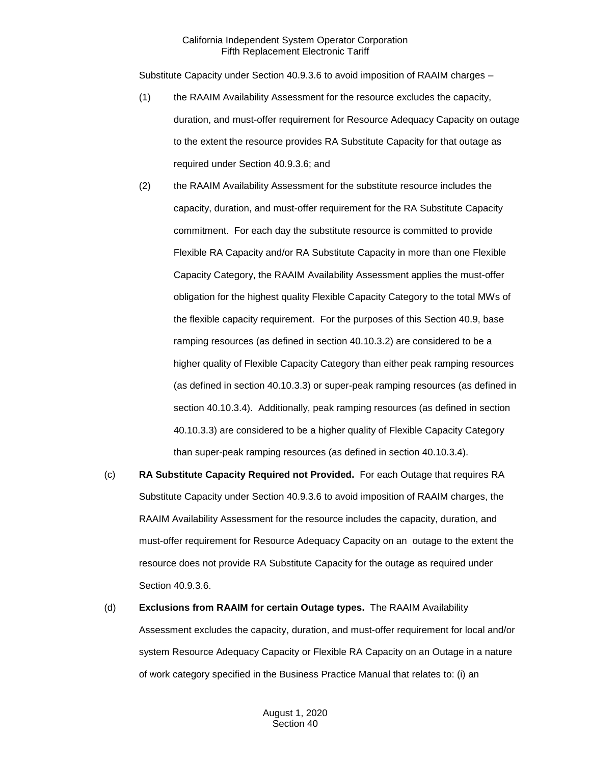Substitute Capacity under Section 40.9.3.6 to avoid imposition of RAAIM charges –

- (1) the RAAIM Availability Assessment for the resource excludes the capacity, duration, and must-offer requirement for Resource Adequacy Capacity on outage to the extent the resource provides RA Substitute Capacity for that outage as required under Section 40.9.3.6; and
- (2) the RAAIM Availability Assessment for the substitute resource includes the capacity, duration, and must-offer requirement for the RA Substitute Capacity commitment. For each day the substitute resource is committed to provide Flexible RA Capacity and/or RA Substitute Capacity in more than one Flexible Capacity Category, the RAAIM Availability Assessment applies the must-offer obligation for the highest quality Flexible Capacity Category to the total MWs of the flexible capacity requirement. For the purposes of this Section 40.9, base ramping resources (as defined in section 40.10.3.2) are considered to be a higher quality of Flexible Capacity Category than either peak ramping resources (as defined in section 40.10.3.3) or super-peak ramping resources (as defined in section 40.10.3.4). Additionally, peak ramping resources (as defined in section 40.10.3.3) are considered to be a higher quality of Flexible Capacity Category than super-peak ramping resources (as defined in section 40.10.3.4).
- (c) **RA Substitute Capacity Required not Provided.** For each Outage that requires RA Substitute Capacity under Section 40.9.3.6 to avoid imposition of RAAIM charges, the RAAIM Availability Assessment for the resource includes the capacity, duration, and must-offer requirement for Resource Adequacy Capacity on an outage to the extent the resource does not provide RA Substitute Capacity for the outage as required under Section 40.9.3.6.
- (d) **Exclusions from RAAIM for certain Outage types.** The RAAIM Availability Assessment excludes the capacity, duration, and must-offer requirement for local and/or system Resource Adequacy Capacity or Flexible RA Capacity on an Outage in a nature of work category specified in the Business Practice Manual that relates to: (i) an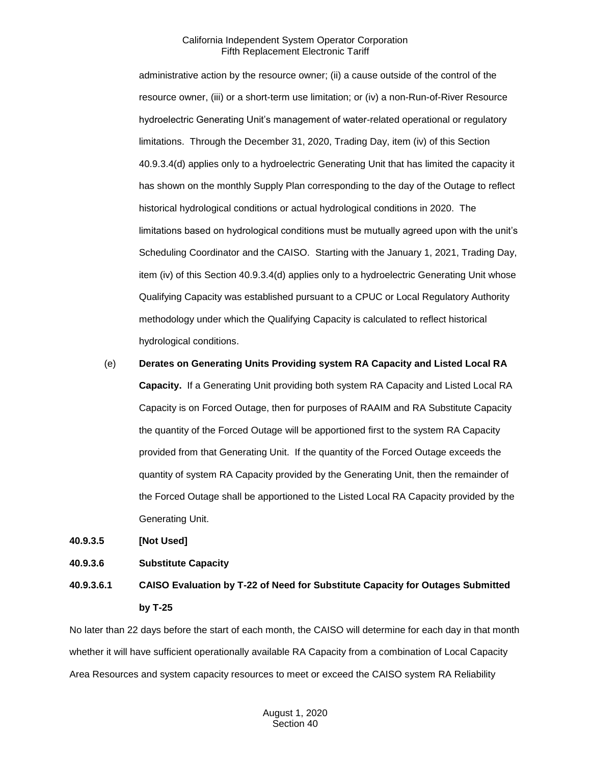administrative action by the resource owner; (ii) a cause outside of the control of the resource owner, (iii) or a short-term use limitation; or (iv) a non-Run-of-River Resource hydroelectric Generating Unit's management of water-related operational or regulatory limitations. Through the December 31, 2020, Trading Day, item (iv) of this Section 40.9.3.4(d) applies only to a hydroelectric Generating Unit that has limited the capacity it has shown on the monthly Supply Plan corresponding to the day of the Outage to reflect historical hydrological conditions or actual hydrological conditions in 2020. The limitations based on hydrological conditions must be mutually agreed upon with the unit's Scheduling Coordinator and the CAISO. Starting with the January 1, 2021, Trading Day, item (iv) of this Section 40.9.3.4(d) applies only to a hydroelectric Generating Unit whose Qualifying Capacity was established pursuant to a CPUC or Local Regulatory Authority methodology under which the Qualifying Capacity is calculated to reflect historical hydrological conditions.

(e) **Derates on Generating Units Providing system RA Capacity and Listed Local RA Capacity.** If a Generating Unit providing both system RA Capacity and Listed Local RA Capacity is on Forced Outage, then for purposes of RAAIM and RA Substitute Capacity the quantity of the Forced Outage will be apportioned first to the system RA Capacity provided from that Generating Unit. If the quantity of the Forced Outage exceeds the quantity of system RA Capacity provided by the Generating Unit, then the remainder of the Forced Outage shall be apportioned to the Listed Local RA Capacity provided by the Generating Unit.

**40.9.3.5 [Not Used]** 

#### **40.9.3.6 Substitute Capacity**

# **40.9.3.6.1 CAISO Evaluation by T-22 of Need for Substitute Capacity for Outages Submitted by T-25**

No later than 22 days before the start of each month, the CAISO will determine for each day in that month whether it will have sufficient operationally available RA Capacity from a combination of Local Capacity Area Resources and system capacity resources to meet or exceed the CAISO system RA Reliability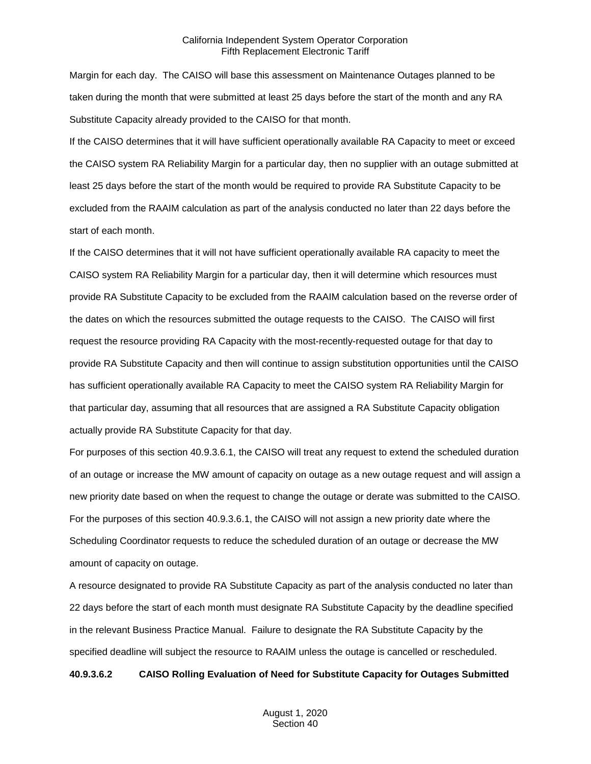Margin for each day. The CAISO will base this assessment on Maintenance Outages planned to be taken during the month that were submitted at least 25 days before the start of the month and any RA Substitute Capacity already provided to the CAISO for that month.

If the CAISO determines that it will have sufficient operationally available RA Capacity to meet or exceed the CAISO system RA Reliability Margin for a particular day, then no supplier with an outage submitted at least 25 days before the start of the month would be required to provide RA Substitute Capacity to be excluded from the RAAIM calculation as part of the analysis conducted no later than 22 days before the start of each month.

If the CAISO determines that it will not have sufficient operationally available RA capacity to meet the CAISO system RA Reliability Margin for a particular day, then it will determine which resources must provide RA Substitute Capacity to be excluded from the RAAIM calculation based on the reverse order of the dates on which the resources submitted the outage requests to the CAISO. The CAISO will first request the resource providing RA Capacity with the most-recently-requested outage for that day to provide RA Substitute Capacity and then will continue to assign substitution opportunities until the CAISO has sufficient operationally available RA Capacity to meet the CAISO system RA Reliability Margin for that particular day, assuming that all resources that are assigned a RA Substitute Capacity obligation actually provide RA Substitute Capacity for that day.

For purposes of this section 40.9.3.6.1, the CAISO will treat any request to extend the scheduled duration of an outage or increase the MW amount of capacity on outage as a new outage request and will assign a new priority date based on when the request to change the outage or derate was submitted to the CAISO. For the purposes of this section 40.9.3.6.1, the CAISO will not assign a new priority date where the Scheduling Coordinator requests to reduce the scheduled duration of an outage or decrease the MW amount of capacity on outage.

A resource designated to provide RA Substitute Capacity as part of the analysis conducted no later than 22 days before the start of each month must designate RA Substitute Capacity by the deadline specified in the relevant Business Practice Manual. Failure to designate the RA Substitute Capacity by the specified deadline will subject the resource to RAAIM unless the outage is cancelled or rescheduled.

#### **40.9.3.6.2 CAISO Rolling Evaluation of Need for Substitute Capacity for Outages Submitted**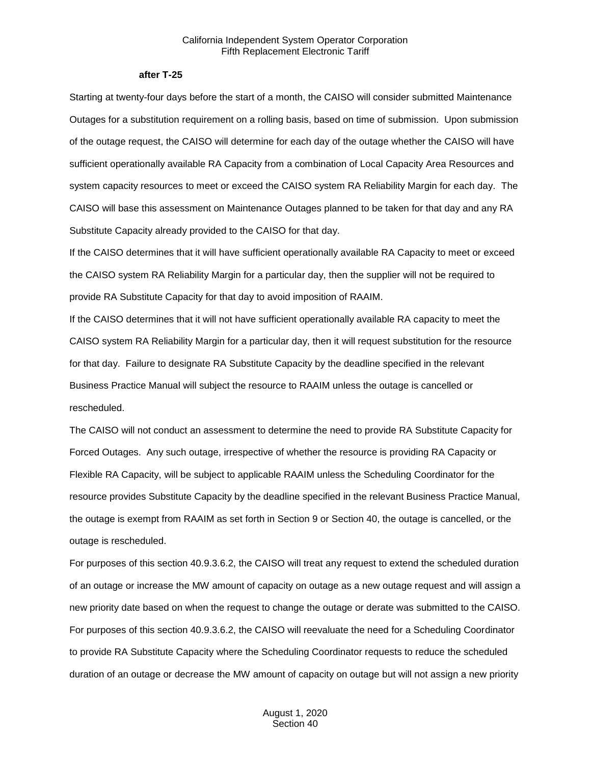#### **after T-25**

Starting at twenty-four days before the start of a month, the CAISO will consider submitted Maintenance Outages for a substitution requirement on a rolling basis, based on time of submission. Upon submission of the outage request, the CAISO will determine for each day of the outage whether the CAISO will have sufficient operationally available RA Capacity from a combination of Local Capacity Area Resources and system capacity resources to meet or exceed the CAISO system RA Reliability Margin for each day. The CAISO will base this assessment on Maintenance Outages planned to be taken for that day and any RA Substitute Capacity already provided to the CAISO for that day.

If the CAISO determines that it will have sufficient operationally available RA Capacity to meet or exceed the CAISO system RA Reliability Margin for a particular day, then the supplier will not be required to provide RA Substitute Capacity for that day to avoid imposition of RAAIM.

If the CAISO determines that it will not have sufficient operationally available RA capacity to meet the CAISO system RA Reliability Margin for a particular day, then it will request substitution for the resource for that day. Failure to designate RA Substitute Capacity by the deadline specified in the relevant Business Practice Manual will subject the resource to RAAIM unless the outage is cancelled or rescheduled.

The CAISO will not conduct an assessment to determine the need to provide RA Substitute Capacity for Forced Outages. Any such outage, irrespective of whether the resource is providing RA Capacity or Flexible RA Capacity, will be subject to applicable RAAIM unless the Scheduling Coordinator for the resource provides Substitute Capacity by the deadline specified in the relevant Business Practice Manual, the outage is exempt from RAAIM as set forth in Section 9 or Section 40, the outage is cancelled, or the outage is rescheduled.

For purposes of this section 40.9.3.6.2, the CAISO will treat any request to extend the scheduled duration of an outage or increase the MW amount of capacity on outage as a new outage request and will assign a new priority date based on when the request to change the outage or derate was submitted to the CAISO. For purposes of this section 40.9.3.6.2, the CAISO will reevaluate the need for a Scheduling Coordinator to provide RA Substitute Capacity where the Scheduling Coordinator requests to reduce the scheduled duration of an outage or decrease the MW amount of capacity on outage but will not assign a new priority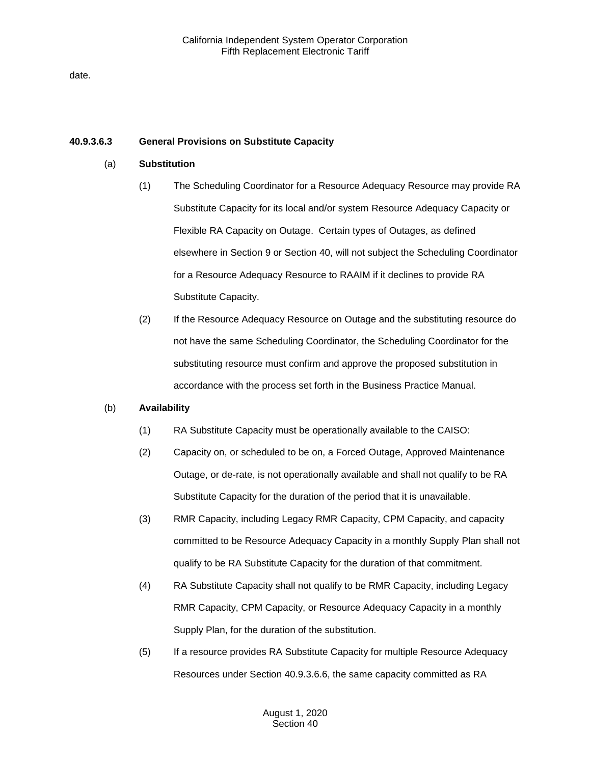date.

## **40.9.3.6.3 General Provisions on Substitute Capacity**

## (a) **Substitution**

- (1) The Scheduling Coordinator for a Resource Adequacy Resource may provide RA Substitute Capacity for its local and/or system Resource Adequacy Capacity or Flexible RA Capacity on Outage. Certain types of Outages, as defined elsewhere in Section 9 or Section 40, will not subject the Scheduling Coordinator for a Resource Adequacy Resource to RAAIM if it declines to provide RA Substitute Capacity.
- (2) If the Resource Adequacy Resource on Outage and the substituting resource do not have the same Scheduling Coordinator, the Scheduling Coordinator for the substituting resource must confirm and approve the proposed substitution in accordance with the process set forth in the Business Practice Manual.

# (b) **Availability**

- (1) RA Substitute Capacity must be operationally available to the CAISO:
- (2) Capacity on, or scheduled to be on, a Forced Outage, Approved Maintenance Outage, or de-rate, is not operationally available and shall not qualify to be RA Substitute Capacity for the duration of the period that it is unavailable.
- (3) RMR Capacity, including Legacy RMR Capacity, CPM Capacity, and capacity committed to be Resource Adequacy Capacity in a monthly Supply Plan shall not qualify to be RA Substitute Capacity for the duration of that commitment.
- (4) RA Substitute Capacity shall not qualify to be RMR Capacity, including Legacy RMR Capacity, CPM Capacity, or Resource Adequacy Capacity in a monthly Supply Plan, for the duration of the substitution.
- (5) If a resource provides RA Substitute Capacity for multiple Resource Adequacy Resources under Section 40.9.3.6.6, the same capacity committed as RA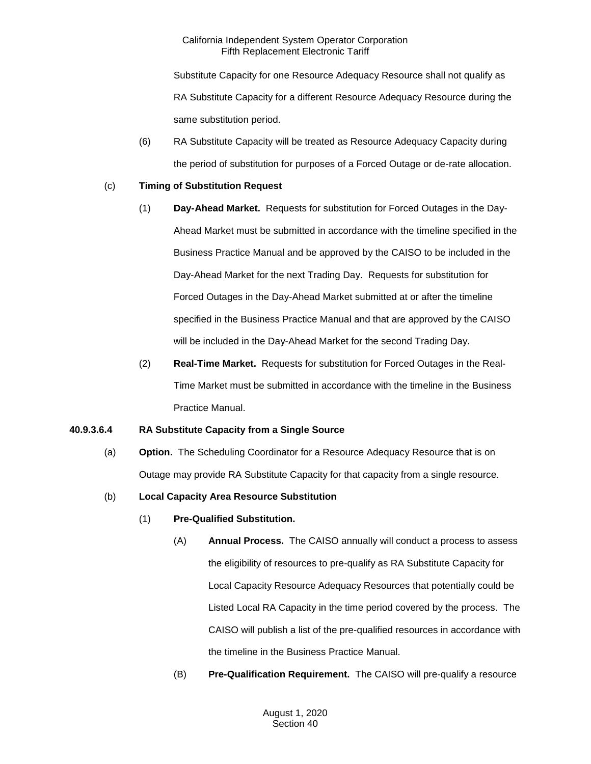Substitute Capacity for one Resource Adequacy Resource shall not qualify as RA Substitute Capacity for a different Resource Adequacy Resource during the same substitution period.

(6) RA Substitute Capacity will be treated as Resource Adequacy Capacity during the period of substitution for purposes of a Forced Outage or de-rate allocation.

# (c) **Timing of Substitution Request**

- (1) **Day-Ahead Market.** Requests for substitution for Forced Outages in the Day-Ahead Market must be submitted in accordance with the timeline specified in the Business Practice Manual and be approved by the CAISO to be included in the Day-Ahead Market for the next Trading Day. Requests for substitution for Forced Outages in the Day-Ahead Market submitted at or after the timeline specified in the Business Practice Manual and that are approved by the CAISO will be included in the Day-Ahead Market for the second Trading Day.
- (2) **Real-Time Market.** Requests for substitution for Forced Outages in the Real-Time Market must be submitted in accordance with the timeline in the Business Practice Manual.

# **40.9.3.6.4 RA Substitute Capacity from a Single Source**

(a) **Option.** The Scheduling Coordinator for a Resource Adequacy Resource that is on Outage may provide RA Substitute Capacity for that capacity from a single resource.

# (b) **Local Capacity Area Resource Substitution**

- (1) **Pre-Qualified Substitution.**
	- (A) **Annual Process.** The CAISO annually will conduct a process to assess the eligibility of resources to pre-qualify as RA Substitute Capacity for Local Capacity Resource Adequacy Resources that potentially could be Listed Local RA Capacity in the time period covered by the process. The CAISO will publish a list of the pre-qualified resources in accordance with the timeline in the Business Practice Manual.
	- (B) **Pre-Qualification Requirement.** The CAISO will pre-qualify a resource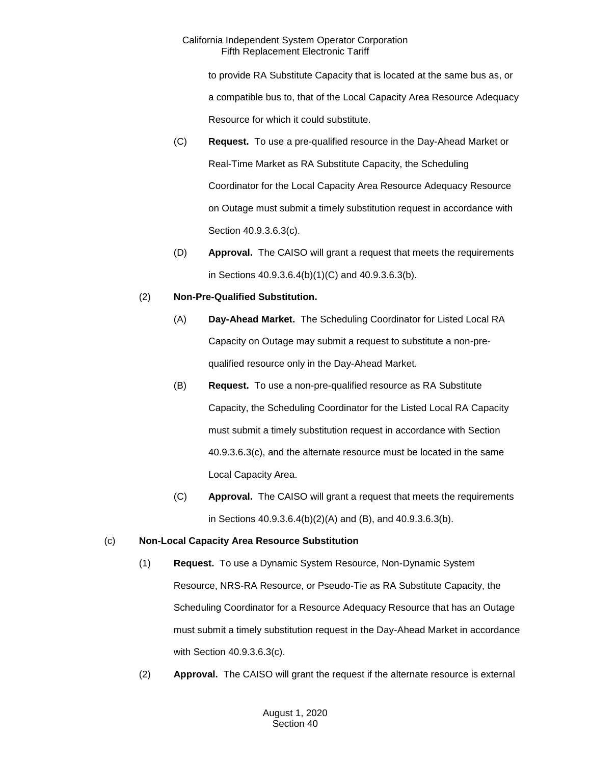to provide RA Substitute Capacity that is located at the same bus as, or a compatible bus to, that of the Local Capacity Area Resource Adequacy Resource for which it could substitute.

- (C) **Request.** To use a pre-qualified resource in the Day-Ahead Market or Real-Time Market as RA Substitute Capacity, the Scheduling Coordinator for the Local Capacity Area Resource Adequacy Resource on Outage must submit a timely substitution request in accordance with Section 40.9.3.6.3(c).
- (D) **Approval.** The CAISO will grant a request that meets the requirements in Sections 40.9.3.6.4(b)(1)(C) and 40.9.3.6.3(b).

# (2) **Non-Pre-Qualified Substitution.**

- (A) **Day-Ahead Market.** The Scheduling Coordinator for Listed Local RA Capacity on Outage may submit a request to substitute a non-prequalified resource only in the Day-Ahead Market.
- (B) **Request.** To use a non-pre-qualified resource as RA Substitute Capacity, the Scheduling Coordinator for the Listed Local RA Capacity must submit a timely substitution request in accordance with Section 40.9.3.6.3(c), and the alternate resource must be located in the same Local Capacity Area.
- (C) **Approval.** The CAISO will grant a request that meets the requirements in Sections 40.9.3.6.4(b)(2)(A) and (B), and 40.9.3.6.3(b).

# (c) **Non-Local Capacity Area Resource Substitution**

- (1) **Request.** To use a Dynamic System Resource, Non-Dynamic System Resource, NRS-RA Resource, or Pseudo-Tie as RA Substitute Capacity, the Scheduling Coordinator for a Resource Adequacy Resource that has an Outage must submit a timely substitution request in the Day-Ahead Market in accordance with Section 40.9.3.6.3(c).
- (2) **Approval.** The CAISO will grant the request if the alternate resource is external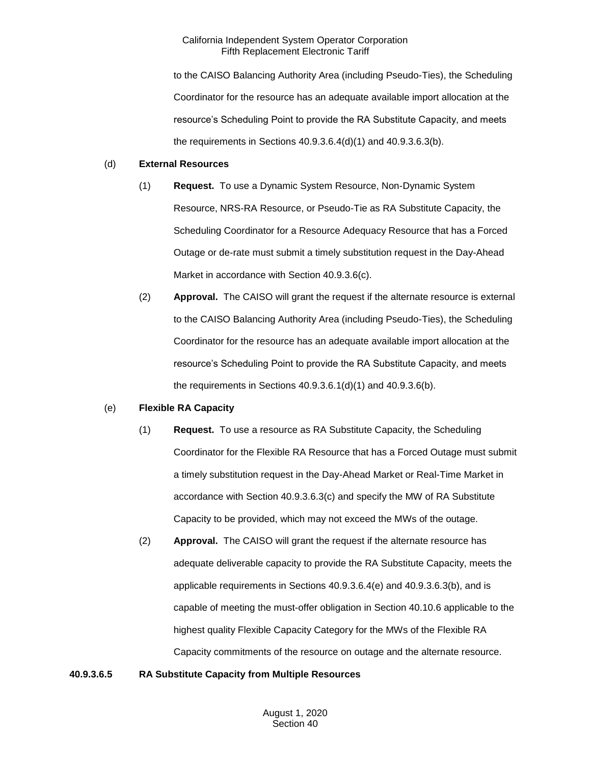to the CAISO Balancing Authority Area (including Pseudo-Ties), the Scheduling Coordinator for the resource has an adequate available import allocation at the resource's Scheduling Point to provide the RA Substitute Capacity, and meets the requirements in Sections 40.9.3.6.4(d)(1) and 40.9.3.6.3(b).

## (d) **External Resources**

- (1) **Request.** To use a Dynamic System Resource, Non-Dynamic System Resource, NRS-RA Resource, or Pseudo-Tie as RA Substitute Capacity, the Scheduling Coordinator for a Resource Adequacy Resource that has a Forced Outage or de-rate must submit a timely substitution request in the Day-Ahead Market in accordance with Section 40.9.3.6(c).
- (2) **Approval.** The CAISO will grant the request if the alternate resource is external to the CAISO Balancing Authority Area (including Pseudo-Ties), the Scheduling Coordinator for the resource has an adequate available import allocation at the resource's Scheduling Point to provide the RA Substitute Capacity, and meets the requirements in Sections 40.9.3.6.1(d)(1) and 40.9.3.6(b).

# (e) **Flexible RA Capacity**

- (1) **Request.** To use a resource as RA Substitute Capacity, the Scheduling Coordinator for the Flexible RA Resource that has a Forced Outage must submit a timely substitution request in the Day-Ahead Market or Real-Time Market in accordance with Section 40.9.3.6.3(c) and specify the MW of RA Substitute Capacity to be provided, which may not exceed the MWs of the outage.
- (2) **Approval.** The CAISO will grant the request if the alternate resource has adequate deliverable capacity to provide the RA Substitute Capacity, meets the applicable requirements in Sections 40.9.3.6.4(e) and 40.9.3.6.3(b), and is capable of meeting the must-offer obligation in Section 40.10.6 applicable to the highest quality Flexible Capacity Category for the MWs of the Flexible RA Capacity commitments of the resource on outage and the alternate resource.

# **40.9.3.6.5 RA Substitute Capacity from Multiple Resources**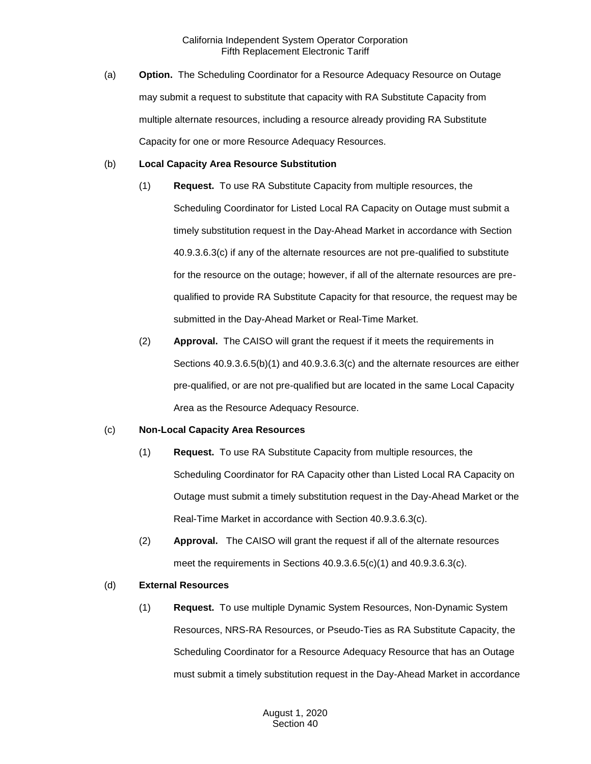(a) **Option.** The Scheduling Coordinator for a Resource Adequacy Resource on Outage may submit a request to substitute that capacity with RA Substitute Capacity from multiple alternate resources, including a resource already providing RA Substitute Capacity for one or more Resource Adequacy Resources.

### (b) **Local Capacity Area Resource Substitution**

- (1) **Request.** To use RA Substitute Capacity from multiple resources, the Scheduling Coordinator for Listed Local RA Capacity on Outage must submit a timely substitution request in the Day-Ahead Market in accordance with Section 40.9.3.6.3(c) if any of the alternate resources are not pre-qualified to substitute for the resource on the outage; however, if all of the alternate resources are prequalified to provide RA Substitute Capacity for that resource, the request may be submitted in the Day-Ahead Market or Real-Time Market.
- (2) **Approval.** The CAISO will grant the request if it meets the requirements in Sections 40.9.3.6.5(b)(1) and 40.9.3.6.3(c) and the alternate resources are either pre-qualified, or are not pre-qualified but are located in the same Local Capacity Area as the Resource Adequacy Resource.

# (c) **Non-Local Capacity Area Resources**

- (1) **Request.** To use RA Substitute Capacity from multiple resources, the Scheduling Coordinator for RA Capacity other than Listed Local RA Capacity on Outage must submit a timely substitution request in the Day-Ahead Market or the Real-Time Market in accordance with Section 40.9.3.6.3(c).
- (2) **Approval.** The CAISO will grant the request if all of the alternate resources meet the requirements in Sections 40.9.3.6.5(c)(1) and 40.9.3.6.3(c).

# (d) **External Resources**

(1) **Request.** To use multiple Dynamic System Resources, Non-Dynamic System Resources, NRS-RA Resources, or Pseudo-Ties as RA Substitute Capacity, the Scheduling Coordinator for a Resource Adequacy Resource that has an Outage must submit a timely substitution request in the Day-Ahead Market in accordance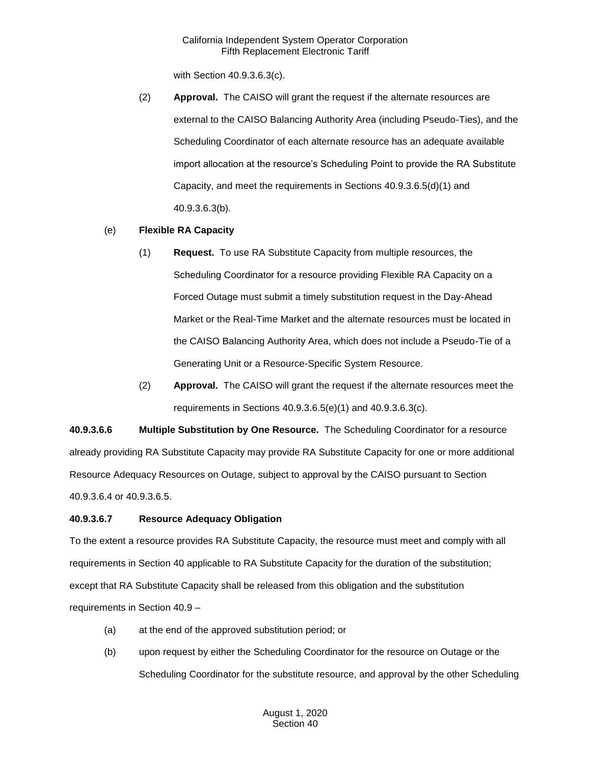with Section 40.9.3.6.3(c).

(2) **Approval.** The CAISO will grant the request if the alternate resources are external to the CAISO Balancing Authority Area (including Pseudo-Ties), and the Scheduling Coordinator of each alternate resource has an adequate available import allocation at the resource's Scheduling Point to provide the RA Substitute Capacity, and meet the requirements in Sections 40.9.3.6.5(d)(1) and 40.9.3.6.3(b).

# (e) **Flexible RA Capacity**

- (1) **Request.** To use RA Substitute Capacity from multiple resources, the Scheduling Coordinator for a resource providing Flexible RA Capacity on a Forced Outage must submit a timely substitution request in the Day-Ahead Market or the Real-Time Market and the alternate resources must be located in the CAISO Balancing Authority Area, which does not include a Pseudo-Tie of a Generating Unit or a Resource-Specific System Resource.
- (2) **Approval.** The CAISO will grant the request if the alternate resources meet the requirements in Sections 40.9.3.6.5(e)(1) and 40.9.3.6.3(c).

**40.9.3.6.6 Multiple Substitution by One Resource.** The Scheduling Coordinator for a resource already providing RA Substitute Capacity may provide RA Substitute Capacity for one or more additional Resource Adequacy Resources on Outage, subject to approval by the CAISO pursuant to Section 40.9.3.6.4 or 40.9.3.6.5.

## **40.9.3.6.7 Resource Adequacy Obligation**

To the extent a resource provides RA Substitute Capacity, the resource must meet and comply with all requirements in Section 40 applicable to RA Substitute Capacity for the duration of the substitution; except that RA Substitute Capacity shall be released from this obligation and the substitution requirements in Section 40.9 –

- (a) at the end of the approved substitution period; or
- (b) upon request by either the Scheduling Coordinator for the resource on Outage or the Scheduling Coordinator for the substitute resource, and approval by the other Scheduling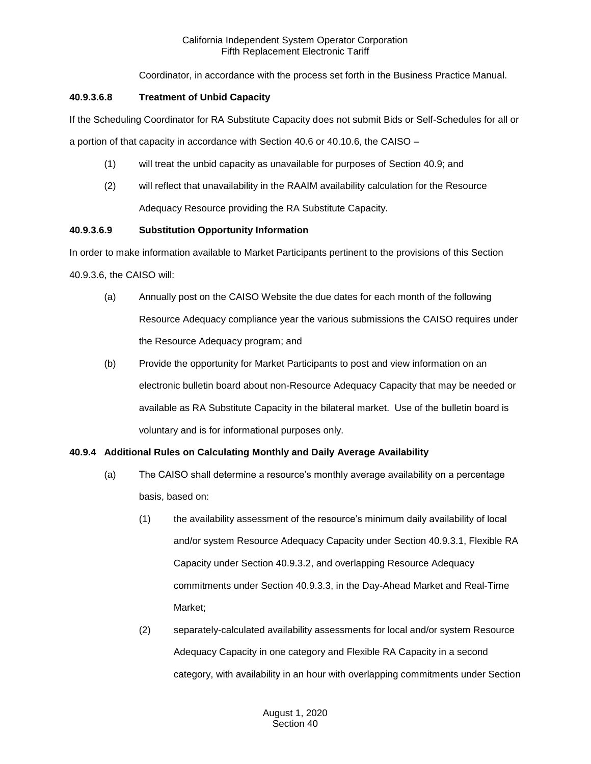Coordinator, in accordance with the process set forth in the Business Practice Manual.

## **40.9.3.6.8 Treatment of Unbid Capacity**

If the Scheduling Coordinator for RA Substitute Capacity does not submit Bids or Self-Schedules for all or

a portion of that capacity in accordance with Section 40.6 or 40.10.6, the CAISO –

- (1) will treat the unbid capacity as unavailable for purposes of Section 40.9; and
- (2) will reflect that unavailability in the RAAIM availability calculation for the Resource Adequacy Resource providing the RA Substitute Capacity.

# **40.9.3.6.9 Substitution Opportunity Information**

In order to make information available to Market Participants pertinent to the provisions of this Section 40.9.3.6, the CAISO will:

- (a) Annually post on the CAISO Website the due dates for each month of the following Resource Adequacy compliance year the various submissions the CAISO requires under the Resource Adequacy program; and
- (b) Provide the opportunity for Market Participants to post and view information on an electronic bulletin board about non-Resource Adequacy Capacity that may be needed or available as RA Substitute Capacity in the bilateral market. Use of the bulletin board is voluntary and is for informational purposes only.

# **40.9.4 Additional Rules on Calculating Monthly and Daily Average Availability**

- (a) The CAISO shall determine a resource's monthly average availability on a percentage basis, based on:
	- (1) the availability assessment of the resource's minimum daily availability of local and/or system Resource Adequacy Capacity under Section 40.9.3.1, Flexible RA Capacity under Section 40.9.3.2, and overlapping Resource Adequacy commitments under Section 40.9.3.3, in the Day-Ahead Market and Real-Time Market;
	- (2) separately-calculated availability assessments for local and/or system Resource Adequacy Capacity in one category and Flexible RA Capacity in a second category, with availability in an hour with overlapping commitments under Section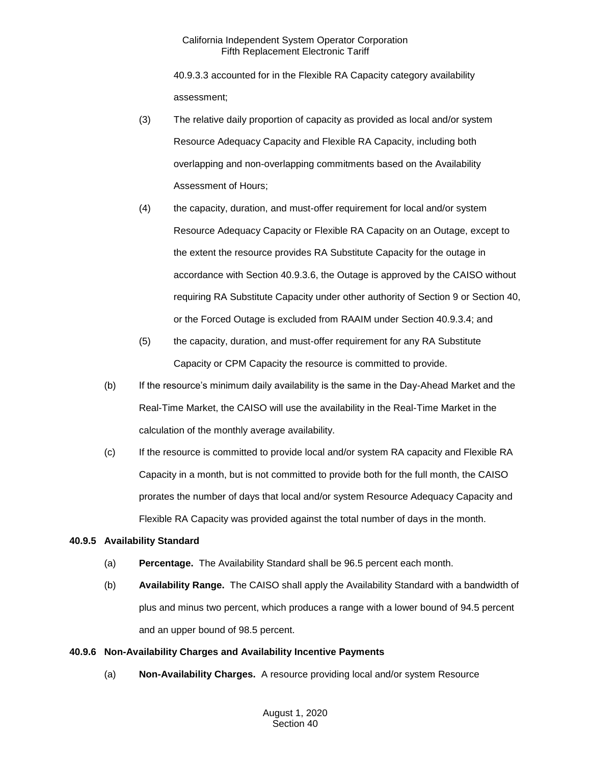40.9.3.3 accounted for in the Flexible RA Capacity category availability assessment;

- (3) The relative daily proportion of capacity as provided as local and/or system Resource Adequacy Capacity and Flexible RA Capacity, including both overlapping and non-overlapping commitments based on the Availability Assessment of Hours;
- (4) the capacity, duration, and must-offer requirement for local and/or system Resource Adequacy Capacity or Flexible RA Capacity on an Outage, except to the extent the resource provides RA Substitute Capacity for the outage in accordance with Section 40.9.3.6, the Outage is approved by the CAISO without requiring RA Substitute Capacity under other authority of Section 9 or Section 40, or the Forced Outage is excluded from RAAIM under Section 40.9.3.4; and
- (5) the capacity, duration, and must-offer requirement for any RA Substitute Capacity or CPM Capacity the resource is committed to provide.
- (b) If the resource's minimum daily availability is the same in the Day-Ahead Market and the Real-Time Market, the CAISO will use the availability in the Real-Time Market in the calculation of the monthly average availability.
- (c) If the resource is committed to provide local and/or system RA capacity and Flexible RA Capacity in a month, but is not committed to provide both for the full month, the CAISO prorates the number of days that local and/or system Resource Adequacy Capacity and Flexible RA Capacity was provided against the total number of days in the month.

## **40.9.5 Availability Standard**

- (a) **Percentage.** The Availability Standard shall be 96.5 percent each month.
- (b) **Availability Range.** The CAISO shall apply the Availability Standard with a bandwidth of plus and minus two percent, which produces a range with a lower bound of 94.5 percent and an upper bound of 98.5 percent.

## **40.9.6 Non-Availability Charges and Availability Incentive Payments**

(a) **Non-Availability Charges.** A resource providing local and/or system Resource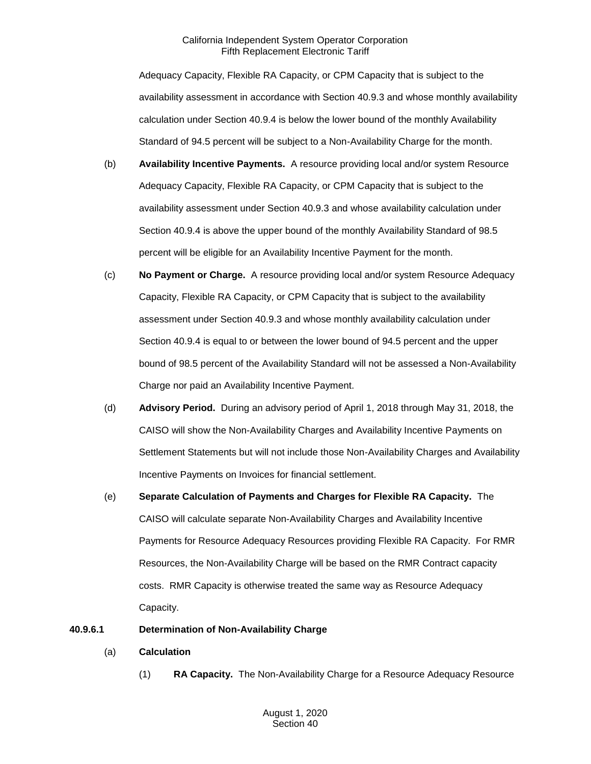Adequacy Capacity, Flexible RA Capacity, or CPM Capacity that is subject to the availability assessment in accordance with Section 40.9.3 and whose monthly availability calculation under Section 40.9.4 is below the lower bound of the monthly Availability Standard of 94.5 percent will be subject to a Non-Availability Charge for the month.

- (b) **Availability Incentive Payments.** A resource providing local and/or system Resource Adequacy Capacity, Flexible RA Capacity, or CPM Capacity that is subject to the availability assessment under Section 40.9.3 and whose availability calculation under Section 40.9.4 is above the upper bound of the monthly Availability Standard of 98.5 percent will be eligible for an Availability Incentive Payment for the month.
- (c) **No Payment or Charge.** A resource providing local and/or system Resource Adequacy Capacity, Flexible RA Capacity, or CPM Capacity that is subject to the availability assessment under Section 40.9.3 and whose monthly availability calculation under Section 40.9.4 is equal to or between the lower bound of 94.5 percent and the upper bound of 98.5 percent of the Availability Standard will not be assessed a Non-Availability Charge nor paid an Availability Incentive Payment.
- (d) **Advisory Period.** During an advisory period of April 1, 2018 through May 31, 2018, the CAISO will show the Non-Availability Charges and Availability Incentive Payments on Settlement Statements but will not include those Non-Availability Charges and Availability Incentive Payments on Invoices for financial settlement.
- (e) **Separate Calculation of Payments and Charges for Flexible RA Capacity.** The CAISO will calculate separate Non-Availability Charges and Availability Incentive Payments for Resource Adequacy Resources providing Flexible RA Capacity. For RMR Resources, the Non-Availability Charge will be based on the RMR Contract capacity costs. RMR Capacity is otherwise treated the same way as Resource Adequacy Capacity.

## **40.9.6.1 Determination of Non-Availability Charge**

- (a) **Calculation**
	- (1) **RA Capacity.** The Non-Availability Charge for a Resource Adequacy Resource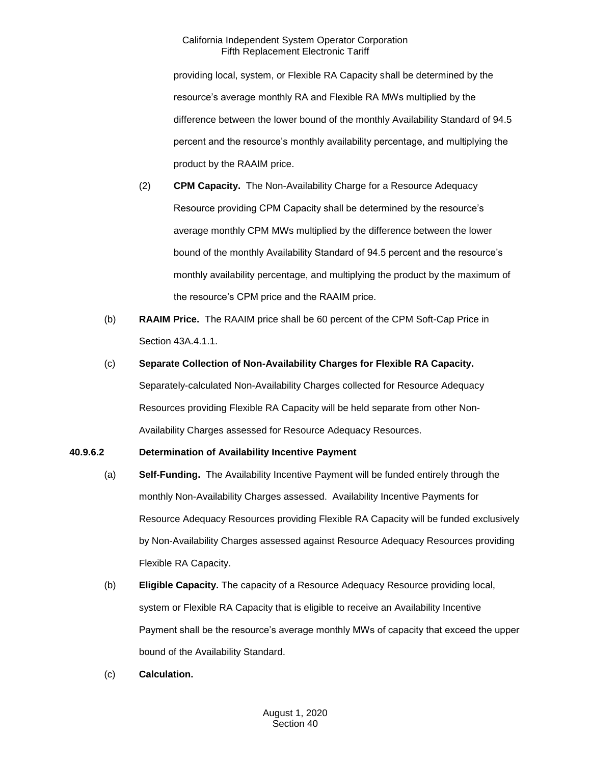providing local, system, or Flexible RA Capacity shall be determined by the resource's average monthly RA and Flexible RA MWs multiplied by the difference between the lower bound of the monthly Availability Standard of 94.5 percent and the resource's monthly availability percentage, and multiplying the product by the RAAIM price.

- (2) **CPM Capacity.** The Non-Availability Charge for a Resource Adequacy Resource providing CPM Capacity shall be determined by the resource's average monthly CPM MWs multiplied by the difference between the lower bound of the monthly Availability Standard of 94.5 percent and the resource's monthly availability percentage, and multiplying the product by the maximum of the resource's CPM price and the RAAIM price.
- (b) **RAAIM Price.** The RAAIM price shall be 60 percent of the CPM Soft-Cap Price in Section 43A.4.1.1.
- (c) **Separate Collection of Non-Availability Charges for Flexible RA Capacity.**

Separately-calculated Non-Availability Charges collected for Resource Adequacy Resources providing Flexible RA Capacity will be held separate from other Non-Availability Charges assessed for Resource Adequacy Resources.

## **40.9.6.2 Determination of Availability Incentive Payment**

- (a) **Self-Funding.** The Availability Incentive Payment will be funded entirely through the monthly Non-Availability Charges assessed. Availability Incentive Payments for Resource Adequacy Resources providing Flexible RA Capacity will be funded exclusively by Non-Availability Charges assessed against Resource Adequacy Resources providing Flexible RA Capacity.
- (b) **Eligible Capacity.** The capacity of a Resource Adequacy Resource providing local, system or Flexible RA Capacity that is eligible to receive an Availability Incentive Payment shall be the resource's average monthly MWs of capacity that exceed the upper bound of the Availability Standard.
- (c) **Calculation.**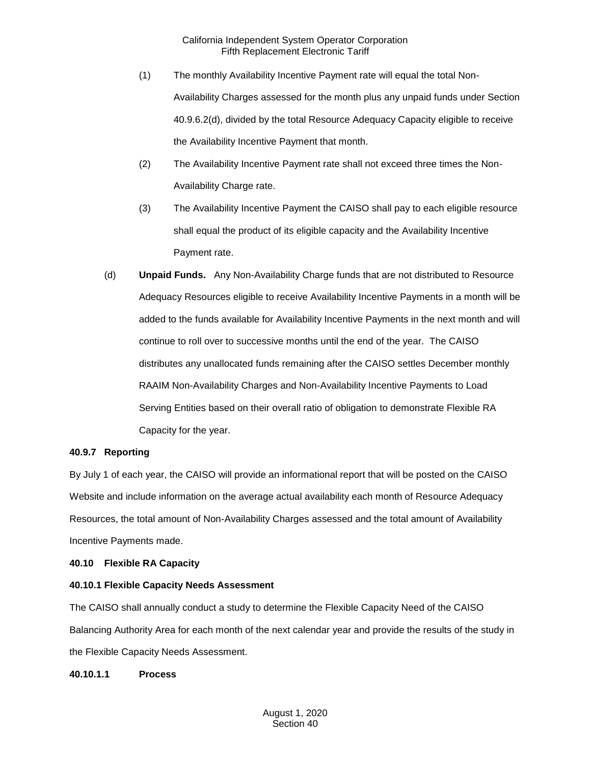- (1) The monthly Availability Incentive Payment rate will equal the total Non-Availability Charges assessed for the month plus any unpaid funds under Section 40.9.6.2(d), divided by the total Resource Adequacy Capacity eligible to receive the Availability Incentive Payment that month.
- (2) The Availability Incentive Payment rate shall not exceed three times the Non-Availability Charge rate.
- (3) The Availability Incentive Payment the CAISO shall pay to each eligible resource shall equal the product of its eligible capacity and the Availability Incentive Payment rate.
- (d) **Unpaid Funds.** Any Non-Availability Charge funds that are not distributed to Resource Adequacy Resources eligible to receive Availability Incentive Payments in a month will be added to the funds available for Availability Incentive Payments in the next month and will continue to roll over to successive months until the end of the year. The CAISO distributes any unallocated funds remaining after the CAISO settles December monthly RAAIM Non-Availability Charges and Non-Availability Incentive Payments to Load Serving Entities based on their overall ratio of obligation to demonstrate Flexible RA Capacity for the year.

## **40.9.7 Reporting**

By July 1 of each year, the CAISO will provide an informational report that will be posted on the CAISO Website and include information on the average actual availability each month of Resource Adequacy Resources, the total amount of Non-Availability Charges assessed and the total amount of Availability Incentive Payments made.

#### **40.10 Flexible RA Capacity**

## **40.10.1 Flexible Capacity Needs Assessment**

The CAISO shall annually conduct a study to determine the Flexible Capacity Need of the CAISO Balancing Authority Area for each month of the next calendar year and provide the results of the study in the Flexible Capacity Needs Assessment.

**40.10.1.1 Process**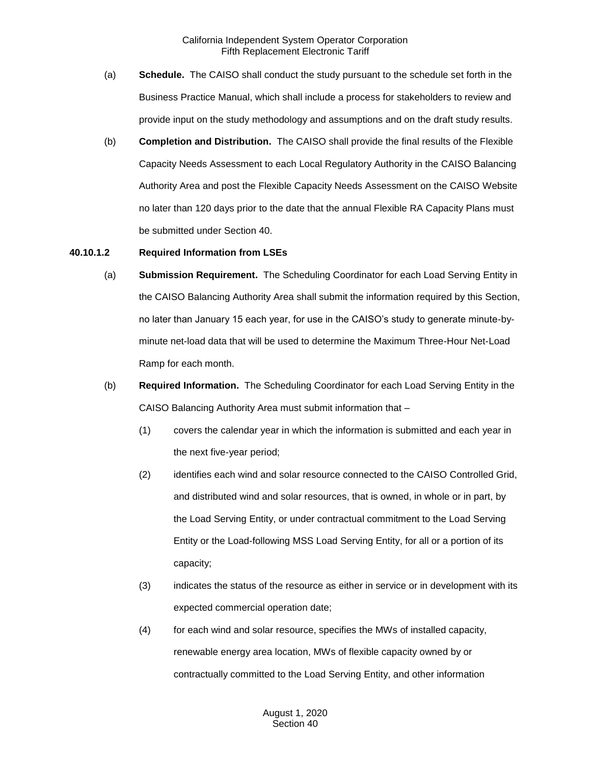- (a) **Schedule.** The CAISO shall conduct the study pursuant to the schedule set forth in the Business Practice Manual, which shall include a process for stakeholders to review and provide input on the study methodology and assumptions and on the draft study results.
- (b) **Completion and Distribution.** The CAISO shall provide the final results of the Flexible Capacity Needs Assessment to each Local Regulatory Authority in the CAISO Balancing Authority Area and post the Flexible Capacity Needs Assessment on the CAISO Website no later than 120 days prior to the date that the annual Flexible RA Capacity Plans must be submitted under Section 40.

#### **40.10.1.2 Required Information from LSEs**

- (a) **Submission Requirement.** The Scheduling Coordinator for each Load Serving Entity in the CAISO Balancing Authority Area shall submit the information required by this Section, no later than January 15 each year, for use in the CAISO's study to generate minute-byminute net-load data that will be used to determine the Maximum Three-Hour Net-Load Ramp for each month.
- (b) **Required Information.** The Scheduling Coordinator for each Load Serving Entity in the CAISO Balancing Authority Area must submit information that –
	- (1) covers the calendar year in which the information is submitted and each year in the next five-year period;
	- (2) identifies each wind and solar resource connected to the CAISO Controlled Grid, and distributed wind and solar resources, that is owned, in whole or in part, by the Load Serving Entity, or under contractual commitment to the Load Serving Entity or the Load-following MSS Load Serving Entity, for all or a portion of its capacity;
	- (3) indicates the status of the resource as either in service or in development with its expected commercial operation date;
	- (4) for each wind and solar resource, specifies the MWs of installed capacity, renewable energy area location, MWs of flexible capacity owned by or contractually committed to the Load Serving Entity, and other information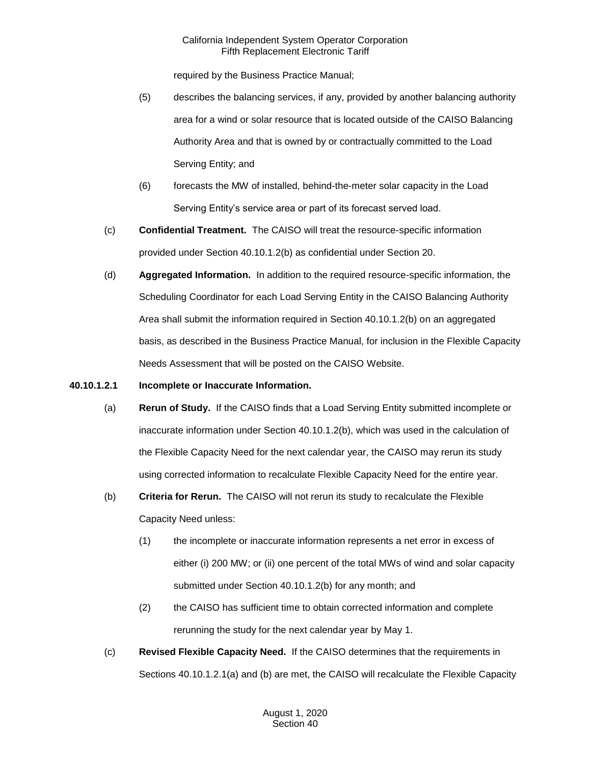required by the Business Practice Manual;

- (5) describes the balancing services, if any, provided by another balancing authority area for a wind or solar resource that is located outside of the CAISO Balancing Authority Area and that is owned by or contractually committed to the Load Serving Entity; and
- (6) forecasts the MW of installed, behind-the-meter solar capacity in the Load Serving Entity's service area or part of its forecast served load.
- (c) **Confidential Treatment.** The CAISO will treat the resource-specific information provided under Section 40.10.1.2(b) as confidential under Section 20.
- (d) **Aggregated Information.** In addition to the required resource-specific information, the Scheduling Coordinator for each Load Serving Entity in the CAISO Balancing Authority Area shall submit the information required in Section 40.10.1.2(b) on an aggregated basis, as described in the Business Practice Manual, for inclusion in the Flexible Capacity Needs Assessment that will be posted on the CAISO Website.

## **40.10.1.2.1 Incomplete or Inaccurate Information.**

- (a) **Rerun of Study.** If the CAISO finds that a Load Serving Entity submitted incomplete or inaccurate information under Section 40.10.1.2(b), which was used in the calculation of the Flexible Capacity Need for the next calendar year, the CAISO may rerun its study using corrected information to recalculate Flexible Capacity Need for the entire year.
- (b) **Criteria for Rerun.** The CAISO will not rerun its study to recalculate the Flexible Capacity Need unless:
	- (1) the incomplete or inaccurate information represents a net error in excess of either (i) 200 MW; or (ii) one percent of the total MWs of wind and solar capacity submitted under Section 40.10.1.2(b) for any month; and
	- (2) the CAISO has sufficient time to obtain corrected information and complete rerunning the study for the next calendar year by May 1.
- (c) **Revised Flexible Capacity Need.** If the CAISO determines that the requirements in Sections 40.10.1.2.1(a) and (b) are met, the CAISO will recalculate the Flexible Capacity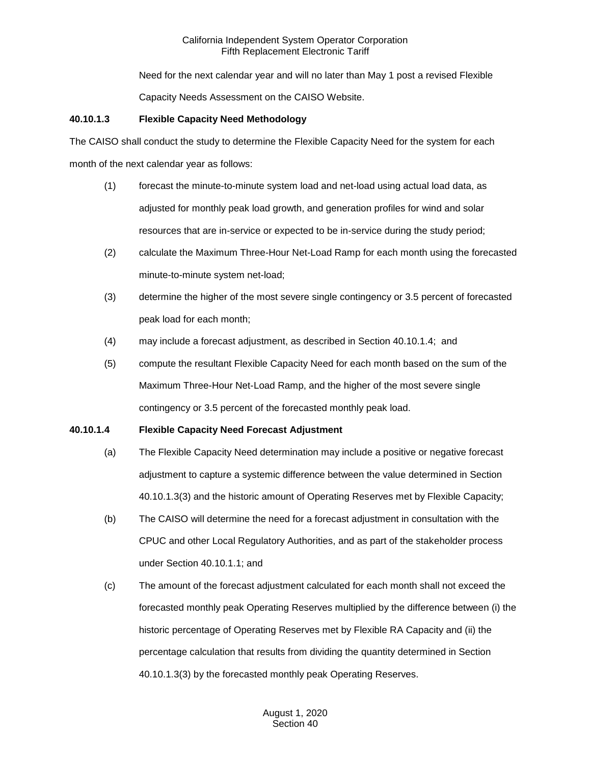Need for the next calendar year and will no later than May 1 post a revised Flexible

Capacity Needs Assessment on the CAISO Website.

## **40.10.1.3 Flexible Capacity Need Methodology**

The CAISO shall conduct the study to determine the Flexible Capacity Need for the system for each month of the next calendar year as follows:

- (1) forecast the minute-to-minute system load and net-load using actual load data, as adjusted for monthly peak load growth, and generation profiles for wind and solar resources that are in-service or expected to be in-service during the study period;
- (2) calculate the Maximum Three-Hour Net-Load Ramp for each month using the forecasted minute-to-minute system net-load;
- (3) determine the higher of the most severe single contingency or 3.5 percent of forecasted peak load for each month;
- (4) may include a forecast adjustment, as described in Section 40.10.1.4; and
- (5) compute the resultant Flexible Capacity Need for each month based on the sum of the Maximum Three-Hour Net-Load Ramp, and the higher of the most severe single contingency or 3.5 percent of the forecasted monthly peak load.

## **40.10.1.4 Flexible Capacity Need Forecast Adjustment**

- (a) The Flexible Capacity Need determination may include a positive or negative forecast adjustment to capture a systemic difference between the value determined in Section 40.10.1.3(3) and the historic amount of Operating Reserves met by Flexible Capacity;
- (b) The CAISO will determine the need for a forecast adjustment in consultation with the CPUC and other Local Regulatory Authorities, and as part of the stakeholder process under Section 40.10.1.1; and
- (c) The amount of the forecast adjustment calculated for each month shall not exceed the forecasted monthly peak Operating Reserves multiplied by the difference between (i) the historic percentage of Operating Reserves met by Flexible RA Capacity and (ii) the percentage calculation that results from dividing the quantity determined in Section 40.10.1.3(3) by the forecasted monthly peak Operating Reserves.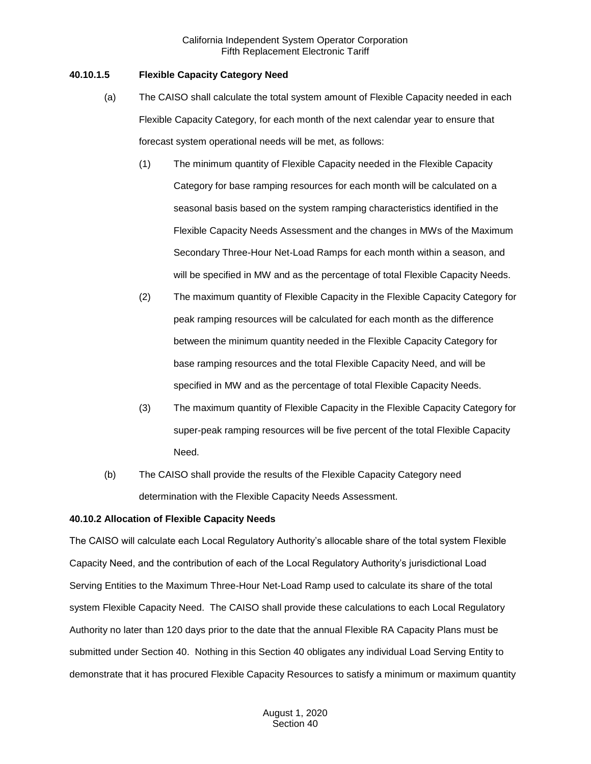## **40.10.1.5 Flexible Capacity Category Need**

- (a) The CAISO shall calculate the total system amount of Flexible Capacity needed in each Flexible Capacity Category, for each month of the next calendar year to ensure that forecast system operational needs will be met, as follows:
	- (1) The minimum quantity of Flexible Capacity needed in the Flexible Capacity Category for base ramping resources for each month will be calculated on a seasonal basis based on the system ramping characteristics identified in the Flexible Capacity Needs Assessment and the changes in MWs of the Maximum Secondary Three-Hour Net-Load Ramps for each month within a season, and will be specified in MW and as the percentage of total Flexible Capacity Needs.
	- (2) The maximum quantity of Flexible Capacity in the Flexible Capacity Category for peak ramping resources will be calculated for each month as the difference between the minimum quantity needed in the Flexible Capacity Category for base ramping resources and the total Flexible Capacity Need, and will be specified in MW and as the percentage of total Flexible Capacity Needs.
	- (3) The maximum quantity of Flexible Capacity in the Flexible Capacity Category for super-peak ramping resources will be five percent of the total Flexible Capacity Need.
- (b) The CAISO shall provide the results of the Flexible Capacity Category need determination with the Flexible Capacity Needs Assessment.

## **40.10.2 Allocation of Flexible Capacity Needs**

The CAISO will calculate each Local Regulatory Authority's allocable share of the total system Flexible Capacity Need, and the contribution of each of the Local Regulatory Authority's jurisdictional Load Serving Entities to the Maximum Three-Hour Net-Load Ramp used to calculate its share of the total system Flexible Capacity Need. The CAISO shall provide these calculations to each Local Regulatory Authority no later than 120 days prior to the date that the annual Flexible RA Capacity Plans must be submitted under Section 40. Nothing in this Section 40 obligates any individual Load Serving Entity to demonstrate that it has procured Flexible Capacity Resources to satisfy a minimum or maximum quantity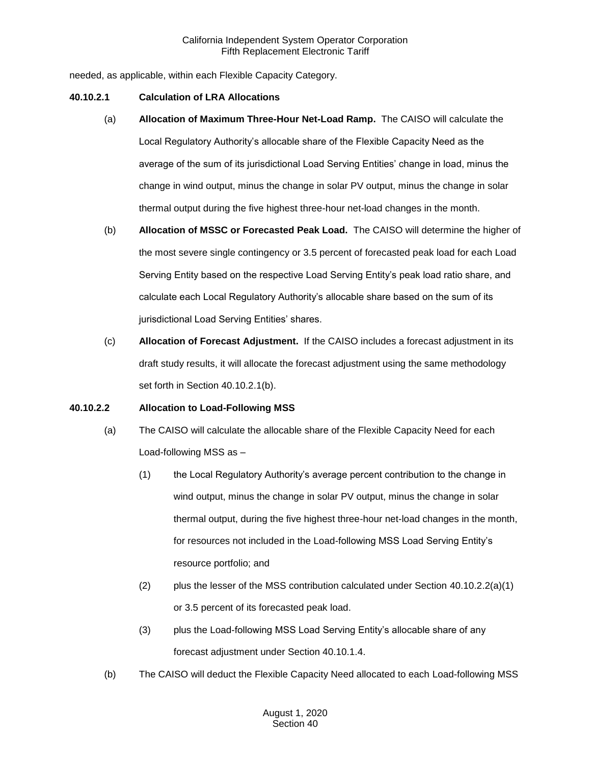needed, as applicable, within each Flexible Capacity Category.

#### **40.10.2.1 Calculation of LRA Allocations**

- (a) **Allocation of Maximum Three-Hour Net-Load Ramp.** The CAISO will calculate the Local Regulatory Authority's allocable share of the Flexible Capacity Need as the average of the sum of its jurisdictional Load Serving Entities' change in load, minus the change in wind output, minus the change in solar PV output, minus the change in solar thermal output during the five highest three-hour net-load changes in the month.
- (b) **Allocation of MSSC or Forecasted Peak Load.** The CAISO will determine the higher of the most severe single contingency or 3.5 percent of forecasted peak load for each Load Serving Entity based on the respective Load Serving Entity's peak load ratio share, and calculate each Local Regulatory Authority's allocable share based on the sum of its jurisdictional Load Serving Entities' shares.
- (c) **Allocation of Forecast Adjustment.** If the CAISO includes a forecast adjustment in its draft study results, it will allocate the forecast adjustment using the same methodology set forth in Section 40.10.2.1(b).

#### **40.10.2.2 Allocation to Load-Following MSS**

- (a) The CAISO will calculate the allocable share of the Flexible Capacity Need for each Load-following MSS as –
	- (1) the Local Regulatory Authority's average percent contribution to the change in wind output, minus the change in solar PV output, minus the change in solar thermal output, during the five highest three-hour net-load changes in the month, for resources not included in the Load-following MSS Load Serving Entity's resource portfolio; and
	- (2) plus the lesser of the MSS contribution calculated under Section  $40.10.2.2(a)(1)$ or 3.5 percent of its forecasted peak load.
	- (3) plus the Load-following MSS Load Serving Entity's allocable share of any forecast adjustment under Section 40.10.1.4.
- (b) The CAISO will deduct the Flexible Capacity Need allocated to each Load-following MSS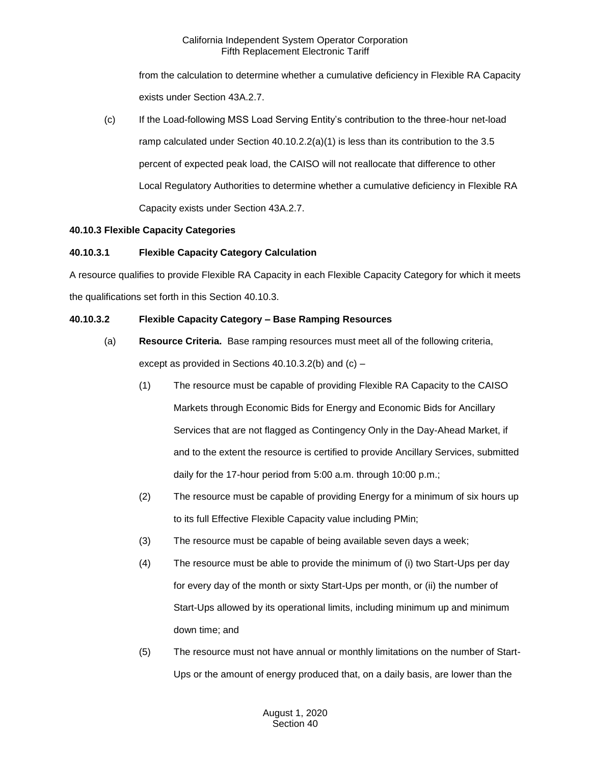from the calculation to determine whether a cumulative deficiency in Flexible RA Capacity exists under Section 43A.2.7.

(c) If the Load-following MSS Load Serving Entity's contribution to the three-hour net-load ramp calculated under Section  $40.10.2.2(a)(1)$  is less than its contribution to the 3.5 percent of expected peak load, the CAISO will not reallocate that difference to other Local Regulatory Authorities to determine whether a cumulative deficiency in Flexible RA Capacity exists under Section 43A.2.7.

# **40.10.3 Flexible Capacity Categories**

# **40.10.3.1 Flexible Capacity Category Calculation**

A resource qualifies to provide Flexible RA Capacity in each Flexible Capacity Category for which it meets the qualifications set forth in this Section 40.10.3.

# **40.10.3.2 Flexible Capacity Category – Base Ramping Resources**

- (a) **Resource Criteria.** Base ramping resources must meet all of the following criteria, except as provided in Sections 40.10.3.2(b) and (c) –
	- (1) The resource must be capable of providing Flexible RA Capacity to the CAISO Markets through Economic Bids for Energy and Economic Bids for Ancillary Services that are not flagged as Contingency Only in the Day-Ahead Market, if and to the extent the resource is certified to provide Ancillary Services, submitted daily for the 17-hour period from 5:00 a.m. through 10:00 p.m.;
	- (2) The resource must be capable of providing Energy for a minimum of six hours up to its full Effective Flexible Capacity value including PMin;
	- (3) The resource must be capable of being available seven days a week;
	- (4) The resource must be able to provide the minimum of (i) two Start-Ups per day for every day of the month or sixty Start-Ups per month, or (ii) the number of Start-Ups allowed by its operational limits, including minimum up and minimum down time; and
	- (5) The resource must not have annual or monthly limitations on the number of Start-Ups or the amount of energy produced that, on a daily basis, are lower than the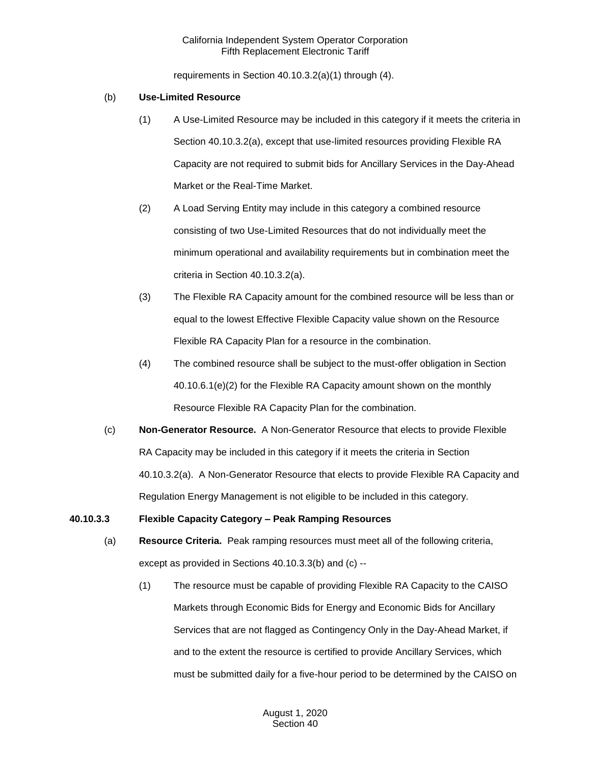requirements in Section 40.10.3.2(a)(1) through (4).

#### (b) **Use-Limited Resource**

- (1) A Use-Limited Resource may be included in this category if it meets the criteria in Section 40.10.3.2(a), except that use-limited resources providing Flexible RA Capacity are not required to submit bids for Ancillary Services in the Day-Ahead Market or the Real-Time Market.
- (2) A Load Serving Entity may include in this category a combined resource consisting of two Use-Limited Resources that do not individually meet the minimum operational and availability requirements but in combination meet the criteria in Section 40.10.3.2(a).
- (3) The Flexible RA Capacity amount for the combined resource will be less than or equal to the lowest Effective Flexible Capacity value shown on the Resource Flexible RA Capacity Plan for a resource in the combination.
- (4) The combined resource shall be subject to the must-offer obligation in Section 40.10.6.1(e)(2) for the Flexible RA Capacity amount shown on the monthly Resource Flexible RA Capacity Plan for the combination.
- (c) **Non-Generator Resource.** A Non-Generator Resource that elects to provide Flexible RA Capacity may be included in this category if it meets the criteria in Section 40.10.3.2(a). A Non-Generator Resource that elects to provide Flexible RA Capacity and Regulation Energy Management is not eligible to be included in this category.

## **40.10.3.3 Flexible Capacity Category – Peak Ramping Resources**

- (a) **Resource Criteria.** Peak ramping resources must meet all of the following criteria, except as provided in Sections 40.10.3.3(b) and (c) --
	- (1) The resource must be capable of providing Flexible RA Capacity to the CAISO Markets through Economic Bids for Energy and Economic Bids for Ancillary Services that are not flagged as Contingency Only in the Day-Ahead Market, if and to the extent the resource is certified to provide Ancillary Services, which must be submitted daily for a five-hour period to be determined by the CAISO on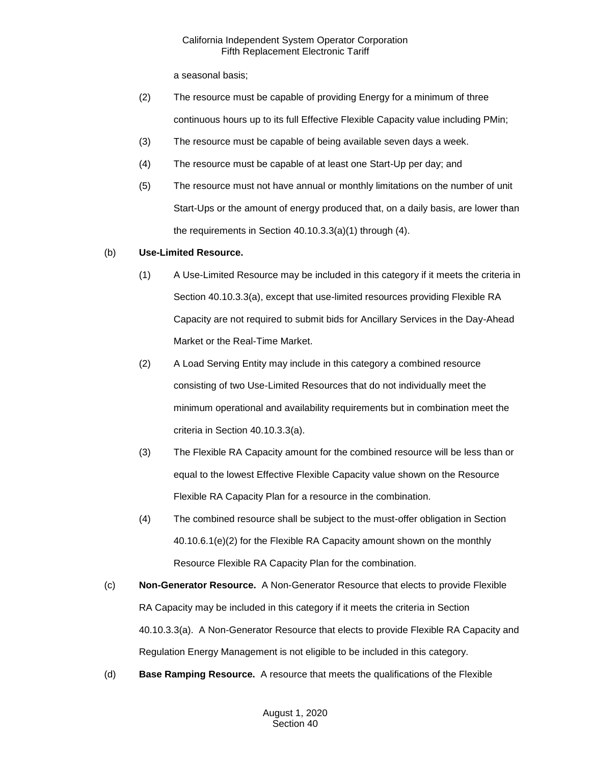a seasonal basis;

- (2) The resource must be capable of providing Energy for a minimum of three continuous hours up to its full Effective Flexible Capacity value including PMin;
- (3) The resource must be capable of being available seven days a week.
- (4) The resource must be capable of at least one Start-Up per day; and
- (5) The resource must not have annual or monthly limitations on the number of unit Start-Ups or the amount of energy produced that, on a daily basis, are lower than the requirements in Section 40.10.3.3(a)(1) through (4).

#### (b) **Use-Limited Resource.**

- (1) A Use-Limited Resource may be included in this category if it meets the criteria in Section 40.10.3.3(a), except that use-limited resources providing Flexible RA Capacity are not required to submit bids for Ancillary Services in the Day-Ahead Market or the Real-Time Market.
- (2) A Load Serving Entity may include in this category a combined resource consisting of two Use-Limited Resources that do not individually meet the minimum operational and availability requirements but in combination meet the criteria in Section 40.10.3.3(a).
- (3) The Flexible RA Capacity amount for the combined resource will be less than or equal to the lowest Effective Flexible Capacity value shown on the Resource Flexible RA Capacity Plan for a resource in the combination.
- (4) The combined resource shall be subject to the must-offer obligation in Section 40.10.6.1(e)(2) for the Flexible RA Capacity amount shown on the monthly Resource Flexible RA Capacity Plan for the combination.
- (c) **Non-Generator Resource.** A Non-Generator Resource that elects to provide Flexible RA Capacity may be included in this category if it meets the criteria in Section 40.10.3.3(a). A Non-Generator Resource that elects to provide Flexible RA Capacity and Regulation Energy Management is not eligible to be included in this category.
- (d) **Base Ramping Resource.** A resource that meets the qualifications of the Flexible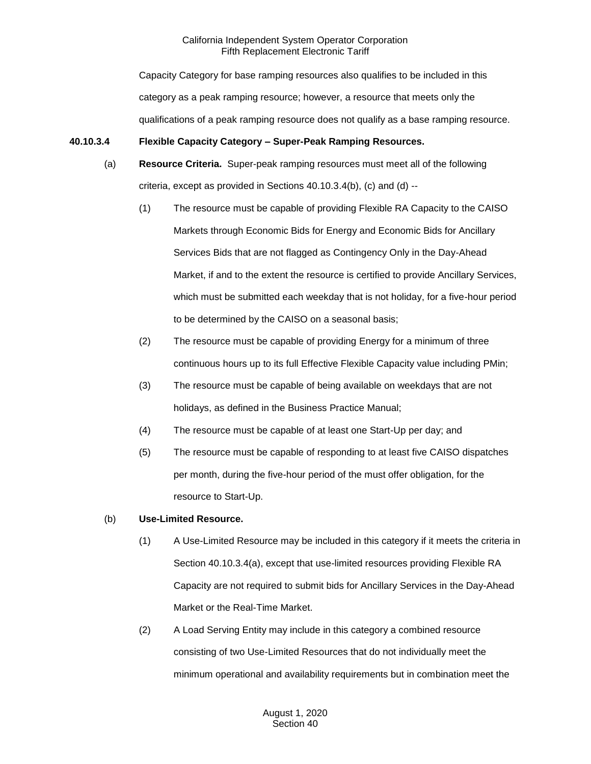Capacity Category for base ramping resources also qualifies to be included in this category as a peak ramping resource; however, a resource that meets only the qualifications of a peak ramping resource does not qualify as a base ramping resource.

# **40.10.3.4 Flexible Capacity Category – Super-Peak Ramping Resources.**

- (a) **Resource Criteria.** Super-peak ramping resources must meet all of the following criteria, except as provided in Sections 40.10.3.4(b), (c) and (d) --
	- (1) The resource must be capable of providing Flexible RA Capacity to the CAISO Markets through Economic Bids for Energy and Economic Bids for Ancillary Services Bids that are not flagged as Contingency Only in the Day-Ahead Market, if and to the extent the resource is certified to provide Ancillary Services, which must be submitted each weekday that is not holiday, for a five-hour period to be determined by the CAISO on a seasonal basis;
	- (2) The resource must be capable of providing Energy for a minimum of three continuous hours up to its full Effective Flexible Capacity value including PMin;
	- (3) The resource must be capable of being available on weekdays that are not holidays, as defined in the Business Practice Manual;
	- (4) The resource must be capable of at least one Start-Up per day; and
	- (5) The resource must be capable of responding to at least five CAISO dispatches per month, during the five-hour period of the must offer obligation, for the resource to Start-Up.

## (b) **Use-Limited Resource.**

- (1) A Use-Limited Resource may be included in this category if it meets the criteria in Section 40.10.3.4(a), except that use-limited resources providing Flexible RA Capacity are not required to submit bids for Ancillary Services in the Day-Ahead Market or the Real-Time Market.
- (2) A Load Serving Entity may include in this category a combined resource consisting of two Use-Limited Resources that do not individually meet the minimum operational and availability requirements but in combination meet the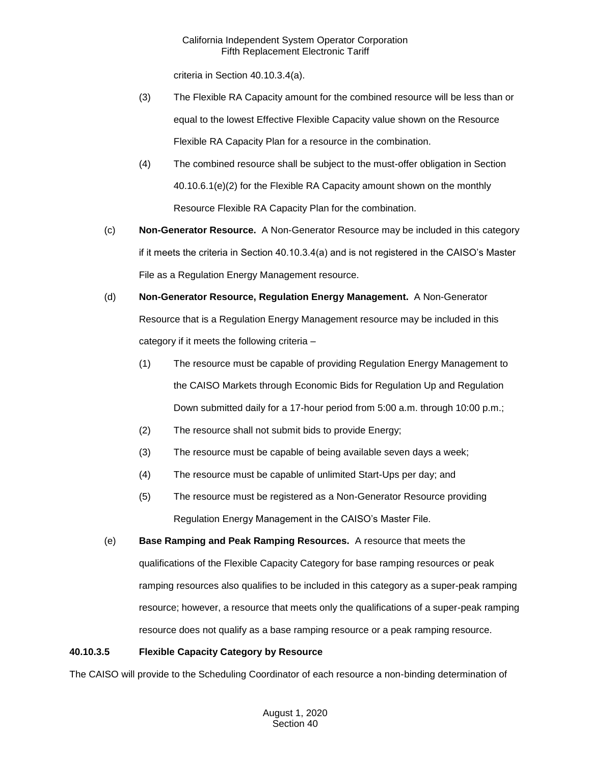criteria in Section 40.10.3.4(a).

- (3) The Flexible RA Capacity amount for the combined resource will be less than or equal to the lowest Effective Flexible Capacity value shown on the Resource Flexible RA Capacity Plan for a resource in the combination.
- (4) The combined resource shall be subject to the must-offer obligation in Section 40.10.6.1(e)(2) for the Flexible RA Capacity amount shown on the monthly Resource Flexible RA Capacity Plan for the combination.
- (c) **Non-Generator Resource.** A Non-Generator Resource may be included in this category if it meets the criteria in Section 40.10.3.4(a) and is not registered in the CAISO's Master File as a Regulation Energy Management resource.
- (d) **Non-Generator Resource, Regulation Energy Management.** A Non-Generator Resource that is a Regulation Energy Management resource may be included in this category if it meets the following criteria –
	- (1) The resource must be capable of providing Regulation Energy Management to the CAISO Markets through Economic Bids for Regulation Up and Regulation Down submitted daily for a 17-hour period from 5:00 a.m. through 10:00 p.m.;
	- (2) The resource shall not submit bids to provide Energy;
	- (3) The resource must be capable of being available seven days a week;
	- (4) The resource must be capable of unlimited Start-Ups per day; and
	- (5) The resource must be registered as a Non-Generator Resource providing Regulation Energy Management in the CAISO's Master File.
- (e) **Base Ramping and Peak Ramping Resources.** A resource that meets the qualifications of the Flexible Capacity Category for base ramping resources or peak ramping resources also qualifies to be included in this category as a super-peak ramping resource; however, a resource that meets only the qualifications of a super-peak ramping resource does not qualify as a base ramping resource or a peak ramping resource.

# **40.10.3.5 Flexible Capacity Category by Resource**

The CAISO will provide to the Scheduling Coordinator of each resource a non-binding determination of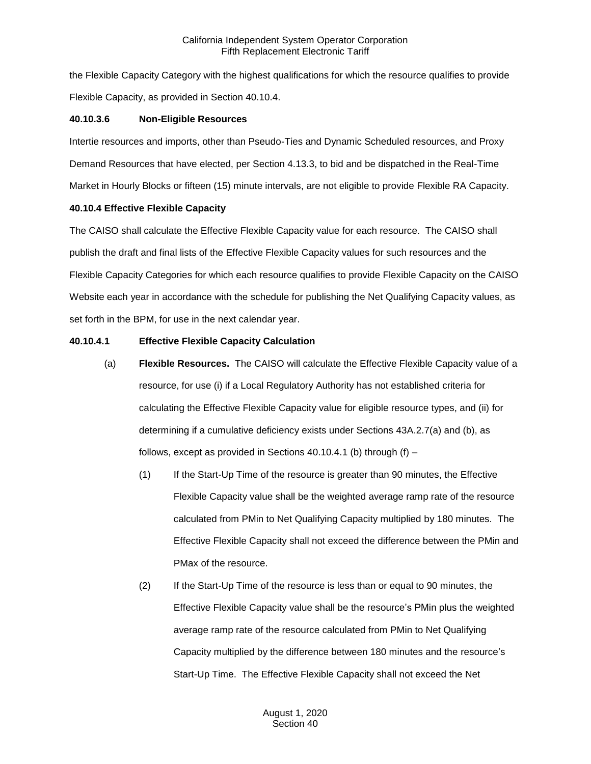the Flexible Capacity Category with the highest qualifications for which the resource qualifies to provide Flexible Capacity, as provided in Section 40.10.4.

## **40.10.3.6 Non-Eligible Resources**

Intertie resources and imports, other than Pseudo-Ties and Dynamic Scheduled resources, and Proxy Demand Resources that have elected, per Section 4.13.3, to bid and be dispatched in the Real-Time Market in Hourly Blocks or fifteen (15) minute intervals, are not eligible to provide Flexible RA Capacity.

#### **40.10.4 Effective Flexible Capacity**

The CAISO shall calculate the Effective Flexible Capacity value for each resource. The CAISO shall publish the draft and final lists of the Effective Flexible Capacity values for such resources and the Flexible Capacity Categories for which each resource qualifies to provide Flexible Capacity on the CAISO Website each year in accordance with the schedule for publishing the Net Qualifying Capacity values, as set forth in the BPM, for use in the next calendar year.

## **40.10.4.1 Effective Flexible Capacity Calculation**

- (a) **Flexible Resources.** The CAISO will calculate the Effective Flexible Capacity value of a resource, for use (i) if a Local Regulatory Authority has not established criteria for calculating the Effective Flexible Capacity value for eligible resource types, and (ii) for determining if a cumulative deficiency exists under Sections 43A.2.7(a) and (b), as follows, except as provided in Sections 40.10.4.1 (b) through  $(f)$  –
	- (1) If the Start-Up Time of the resource is greater than 90 minutes, the Effective Flexible Capacity value shall be the weighted average ramp rate of the resource calculated from PMin to Net Qualifying Capacity multiplied by 180 minutes. The Effective Flexible Capacity shall not exceed the difference between the PMin and PMax of the resource.
	- (2) If the Start-Up Time of the resource is less than or equal to 90 minutes, the Effective Flexible Capacity value shall be the resource's PMin plus the weighted average ramp rate of the resource calculated from PMin to Net Qualifying Capacity multiplied by the difference between 180 minutes and the resource's Start-Up Time. The Effective Flexible Capacity shall not exceed the Net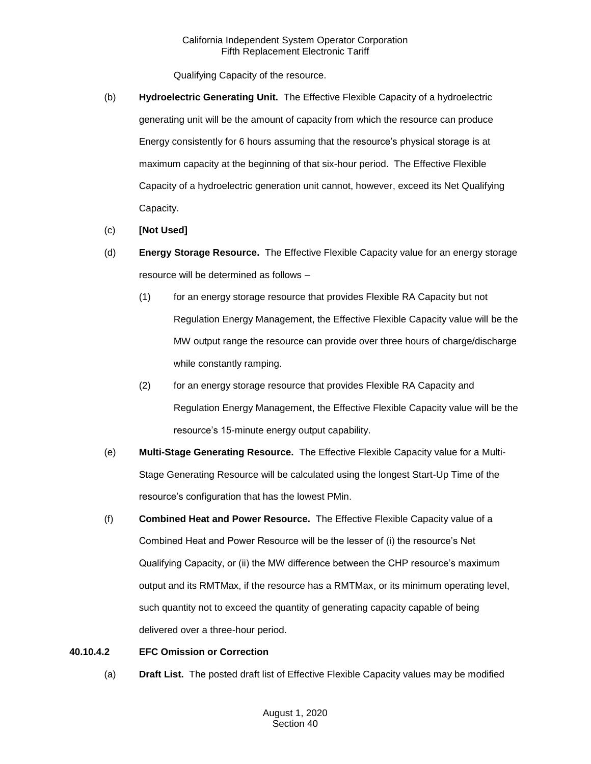Qualifying Capacity of the resource.

- (b) **Hydroelectric Generating Unit.** The Effective Flexible Capacity of a hydroelectric generating unit will be the amount of capacity from which the resource can produce Energy consistently for 6 hours assuming that the resource's physical storage is at maximum capacity at the beginning of that six-hour period. The Effective Flexible Capacity of a hydroelectric generation unit cannot, however, exceed its Net Qualifying Capacity.
- (c) **[Not Used]**
- (d) **Energy Storage Resource.** The Effective Flexible Capacity value for an energy storage resource will be determined as follows –
	- (1) for an energy storage resource that provides Flexible RA Capacity but not Regulation Energy Management, the Effective Flexible Capacity value will be the MW output range the resource can provide over three hours of charge/discharge while constantly ramping.
	- (2) for an energy storage resource that provides Flexible RA Capacity and Regulation Energy Management, the Effective Flexible Capacity value will be the resource's 15-minute energy output capability.
- (e) **Multi-Stage Generating Resource.** The Effective Flexible Capacity value for a Multi-Stage Generating Resource will be calculated using the longest Start-Up Time of the resource's configuration that has the lowest PMin.
- (f) **Combined Heat and Power Resource.** The Effective Flexible Capacity value of a Combined Heat and Power Resource will be the lesser of (i) the resource's Net Qualifying Capacity, or (ii) the MW difference between the CHP resource's maximum output and its RMTMax, if the resource has a RMTMax, or its minimum operating level, such quantity not to exceed the quantity of generating capacity capable of being delivered over a three-hour period.

## **40.10.4.2 EFC Omission or Correction**

(a) **Draft List.** The posted draft list of Effective Flexible Capacity values may be modified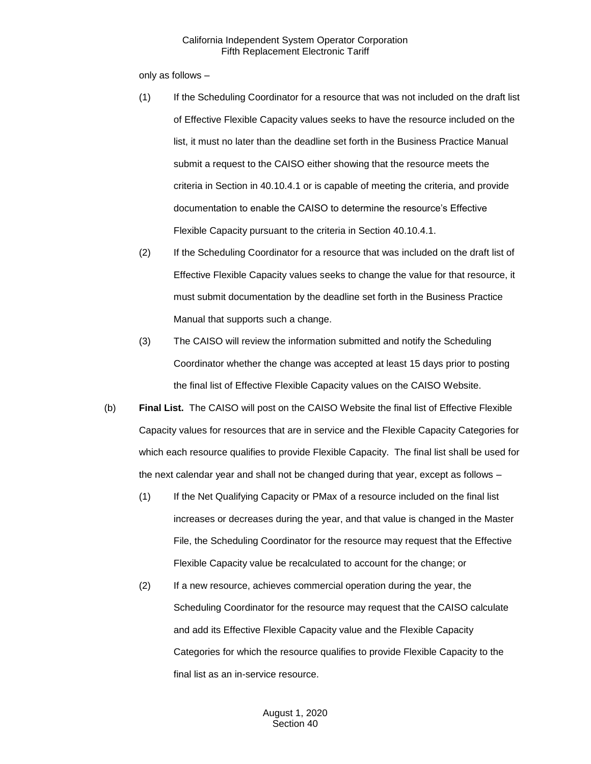only as follows –

- (1) If the Scheduling Coordinator for a resource that was not included on the draft list of Effective Flexible Capacity values seeks to have the resource included on the list, it must no later than the deadline set forth in the Business Practice Manual submit a request to the CAISO either showing that the resource meets the criteria in Section in 40.10.4.1 or is capable of meeting the criteria, and provide documentation to enable the CAISO to determine the resource's Effective Flexible Capacity pursuant to the criteria in Section 40.10.4.1.
- (2) If the Scheduling Coordinator for a resource that was included on the draft list of Effective Flexible Capacity values seeks to change the value for that resource, it must submit documentation by the deadline set forth in the Business Practice Manual that supports such a change.
- (3) The CAISO will review the information submitted and notify the Scheduling Coordinator whether the change was accepted at least 15 days prior to posting the final list of Effective Flexible Capacity values on the CAISO Website.
- (b) **Final List.** The CAISO will post on the CAISO Website the final list of Effective Flexible Capacity values for resources that are in service and the Flexible Capacity Categories for which each resource qualifies to provide Flexible Capacity. The final list shall be used for the next calendar year and shall not be changed during that year, except as follows –
	- (1) If the Net Qualifying Capacity or PMax of a resource included on the final list increases or decreases during the year, and that value is changed in the Master File, the Scheduling Coordinator for the resource may request that the Effective Flexible Capacity value be recalculated to account for the change; or
	- (2) If a new resource, achieves commercial operation during the year, the Scheduling Coordinator for the resource may request that the CAISO calculate and add its Effective Flexible Capacity value and the Flexible Capacity Categories for which the resource qualifies to provide Flexible Capacity to the final list as an in-service resource.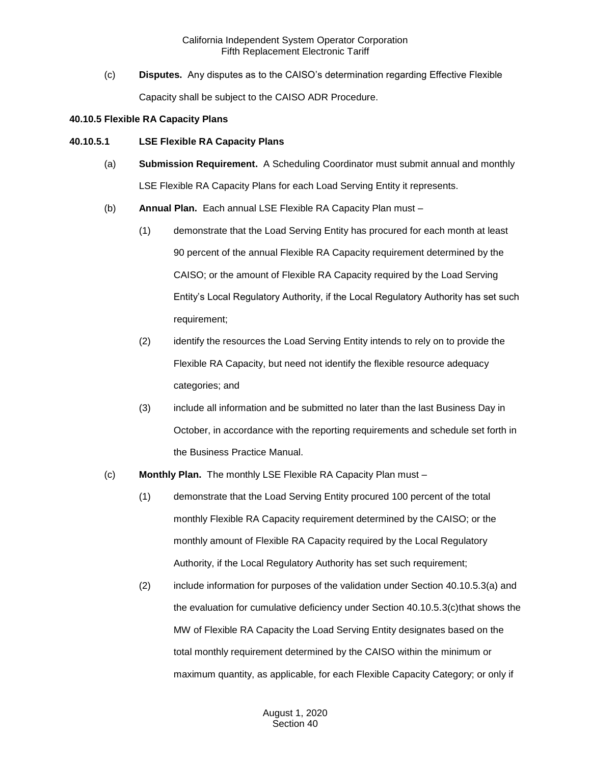(c) **Disputes.** Any disputes as to the CAISO's determination regarding Effective Flexible Capacity shall be subject to the CAISO ADR Procedure.

#### **40.10.5 Flexible RA Capacity Plans**

#### **40.10.5.1 LSE Flexible RA Capacity Plans**

- (a) **Submission Requirement.** A Scheduling Coordinator must submit annual and monthly LSE Flexible RA Capacity Plans for each Load Serving Entity it represents.
- (b) **Annual Plan.** Each annual LSE Flexible RA Capacity Plan must
	- (1) demonstrate that the Load Serving Entity has procured for each month at least 90 percent of the annual Flexible RA Capacity requirement determined by the CAISO; or the amount of Flexible RA Capacity required by the Load Serving Entity's Local Regulatory Authority, if the Local Regulatory Authority has set such requirement;
	- (2) identify the resources the Load Serving Entity intends to rely on to provide the Flexible RA Capacity, but need not identify the flexible resource adequacy categories; and
	- (3) include all information and be submitted no later than the last Business Day in October, in accordance with the reporting requirements and schedule set forth in the Business Practice Manual.
- (c) **Monthly Plan.** The monthly LSE Flexible RA Capacity Plan must
	- (1) demonstrate that the Load Serving Entity procured 100 percent of the total monthly Flexible RA Capacity requirement determined by the CAISO; or the monthly amount of Flexible RA Capacity required by the Local Regulatory Authority, if the Local Regulatory Authority has set such requirement;
	- (2) include information for purposes of the validation under Section 40.10.5.3(a) and the evaluation for cumulative deficiency under Section 40.10.5.3(c)that shows the MW of Flexible RA Capacity the Load Serving Entity designates based on the total monthly requirement determined by the CAISO within the minimum or maximum quantity, as applicable, for each Flexible Capacity Category; or only if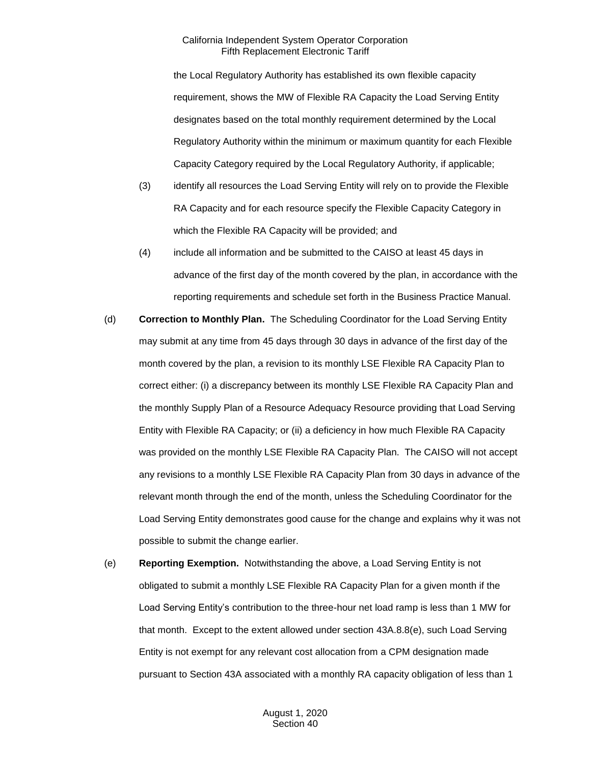the Local Regulatory Authority has established its own flexible capacity requirement, shows the MW of Flexible RA Capacity the Load Serving Entity designates based on the total monthly requirement determined by the Local Regulatory Authority within the minimum or maximum quantity for each Flexible Capacity Category required by the Local Regulatory Authority, if applicable;

- (3) identify all resources the Load Serving Entity will rely on to provide the Flexible RA Capacity and for each resource specify the Flexible Capacity Category in which the Flexible RA Capacity will be provided; and
- (4) include all information and be submitted to the CAISO at least 45 days in advance of the first day of the month covered by the plan, in accordance with the reporting requirements and schedule set forth in the Business Practice Manual.
- (d) **Correction to Monthly Plan.** The Scheduling Coordinator for the Load Serving Entity may submit at any time from 45 days through 30 days in advance of the first day of the month covered by the plan, a revision to its monthly LSE Flexible RA Capacity Plan to correct either: (i) a discrepancy between its monthly LSE Flexible RA Capacity Plan and the monthly Supply Plan of a Resource Adequacy Resource providing that Load Serving Entity with Flexible RA Capacity; or (ii) a deficiency in how much Flexible RA Capacity was provided on the monthly LSE Flexible RA Capacity Plan. The CAISO will not accept any revisions to a monthly LSE Flexible RA Capacity Plan from 30 days in advance of the relevant month through the end of the month, unless the Scheduling Coordinator for the Load Serving Entity demonstrates good cause for the change and explains why it was not possible to submit the change earlier.
- (e) **Reporting Exemption.** Notwithstanding the above, a Load Serving Entity is not obligated to submit a monthly LSE Flexible RA Capacity Plan for a given month if the Load Serving Entity's contribution to the three-hour net load ramp is less than 1 MW for that month. Except to the extent allowed under section 43A.8.8(e), such Load Serving Entity is not exempt for any relevant cost allocation from a CPM designation made pursuant to Section 43A associated with a monthly RA capacity obligation of less than 1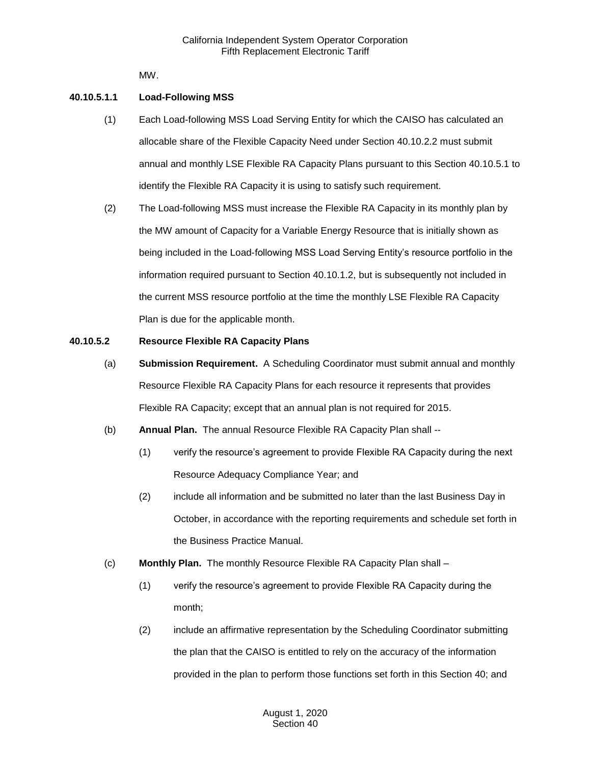MW.

## **40.10.5.1.1 Load-Following MSS**

- (1) Each Load-following MSS Load Serving Entity for which the CAISO has calculated an allocable share of the Flexible Capacity Need under Section 40.10.2.2 must submit annual and monthly LSE Flexible RA Capacity Plans pursuant to this Section 40.10.5.1 to identify the Flexible RA Capacity it is using to satisfy such requirement.
- (2) The Load-following MSS must increase the Flexible RA Capacity in its monthly plan by the MW amount of Capacity for a Variable Energy Resource that is initially shown as being included in the Load-following MSS Load Serving Entity's resource portfolio in the information required pursuant to Section 40.10.1.2, but is subsequently not included in the current MSS resource portfolio at the time the monthly LSE Flexible RA Capacity Plan is due for the applicable month.

## **40.10.5.2 Resource Flexible RA Capacity Plans**

- (a) **Submission Requirement.** A Scheduling Coordinator must submit annual and monthly Resource Flexible RA Capacity Plans for each resource it represents that provides Flexible RA Capacity; except that an annual plan is not required for 2015.
- (b) **Annual Plan.** The annual Resource Flexible RA Capacity Plan shall --
	- (1) verify the resource's agreement to provide Flexible RA Capacity during the next Resource Adequacy Compliance Year; and
	- (2) include all information and be submitted no later than the last Business Day in October, in accordance with the reporting requirements and schedule set forth in the Business Practice Manual.
- (c) **Monthly Plan.** The monthly Resource Flexible RA Capacity Plan shall
	- (1) verify the resource's agreement to provide Flexible RA Capacity during the month;
	- (2) include an affirmative representation by the Scheduling Coordinator submitting the plan that the CAISO is entitled to rely on the accuracy of the information provided in the plan to perform those functions set forth in this Section 40; and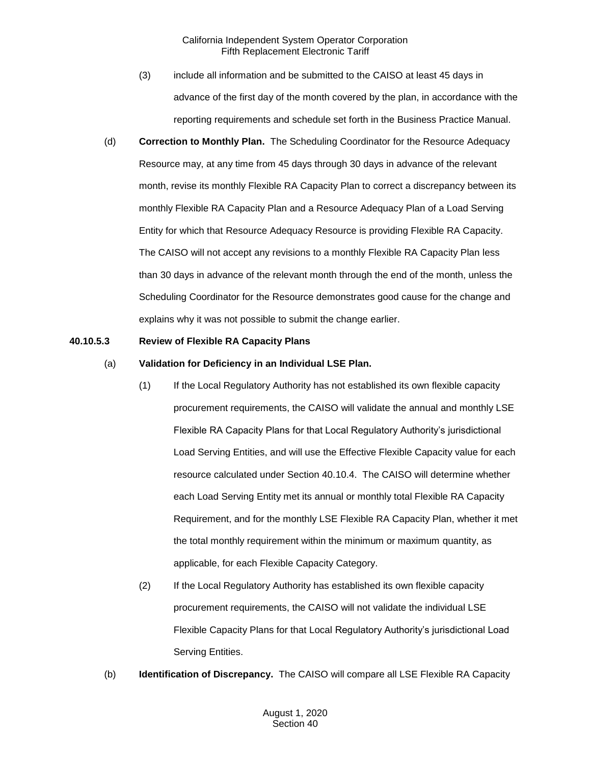- (3) include all information and be submitted to the CAISO at least 45 days in advance of the first day of the month covered by the plan, in accordance with the reporting requirements and schedule set forth in the Business Practice Manual.
- (d) **Correction to Monthly Plan.** The Scheduling Coordinator for the Resource Adequacy Resource may, at any time from 45 days through 30 days in advance of the relevant month, revise its monthly Flexible RA Capacity Plan to correct a discrepancy between its monthly Flexible RA Capacity Plan and a Resource Adequacy Plan of a Load Serving Entity for which that Resource Adequacy Resource is providing Flexible RA Capacity. The CAISO will not accept any revisions to a monthly Flexible RA Capacity Plan less than 30 days in advance of the relevant month through the end of the month, unless the Scheduling Coordinator for the Resource demonstrates good cause for the change and explains why it was not possible to submit the change earlier.

#### **40.10.5.3 Review of Flexible RA Capacity Plans**

- (a) **Validation for Deficiency in an Individual LSE Plan.**
	- (1) If the Local Regulatory Authority has not established its own flexible capacity procurement requirements, the CAISO will validate the annual and monthly LSE Flexible RA Capacity Plans for that Local Regulatory Authority's jurisdictional Load Serving Entities, and will use the Effective Flexible Capacity value for each resource calculated under Section 40.10.4. The CAISO will determine whether each Load Serving Entity met its annual or monthly total Flexible RA Capacity Requirement, and for the monthly LSE Flexible RA Capacity Plan, whether it met the total monthly requirement within the minimum or maximum quantity, as applicable, for each Flexible Capacity Category.
	- (2) If the Local Regulatory Authority has established its own flexible capacity procurement requirements, the CAISO will not validate the individual LSE Flexible Capacity Plans for that Local Regulatory Authority's jurisdictional Load Serving Entities.
- (b) **Identification of Discrepancy.** The CAISO will compare all LSE Flexible RA Capacity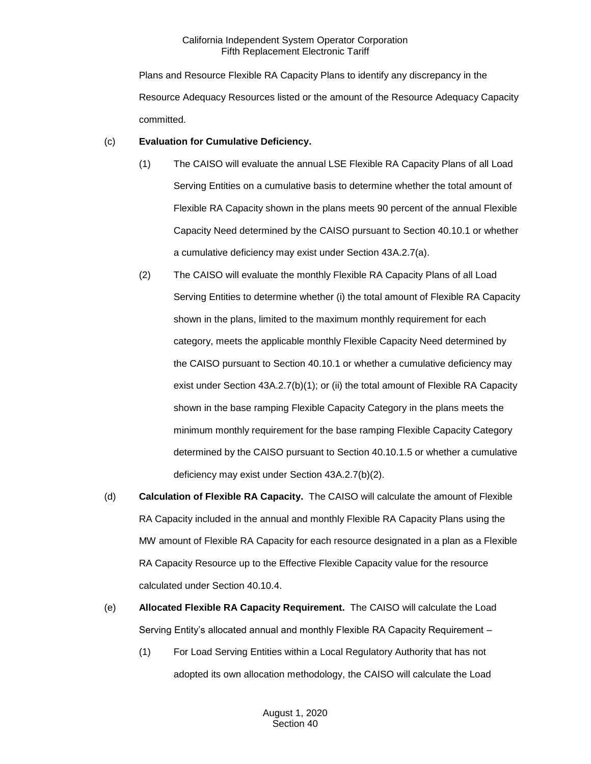Plans and Resource Flexible RA Capacity Plans to identify any discrepancy in the Resource Adequacy Resources listed or the amount of the Resource Adequacy Capacity committed.

# (c) **Evaluation for Cumulative Deficiency.**

- (1) The CAISO will evaluate the annual LSE Flexible RA Capacity Plans of all Load Serving Entities on a cumulative basis to determine whether the total amount of Flexible RA Capacity shown in the plans meets 90 percent of the annual Flexible Capacity Need determined by the CAISO pursuant to Section 40.10.1 or whether a cumulative deficiency may exist under Section 43A.2.7(a).
- (2) The CAISO will evaluate the monthly Flexible RA Capacity Plans of all Load Serving Entities to determine whether (i) the total amount of Flexible RA Capacity shown in the plans, limited to the maximum monthly requirement for each category, meets the applicable monthly Flexible Capacity Need determined by the CAISO pursuant to Section 40.10.1 or whether a cumulative deficiency may exist under Section 43A.2.7(b)(1); or (ii) the total amount of Flexible RA Capacity shown in the base ramping Flexible Capacity Category in the plans meets the minimum monthly requirement for the base ramping Flexible Capacity Category determined by the CAISO pursuant to Section 40.10.1.5 or whether a cumulative deficiency may exist under Section 43A.2.7(b)(2).
- (d) **Calculation of Flexible RA Capacity.** The CAISO will calculate the amount of Flexible RA Capacity included in the annual and monthly Flexible RA Capacity Plans using the MW amount of Flexible RA Capacity for each resource designated in a plan as a Flexible RA Capacity Resource up to the Effective Flexible Capacity value for the resource calculated under Section 40.10.4.
- (e) **Allocated Flexible RA Capacity Requirement.** The CAISO will calculate the Load Serving Entity's allocated annual and monthly Flexible RA Capacity Requirement –
	- (1) For Load Serving Entities within a Local Regulatory Authority that has not adopted its own allocation methodology, the CAISO will calculate the Load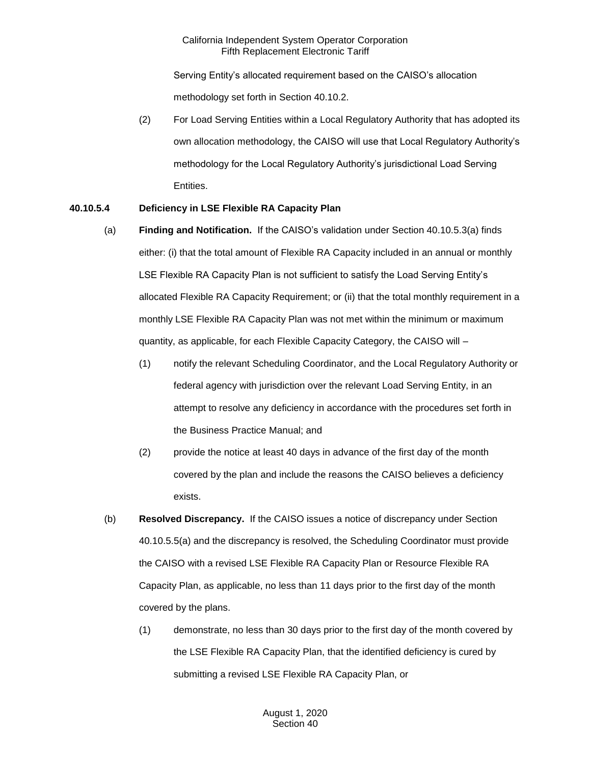Serving Entity's allocated requirement based on the CAISO's allocation methodology set forth in Section 40.10.2.

(2) For Load Serving Entities within a Local Regulatory Authority that has adopted its own allocation methodology, the CAISO will use that Local Regulatory Authority's methodology for the Local Regulatory Authority's jurisdictional Load Serving Entities.

# **40.10.5.4 Deficiency in LSE Flexible RA Capacity Plan**

- (a) **Finding and Notification.** If the CAISO's validation under Section 40.10.5.3(a) finds either: (i) that the total amount of Flexible RA Capacity included in an annual or monthly LSE Flexible RA Capacity Plan is not sufficient to satisfy the Load Serving Entity's allocated Flexible RA Capacity Requirement; or (ii) that the total monthly requirement in a monthly LSE Flexible RA Capacity Plan was not met within the minimum or maximum quantity, as applicable, for each Flexible Capacity Category, the CAISO will –
	- (1) notify the relevant Scheduling Coordinator, and the Local Regulatory Authority or federal agency with jurisdiction over the relevant Load Serving Entity, in an attempt to resolve any deficiency in accordance with the procedures set forth in the Business Practice Manual; and
	- (2) provide the notice at least 40 days in advance of the first day of the month covered by the plan and include the reasons the CAISO believes a deficiency exists.
- (b) **Resolved Discrepancy.** If the CAISO issues a notice of discrepancy under Section 40.10.5.5(a) and the discrepancy is resolved, the Scheduling Coordinator must provide the CAISO with a revised LSE Flexible RA Capacity Plan or Resource Flexible RA Capacity Plan, as applicable, no less than 11 days prior to the first day of the month covered by the plans.
	- (1) demonstrate, no less than 30 days prior to the first day of the month covered by the LSE Flexible RA Capacity Plan, that the identified deficiency is cured by submitting a revised LSE Flexible RA Capacity Plan, or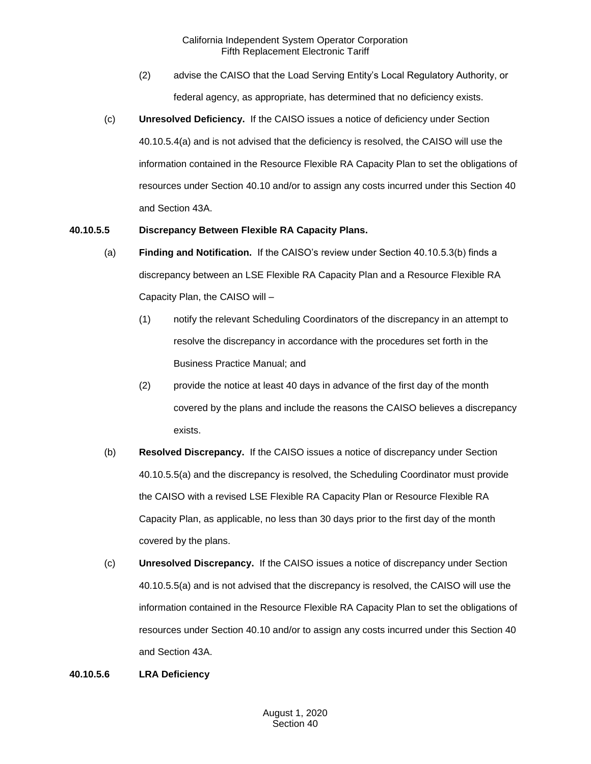- (2) advise the CAISO that the Load Serving Entity's Local Regulatory Authority, or federal agency, as appropriate, has determined that no deficiency exists.
- (c) **Unresolved Deficiency.** If the CAISO issues a notice of deficiency under Section 40.10.5.4(a) and is not advised that the deficiency is resolved, the CAISO will use the information contained in the Resource Flexible RA Capacity Plan to set the obligations of resources under Section 40.10 and/or to assign any costs incurred under this Section 40 and Section 43A.

# **40.10.5.5 Discrepancy Between Flexible RA Capacity Plans.**

- (a) **Finding and Notification.** If the CAISO's review under Section 40.10.5.3(b) finds a discrepancy between an LSE Flexible RA Capacity Plan and a Resource Flexible RA Capacity Plan, the CAISO will –
	- (1) notify the relevant Scheduling Coordinators of the discrepancy in an attempt to resolve the discrepancy in accordance with the procedures set forth in the Business Practice Manual; and
	- (2) provide the notice at least 40 days in advance of the first day of the month covered by the plans and include the reasons the CAISO believes a discrepancy exists.
- (b) **Resolved Discrepancy.** If the CAISO issues a notice of discrepancy under Section 40.10.5.5(a) and the discrepancy is resolved, the Scheduling Coordinator must provide the CAISO with a revised LSE Flexible RA Capacity Plan or Resource Flexible RA Capacity Plan, as applicable, no less than 30 days prior to the first day of the month covered by the plans.
- (c) **Unresolved Discrepancy.** If the CAISO issues a notice of discrepancy under Section 40.10.5.5(a) and is not advised that the discrepancy is resolved, the CAISO will use the information contained in the Resource Flexible RA Capacity Plan to set the obligations of resources under Section 40.10 and/or to assign any costs incurred under this Section 40 and Section 43A.

## **40.10.5.6 LRA Deficiency**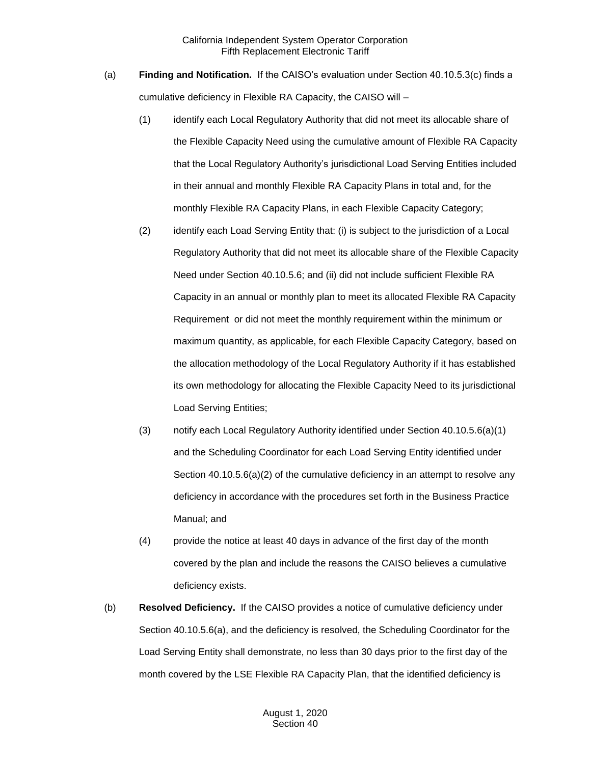- (a) **Finding and Notification.** If the CAISO's evaluation under Section 40.10.5.3(c) finds a cumulative deficiency in Flexible RA Capacity, the CAISO will –
	- (1) identify each Local Regulatory Authority that did not meet its allocable share of the Flexible Capacity Need using the cumulative amount of Flexible RA Capacity that the Local Regulatory Authority's jurisdictional Load Serving Entities included in their annual and monthly Flexible RA Capacity Plans in total and, for the monthly Flexible RA Capacity Plans, in each Flexible Capacity Category;
	- (2) identify each Load Serving Entity that: (i) is subject to the jurisdiction of a Local Regulatory Authority that did not meet its allocable share of the Flexible Capacity Need under Section 40.10.5.6; and (ii) did not include sufficient Flexible RA Capacity in an annual or monthly plan to meet its allocated Flexible RA Capacity Requirement or did not meet the monthly requirement within the minimum or maximum quantity, as applicable, for each Flexible Capacity Category, based on the allocation methodology of the Local Regulatory Authority if it has established its own methodology for allocating the Flexible Capacity Need to its jurisdictional Load Serving Entities;
	- (3) notify each Local Regulatory Authority identified under Section 40.10.5.6(a)(1) and the Scheduling Coordinator for each Load Serving Entity identified under Section 40.10.5.6(a)(2) of the cumulative deficiency in an attempt to resolve any deficiency in accordance with the procedures set forth in the Business Practice Manual; and
	- (4) provide the notice at least 40 days in advance of the first day of the month covered by the plan and include the reasons the CAISO believes a cumulative deficiency exists.
- (b) **Resolved Deficiency.** If the CAISO provides a notice of cumulative deficiency under Section 40.10.5.6(a), and the deficiency is resolved, the Scheduling Coordinator for the Load Serving Entity shall demonstrate, no less than 30 days prior to the first day of the month covered by the LSE Flexible RA Capacity Plan, that the identified deficiency is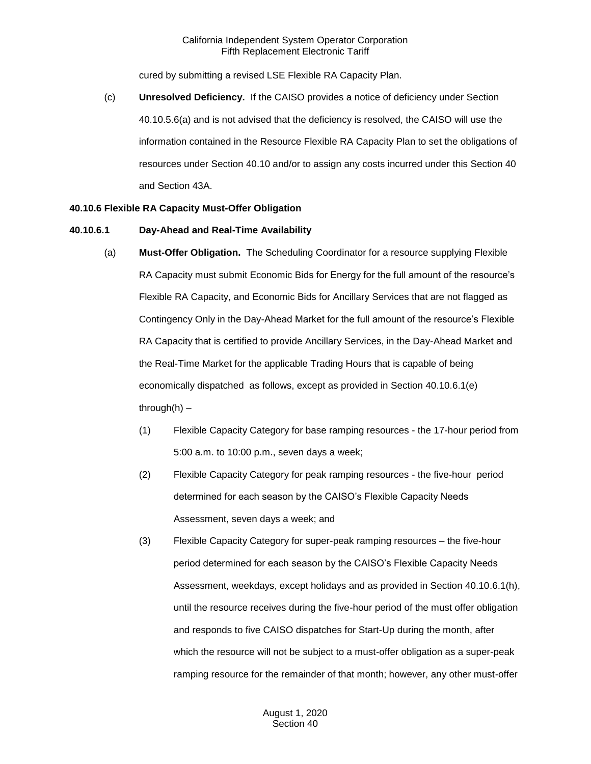cured by submitting a revised LSE Flexible RA Capacity Plan.

(c) **Unresolved Deficiency.** If the CAISO provides a notice of deficiency under Section 40.10.5.6(a) and is not advised that the deficiency is resolved, the CAISO will use the information contained in the Resource Flexible RA Capacity Plan to set the obligations of resources under Section 40.10 and/or to assign any costs incurred under this Section 40 and Section 43A.

#### **40.10.6 Flexible RA Capacity Must-Offer Obligation**

#### **40.10.6.1 Day-Ahead and Real-Time Availability**

- (a) **Must-Offer Obligation.** The Scheduling Coordinator for a resource supplying Flexible RA Capacity must submit Economic Bids for Energy for the full amount of the resource's Flexible RA Capacity, and Economic Bids for Ancillary Services that are not flagged as Contingency Only in the Day-Ahead Market for the full amount of the resource's Flexible RA Capacity that is certified to provide Ancillary Services, in the Day-Ahead Market and the Real-Time Market for the applicable Trading Hours that is capable of being economically dispatched as follows, except as provided in Section 40.10.6.1(e) through $(h)$  –
	- (1) Flexible Capacity Category for base ramping resources the 17-hour period from 5:00 a.m. to 10:00 p.m., seven days a week;
	- (2) Flexible Capacity Category for peak ramping resources the five-hour period determined for each season by the CAISO's Flexible Capacity Needs Assessment, seven days a week; and
	- (3) Flexible Capacity Category for super-peak ramping resources the five-hour period determined for each season by the CAISO's Flexible Capacity Needs Assessment, weekdays, except holidays and as provided in Section 40.10.6.1(h), until the resource receives during the five-hour period of the must offer obligation and responds to five CAISO dispatches for Start-Up during the month, after which the resource will not be subject to a must-offer obligation as a super-peak ramping resource for the remainder of that month; however, any other must-offer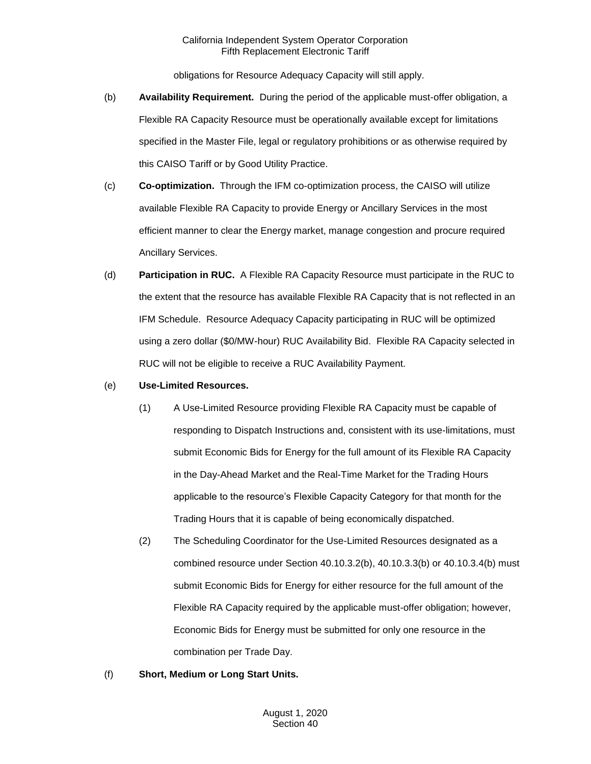obligations for Resource Adequacy Capacity will still apply.

- (b) **Availability Requirement.** During the period of the applicable must-offer obligation, a Flexible RA Capacity Resource must be operationally available except for limitations specified in the Master File, legal or regulatory prohibitions or as otherwise required by this CAISO Tariff or by Good Utility Practice.
- (c) **Co-optimization.** Through the IFM co-optimization process, the CAISO will utilize available Flexible RA Capacity to provide Energy or Ancillary Services in the most efficient manner to clear the Energy market, manage congestion and procure required Ancillary Services.
- (d) **Participation in RUC.** A Flexible RA Capacity Resource must participate in the RUC to the extent that the resource has available Flexible RA Capacity that is not reflected in an IFM Schedule. Resource Adequacy Capacity participating in RUC will be optimized using a zero dollar (\$0/MW-hour) RUC Availability Bid. Flexible RA Capacity selected in RUC will not be eligible to receive a RUC Availability Payment.

#### (e) **Use-Limited Resources.**

- (1) A Use-Limited Resource providing Flexible RA Capacity must be capable of responding to Dispatch Instructions and, consistent with its use-limitations, must submit Economic Bids for Energy for the full amount of its Flexible RA Capacity in the Day-Ahead Market and the Real-Time Market for the Trading Hours applicable to the resource's Flexible Capacity Category for that month for the Trading Hours that it is capable of being economically dispatched.
- (2) The Scheduling Coordinator for the Use-Limited Resources designated as a combined resource under Section 40.10.3.2(b), 40.10.3.3(b) or 40.10.3.4(b) must submit Economic Bids for Energy for either resource for the full amount of the Flexible RA Capacity required by the applicable must-offer obligation; however, Economic Bids for Energy must be submitted for only one resource in the combination per Trade Day.
- (f) **Short, Medium or Long Start Units.**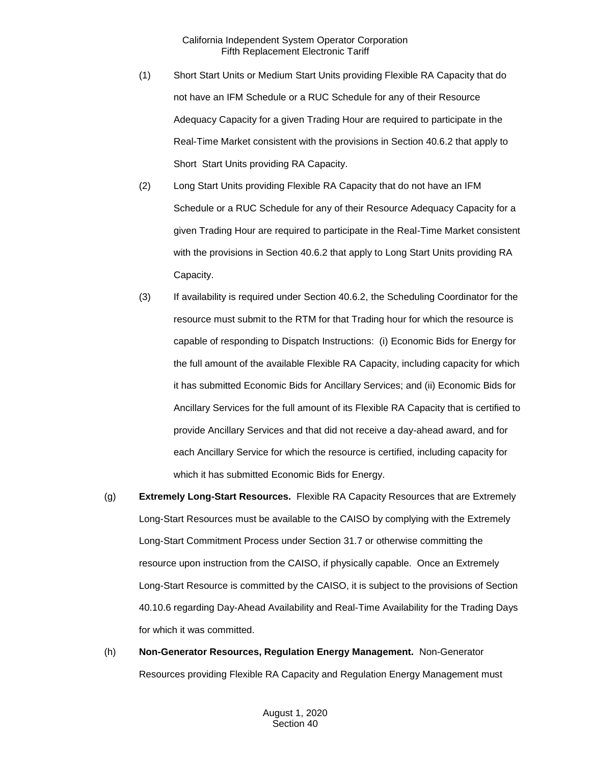- (1) Short Start Units or Medium Start Units providing Flexible RA Capacity that do not have an IFM Schedule or a RUC Schedule for any of their Resource Adequacy Capacity for a given Trading Hour are required to participate in the Real-Time Market consistent with the provisions in Section 40.6.2 that apply to Short Start Units providing RA Capacity.
- (2) Long Start Units providing Flexible RA Capacity that do not have an IFM Schedule or a RUC Schedule for any of their Resource Adequacy Capacity for a given Trading Hour are required to participate in the Real-Time Market consistent with the provisions in Section 40.6.2 that apply to Long Start Units providing RA Capacity.
- (3) If availability is required under Section 40.6.2, the Scheduling Coordinator for the resource must submit to the RTM for that Trading hour for which the resource is capable of responding to Dispatch Instructions: (i) Economic Bids for Energy for the full amount of the available Flexible RA Capacity, including capacity for which it has submitted Economic Bids for Ancillary Services; and (ii) Economic Bids for Ancillary Services for the full amount of its Flexible RA Capacity that is certified to provide Ancillary Services and that did not receive a day-ahead award, and for each Ancillary Service for which the resource is certified, including capacity for which it has submitted Economic Bids for Energy.
- (g) **Extremely Long-Start Resources.** Flexible RA Capacity Resources that are Extremely Long-Start Resources must be available to the CAISO by complying with the Extremely Long-Start Commitment Process under Section 31.7 or otherwise committing the resource upon instruction from the CAISO, if physically capable. Once an Extremely Long-Start Resource is committed by the CAISO, it is subject to the provisions of Section 40.10.6 regarding Day-Ahead Availability and Real-Time Availability for the Trading Days for which it was committed.
- (h) **Non-Generator Resources, Regulation Energy Management.** Non-Generator Resources providing Flexible RA Capacity and Regulation Energy Management must